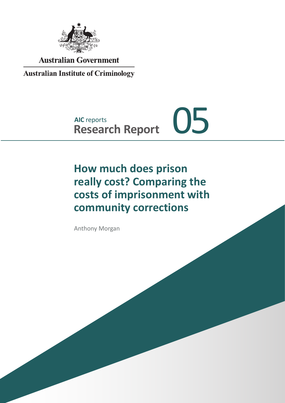

**Australian Government** 

**Australian Institute of Criminology** 

# **AIC** reports **AIC reports**<br>Research Report 05

# **How much does prison really cost? Comparing the costs of imprisonment with community corrections**

Anthony Morgan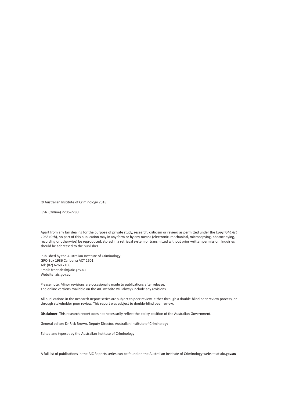© Australian Institute of Criminology 2018

ISSN (Online) 2206-7280

Apart from any fair dealing for the purpose of private study, research, criticism or review, as permitted under the *Copyright Act 1968* (Cth), no part of this publication may in any form or by any means (electronic, mechanical, microcopying, photocopying, recording or otherwise) be reproduced, stored in a retrieval system or transmitted without prior written permission. Inquiries should be addressed to the publisher.

Published by the Australian Institute of Criminology GPO Box 1936 Canberra ACT 2601 Tel: (02) 6268 7166 Email: front.desk@aic.gov.au Website: aic.gov.au

Please note: Minor revisions are occasionally made to publications after release. The online versions available on the AIC website will always include any revisions.

All publications in the Research Report series are subject to peer review–either through a double-blind peer review process, or through stakeholder peer review. This report was subject to double-blind peer review.

**Disclaimer**: This research report does not necessarily reflect the policy position of the Australian Government.

General editor: Dr Rick Brown, Deputy Director, Australian Institute of Criminology

Edited and typeset by the Australian Institute of Criminology

A full list of publications in the AIC Reports series can be found on the Australian Institute of Criminology website at **aic.gov.au**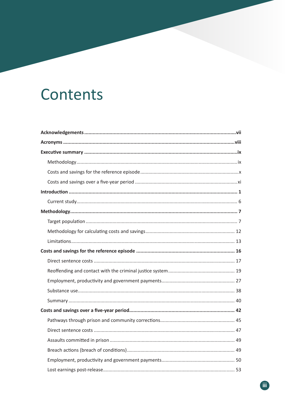# Contents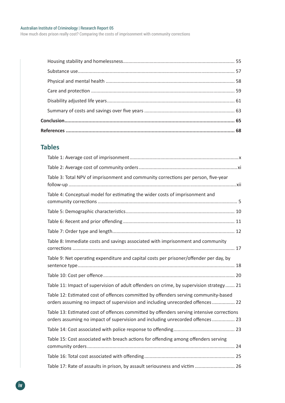How much does prison really cost? Comparing the costs of imprisonment with community corrections

## **Tables**

| Table 3: Total NPV of imprisonment and community corrections per person, five-year                                                                                          |
|-----------------------------------------------------------------------------------------------------------------------------------------------------------------------------|
| Table 4: Conceptual model for estimating the wider costs of imprisonment and                                                                                                |
|                                                                                                                                                                             |
|                                                                                                                                                                             |
|                                                                                                                                                                             |
| Table 8: Immediate costs and savings associated with imprisonment and community                                                                                             |
| Table 9: Net operating expenditure and capital costs per prisoner/offender per day, by                                                                                      |
|                                                                                                                                                                             |
| Table 11: Impact of supervision of adult offenders on crime, by supervision strategy 21                                                                                     |
| Table 12: Estimated cost of offences committed by offenders serving community-based<br>orders assuming no impact of supervision and including unrecorded offences  22       |
| Table 13: Estimated cost of offences committed by offenders serving intensive corrections<br>orders assuming no impact of supervision and including unrecorded offences  23 |
|                                                                                                                                                                             |
| Table 15: Cost associated with breach actions for offending among offenders serving                                                                                         |
|                                                                                                                                                                             |
| Table 17: Rate of assaults in prison, by assault seriousness and victim  26                                                                                                 |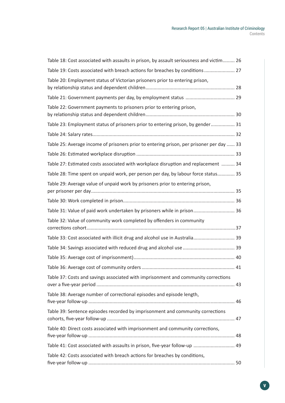| Table 18: Cost associated with assaults in prison, by assault seriousness and victim 26  |  |
|------------------------------------------------------------------------------------------|--|
| Table 19: Costs associated with breach actions for breaches by conditions  27            |  |
| Table 20: Employment status of Victorian prisoners prior to entering prison,             |  |
|                                                                                          |  |
| Table 22: Government payments to prisoners prior to entering prison,                     |  |
| Table 23: Employment status of prisoners prior to entering prison, by gender 31          |  |
|                                                                                          |  |
| Table 25: Average income of prisoners prior to entering prison, per prisoner per day  33 |  |
|                                                                                          |  |
| Table 27: Estimated costs associated with workplace disruption and replacement  34       |  |
| Table 28: Time spent on unpaid work, per person per day, by labour force status 35       |  |
| Table 29: Average value of unpaid work by prisoners prior to entering prison,            |  |
|                                                                                          |  |
| Table 31: Value of paid work undertaken by prisoners while in prison 36                  |  |
| Table 32: Value of community work completed by offenders in community                    |  |
| Table 33: Cost associated with illicit drug and alcohol use in Australia 39              |  |
|                                                                                          |  |
|                                                                                          |  |
|                                                                                          |  |
| Table 37: Costs and savings associated with imprisonment and community corrections       |  |
| Table 38: Average number of correctional episodes and episode length,                    |  |
| Table 39: Sentence episodes recorded by imprisonment and community corrections           |  |
| Table 40: Direct costs associated with imprisonment and community corrections,           |  |
| Table 41: Cost associated with assaults in prison, five-year follow-up  49               |  |
| Table 42: Costs associated with breach actions for breaches by conditions,               |  |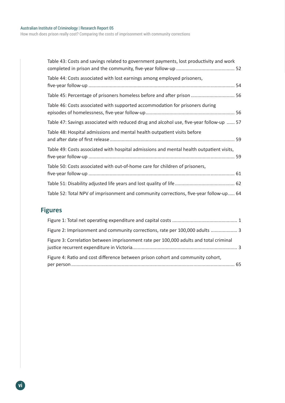How much does prison really cost? Comparing the costs of imprisonment with community corrections

| Table 43: Costs and savings related to government payments, lost productivity and work   |  |
|------------------------------------------------------------------------------------------|--|
| Table 44: Costs associated with lost earnings among employed prisoners,                  |  |
| Table 45: Percentage of prisoners homeless before and after prison  56                   |  |
| Table 46: Costs associated with supported accommodation for prisoners during             |  |
| Table 47: Savings associated with reduced drug and alcohol use, five-year follow-up  57  |  |
| Table 48: Hospital admissions and mental health outpatient visits before                 |  |
| Table 49: Costs associated with hospital admissions and mental health outpatient visits, |  |
| Table 50: Costs associated with out-of-home care for children of prisoners,              |  |
|                                                                                          |  |
| Table 52: Total NPV of imprisonment and community corrections, five-year follow-up 64    |  |

## **Figures**

| Figure 2: Imprisonment and community corrections, rate per 100,000 adults  3          |  |
|---------------------------------------------------------------------------------------|--|
| Figure 3: Correlation between imprisonment rate per 100,000 adults and total criminal |  |
| Figure 4: Ratio and cost difference between prison cohort and community cohort,       |  |
|                                                                                       |  |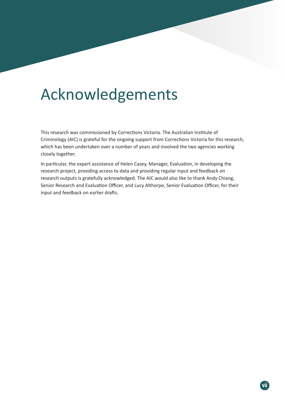# Acknowledgements

This research was commissioned by Corrections Victoria. The Australian Institute of Criminology (AIC) is grateful for the ongoing support from Corrections Victoria for this research, which has been undertaken over a number of years and involved the two agencies working closely together.

In particular, the expert assistance of Helen Casey, Manager, Evaluation, in developing the research project, providing access to data and providing regular input and feedback on research outputs is gratefully acknowledged. The AIC would also like to thank Andy Chiang, Senior Research and Evaluation Officer, and Lucy Althorpe, Senior Evaluation Officer, for their input and feedback on earlier drafts.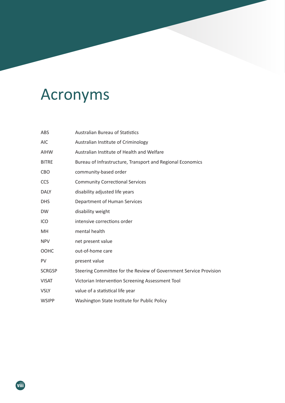# Acronyms

| ABS           | <b>Australian Bureau of Statistics</b>                            |
|---------------|-------------------------------------------------------------------|
| <b>AIC</b>    | Australian Institute of Criminology                               |
| <b>AIHW</b>   | Australian Institute of Health and Welfare                        |
| <b>BITRE</b>  | Bureau of Infrastructure, Transport and Regional Economics        |
| CBO           | community-based order                                             |
| <b>CCS</b>    | <b>Community Correctional Services</b>                            |
| <b>DALY</b>   | disability adjusted life years                                    |
| <b>DHS</b>    | Department of Human Services                                      |
| <b>DW</b>     | disability weight                                                 |
| ICO           | intensive corrections order                                       |
| MH.           | mental health                                                     |
| <b>NPV</b>    | net present value                                                 |
| OOHC          | out-of-home care                                                  |
| PV            | present value                                                     |
| <b>SCRGSP</b> | Steering Committee for the Review of Government Service Provision |
| <b>VISAT</b>  | Victorian Intervention Screening Assessment Tool                  |
| <b>VSLY</b>   | value of a statistical life year                                  |
| <b>WSIPP</b>  | Washington State Institute for Public Policy                      |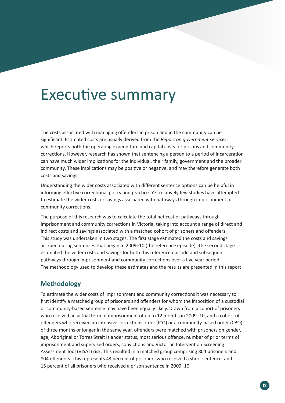# Executive summary

The costs associated with managing offenders in prison and in the community can be significant. Estimated costs are usually derived from the *Report on government services*, which reports both the operating expenditure and capital costs for prisons and community corrections. However, research has shown that sentencing a person to a period of incarceration can have much wider implications for the individual, their family, government and the broader community. These implications may be positive or negative, and may therefore generate both costs and savings.

Understanding the wider costs associated with different sentence options can be helpful in informing effective correctional policy and practice. Yet relatively few studies have attempted to estimate the wider costs or savings associated with pathways through imprisonment or community corrections.

The purpose of this research was to calculate the total net cost of pathways through imprisonment and community corrections in Victoria, taking into account a range of direct and indirect costs and savings associated with a matched cohort of prisoners and offenders. This study was undertaken in two stages. The first stage estimated the costs and savings accrued during sentences that began in 2009–10 (the reference episode). The second stage estimated the wider costs and savings for both this reference episode and subsequent pathways through imprisonment and community corrections over a five year period. The methodology used to develop these estimates and the results are presented in this report.

### **Methodology**

To estimate the wider costs of imprisonment and community corrections it was necessary to first identify a matched group of prisoners and offenders for whom the imposition of a custodial or community-based sentence may have been equally likely. Drawn from a cohort of prisoners who received an actual term of imprisonment of up to 12 months in 2009–10, and a cohort of offenders who received an intensive corrections order (ICO) or a community-based order (CBO) of three months or longer in the same year, offenders were matched with prisoners on gender, age, Aboriginal or Torres Strait Islander status, most serious offence, number of prior terms of imprisonment and supervised orders, convictions and Victorian Intervention Screening Assessment Tool (VISAT) risk. This resulted in a matched group comprising 804 prisoners and 804 offenders. This represents 43 percent of prisoners who received a short sentence, and 15 percent of all prisoners who received a prison sentence in 2009–10.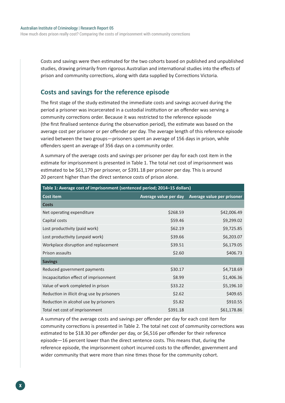Costs and savings were then estimated for the two cohorts based on published and unpublished studies, drawing primarily from rigorous Australian and international studies into the effects of prison and community corrections, along with data supplied by Corrections Victoria.

### **Costs and savings for the reference episode**

The first stage of the study estimated the immediate costs and savings accrued during the period a prisoner was incarcerated in a custodial institution or an offender was serving a community corrections order. Because it was restricted to the reference episode (the first finalised sentence during the observation period), the estimate was based on the average cost per prisoner or per offender per day. The average length of this reference episode varied between the two groups—prisoners spent an average of 156 days in prison, while offenders spent an average of 356 days on a community order.

A summary of the average costs and savings per prisoner per day for each cost item in the estimate for imprisonment is presented in Table 1. The total net cost of imprisonment was estimated to be \$61,179 per prisoner, or \$391.18 per prisoner per day. This is around 20 percent higher than the direct sentence costs of prison alone.

| Table 1: Average cost of imprisonment (sentenced period; 2014-15 dollars) |                       |                                   |  |
|---------------------------------------------------------------------------|-----------------------|-----------------------------------|--|
| <b>Cost item</b>                                                          | Average value per day | <b>Average value per prisoner</b> |  |
| <b>Costs</b>                                                              |                       |                                   |  |
| Net operating expenditure                                                 | \$268.59              | \$42,006.49                       |  |
| Capital costs                                                             | \$59.46               | \$9,299.02                        |  |
| Lost productivity (paid work)                                             | \$62.19               | \$9,725.85                        |  |
| Lost productivity (unpaid work)                                           | \$39.66               | \$6,203.07                        |  |
| Workplace disruption and replacement                                      | \$39.51               | \$6,179.05                        |  |
| Prison assaults                                                           | \$2.60                | \$406.73                          |  |
| <b>Savings</b>                                                            |                       |                                   |  |
| Reduced government payments                                               | \$30.17               | \$4,718.69                        |  |
| Incapacitation effect of imprisonment                                     | \$8.99                | \$1,406.36                        |  |
| Value of work completed in prison                                         | \$33.22               | \$5,196.10                        |  |
| Reduction in illicit drug use by prisoners                                | \$2.62                | \$409.65                          |  |
| Reduction in alcohol use by prisoners                                     | \$5.82                | \$910.55                          |  |
| Total net cost of imprisonment                                            | \$391.18              | \$61,178.86                       |  |

A summary of the average costs and savings per offender per day for each cost item for community corrections is presented in Table 2. The total net cost of community corrections was estimated to be \$18.30 per offender per day, or \$6,516 per offender for their reference episode—16 percent lower than the direct sentence costs. This means that, during the reference episode, the imprisonment cohort incurred costs to the offender, government and wider community that were more than nine times those for the community cohort.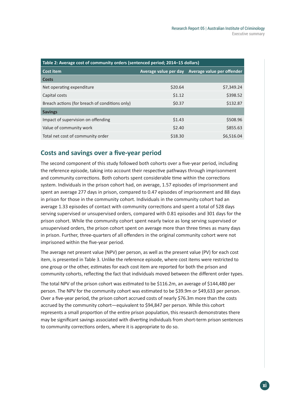| Table 2: Average cost of community orders (sentenced period; 2014-15 dollars) |         |                                                  |  |
|-------------------------------------------------------------------------------|---------|--------------------------------------------------|--|
| <b>Cost item</b>                                                              |         | Average value per day Average value per offender |  |
| <b>Costs</b>                                                                  |         |                                                  |  |
| Net operating expenditure                                                     | \$20.64 | \$7,349.24                                       |  |
| Capital costs                                                                 | \$1.12  | \$398.52                                         |  |
| Breach actions (for breach of conditions only)                                | \$0.37  | \$132.87                                         |  |
| <b>Savings</b>                                                                |         |                                                  |  |
| Impact of supervision on offending                                            | \$1.43  | \$508.96                                         |  |
| Value of community work                                                       | \$2.40  | \$855.63                                         |  |
| Total net cost of community order                                             | \$18.30 | \$6,516.04                                       |  |

### **Costs and savings over a five-year period**

The second component of this study followed both cohorts over a five-year period, including the reference episode, taking into account their respective pathways through imprisonment and community corrections. Both cohorts spent considerable time within the corrections system. Individuals in the prison cohort had, on average, 1.57 episodes of imprisonment and spent an average 277 days in prison, compared to 0.47 episodes of imprisonment and 88 days in prison for those in the community cohort. Individuals in the community cohort had an average 1.33 episodes of contact with community corrections and spent a total of 528 days serving supervised or unsupervised orders, compared with 0.81 episodes and 301 days for the prison cohort. While the community cohort spent nearly twice as long serving supervised or unsupervised orders, the prison cohort spent on average more than three times as many days in prison. Further, three-quarters of all offenders in the original community cohort were not imprisoned within the five-year period.

The average net present value (NPV) per person, as well as the present value (PV) for each cost item, is presented in Table 3. Unlike the reference episode, where cost items were restricted to one group or the other, estimates for each cost item are reported for both the prison and community cohorts, reflecting the fact that individuals moved between the different order types.

The total NPV of the prison cohort was estimated to be \$116.2m, an average of \$144,480 per person. The NPV for the community cohort was estimated to be \$39.9m or \$49,633 per person. Over a five-year period, the prison cohort accrued costs of nearly \$76.3m more than the costs accrued by the community cohort—equivalent to \$94,847 per person. While this cohort represents a small proportion of the entire prison population, this research demonstrates there may be significant savings associated with diverting individuals from short-term prison sentences to community corrections orders, where it is appropriate to do so.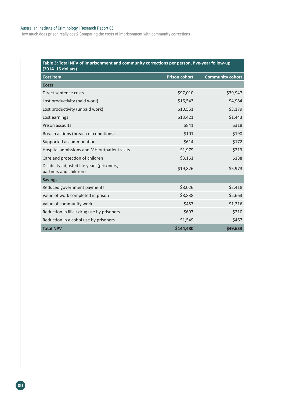#### Australian Institute of Criminology | Research Report 05

How much does prison really cost? Comparing the costs of imprisonment with community corrections

| Table 3: Total NPV of imprisonment and community corrections per person, five-year follow-up<br>(2014-15 dollars) |                      |                         |  |
|-------------------------------------------------------------------------------------------------------------------|----------------------|-------------------------|--|
| <b>Cost item</b>                                                                                                  | <b>Prison cohort</b> | <b>Community cohort</b> |  |
| <b>Costs</b>                                                                                                      |                      |                         |  |
| Direct sentence costs                                                                                             | \$97,010             | \$39,947                |  |
| Lost productivity (paid work)                                                                                     | \$16,543             | \$4,984                 |  |
| Lost productivity (unpaid work)                                                                                   | \$10,551             | \$3,179                 |  |
| Lost earnings                                                                                                     | \$13,421             | \$1,443                 |  |
| Prison assaults                                                                                                   | \$841                | \$318                   |  |
| Breach actions (breach of conditions)                                                                             | \$101                | \$190                   |  |
| Supported accommodation                                                                                           | \$614                | \$172                   |  |
| Hospital admissions and MH outpatient visits                                                                      | \$1,979              | \$213                   |  |
| Care and protection of children                                                                                   | \$3,161              | \$188                   |  |
| Disability adjusted life years (prisoners,<br>partners and children)                                              | \$19,826             | \$5,973                 |  |
| <b>Savings</b>                                                                                                    |                      |                         |  |
| Reduced government payments                                                                                       | \$8,026              | \$2,418                 |  |
| Value of work completed in prison                                                                                 | \$8,838              | \$2,663                 |  |
| Value of community work                                                                                           | \$457                | \$1,216                 |  |
| Reduction in illicit drug use by prisoners                                                                        | \$697                | \$210                   |  |
| Reduction in alcohol use by prisoners                                                                             | \$1,549              | \$467                   |  |
| <b>Total NPV</b>                                                                                                  | \$144,480            | \$49,633                |  |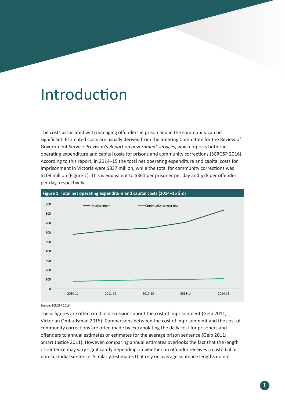# Introduction

The costs associated with managing offenders in prison and in the community can be significant. Estimated costs are usually derived from the Steering Committee for the Review of Government Service Provision's *Report on government services*, which reports both the operating expenditure and capital costs for prisons and community corrections (SCRGSP 2016). According to this report, in 2014–15 the total net operating expenditure and capital costs for imprisonment in Victoria were \$837 million, while the total for community corrections was \$109 million (Figure 1). This is equivalent to \$361 per prisoner per day and \$28 per offender per day, respectively.



Source: SCRGSP 2016

These figures are often cited in discussions about the cost of imprisonment (Gelb 2011; Victorian Ombudsman 2015). Comparisons between the cost of imprisonment and the cost of community corrections are often made by extrapolating the daily cost for prisoners and offenders to annual estimates or estimates for the average prison sentence (Gelb 2011; Smart Justice 2011). However, comparing annual estimates overlooks the fact that the length of sentence may vary significantly depending on whether an offender receives a custodial or non-custodial sentence. Similarly, estimates that rely on average sentence lengths do not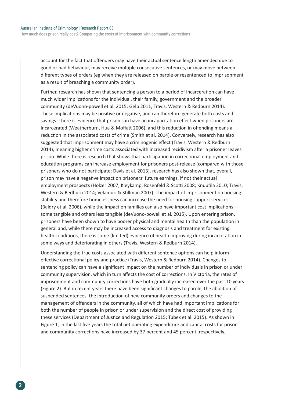account for the fact that offenders may have their actual sentence length amended due to good or bad behaviour, may receive multiple consecutive sentences, or may move between different types of orders (eg when they are released on parole or resentenced to imprisonment as a result of breaching a community order).

Further, research has shown that sentencing a person to a period of incarceration can have much wider implications for the individual, their family, government and the broader community (deVuono-powell et al. 2015; Gelb 2011; Travis, Western & Redburn 2014). These implications may be positive or negative, and can therefore generate both costs and savings. There is evidence that prison can have an incapacitation effect when prisoners are incarcerated (Weatherburn, Hua & Moffatt 2006), and this reduction in offending means a reduction in the associated costs of crime (Smith et al. 2014). Conversely, research has also suggested that imprisonment may have a criminogenic effect (Travis, Western & Redburn 2014), meaning higher crime costs associated with increased recidivism after a prisoner leaves prison. While there is research that shows that participation in correctional employment and education programs can increase employment for prisoners post-release (compared with those prisoners who do not participate; Davis et al. 2013), research has also shown that, overall, prison may have a negative impact on prisoners' future earnings, if not their actual employment prospects (Holzer 2007; Kleykamp, Rosenfeld & Scotti 2008; Knuutila 2010; Travis, Western & Redburn 2014; Velamuri & Stillman 2007). The impact of imprisonment on housing stability and therefore homelessness can increase the need for housing support services (Baldry et al. 2006), while the impact on families can also have important cost implications some tangible and others less tangible (deVuono-powell et al. 2015). Upon entering prison, prisoners have been shown to have poorer physical and mental health than the population in general and, while there may be increased access to diagnosis and treatment for existing health conditions, there is some (limited) evidence of health improving during incarceration in some ways and deteriorating in others (Travis, Western & Redburn 2014).

Understanding the true costs associated with different sentence options can help inform effective correctional policy and practice (Travis, Western & Redburn 2014). Changes to sentencing policy can have a significant impact on the number of individuals in prison or under community supervision, which in turn affects the cost of corrections. In Victoria, the rates of imprisonment and community corrections have both gradually increased over the past 10 years (Figure 2). But in recent years there have been significant changes to parole, the abolition of suspended sentences, the introduction of new community orders and changes to the management of offenders in the community, all of which have had important implications for both the number of people in prison or under supervision and the direct cost of providing these services (Department of Justice and Regulation 2015; Tubex et al. 2015). As shown in Figure 1, in the last five years the total net operating expenditure and capital costs for prison and community corrections have increased by 37 percent and 45 percent, respectively.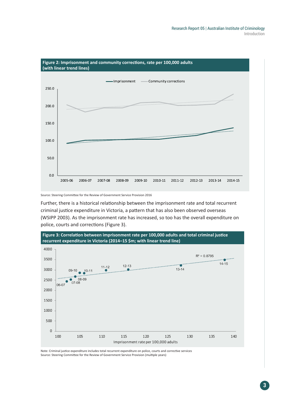

Source: Steering Committee for the Review of Government Service Provision 2016

Further, there is a historical relationship between the imprisonment rate and total recurrent criminal justice expenditure in Victoria, a pattern that has also been observed overseas (WSIPP 2003). As the imprisonment rate has increased, so too has the overall expenditure on police, courts and corrections (Figure 3).



Note: Criminal justice expenditure includes total recurrent expenditure on police, courts and corrective services Source: Steering Committee for the Review of Government Service Provision (multiple years)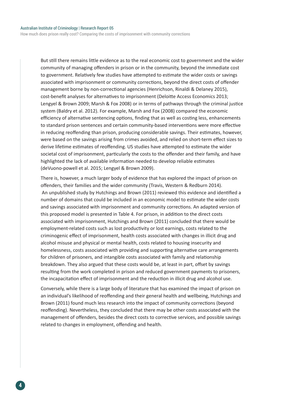How much does prison really cost? Comparing the costs of imprisonment with community corrections

But still there remains little evidence as to the real economic cost to government and the wider community of managing offenders in prison or in the community, beyond the immediate cost to government. Relatively few studies have attempted to estimate the wider costs or savings associated with imprisonment or community corrections, beyond the direct costs of offender management borne by non-correctional agencies (Henrichson, Rinaldi & Delaney 2015), cost-benefit analyses for alternatives to imprisonment (Deloitte Access Economics 2013; Lengyel & Brown 2009; Marsh & Fox 2008) or in terms of pathways through the criminal justice system (Baldry et al. 2012). For example, Marsh and Fox (2008) compared the economic efficiency of alternative sentencing options, finding that as well as costing less, enhancements to standard prison sentences and certain community-based interventions were more effective in reducing reoffending than prison, producing considerable savings. Their estimates, however, were based on the savings arising from crimes avoided, and relied on short-term effect sizes to derive lifetime estimates of reoffending. US studies have attempted to estimate the wider societal cost of imprisonment, particularly the costs to the offender and their family, and have highlighted the lack of available information needed to develop reliable estimates (deVuono-powell et al. 2015; Lengyel & Brown 2009).

There is, however, a much larger body of evidence that has explored the impact of prison on offenders, their families and the wider community (Travis, Western & Redburn 2014). An unpublished study by Hutchings and Brown (2011) reviewed this evidence and identified a number of domains that could be included in an economic model to estimate the wider costs and savings associated with imprisonment and community corrections. An adapted version of this proposed model is presented in Table 4. For prison, in addition to the direct costs associated with imprisonment, Hutchings and Brown (2011) concluded that there would be employment-related costs such as lost productivity or lost earnings, costs related to the criminogenic effect of imprisonment, health costs associated with changes in illicit drug and alcohol misuse and physical or mental health, costs related to housing insecurity and homelessness, costs associated with providing and supporting alternative care arrangements for children of prisoners, and intangible costs associated with family and relationship breakdown. They also argued that these costs would be, at least in part, offset by savings resulting from the work completed in prison and reduced government payments to prisoners, the incapacitation effect of imprisonment and the reduction in illicit drug and alcohol use.

Conversely, while there is a large body of literature that has examined the impact of prison on an individual's likelihood of reoffending and their general health and wellbeing, Hutchings and Brown (2011) found much less research into the impact of community corrections (beyond reoffending). Nevertheless, they concluded that there may be other costs associated with the management of offenders, besides the direct costs to corrective services, and possible savings related to changes in employment, offending and health.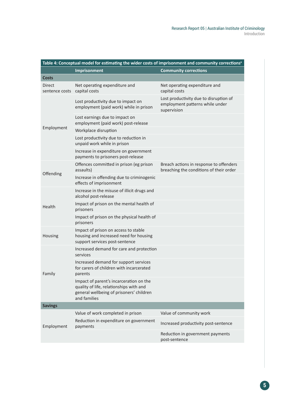| Table 4: Conceptual model for estimating the wider costs of imprisonment and community corrections <sup>a</sup> |                                                                                                                                                |                                                                                          |  |
|-----------------------------------------------------------------------------------------------------------------|------------------------------------------------------------------------------------------------------------------------------------------------|------------------------------------------------------------------------------------------|--|
|                                                                                                                 | <b>Imprisonment</b>                                                                                                                            | <b>Community corrections</b>                                                             |  |
| <b>Costs</b>                                                                                                    |                                                                                                                                                |                                                                                          |  |
| Direct<br>sentence costs                                                                                        | Net operating expenditure and<br>capital costs                                                                                                 | Net operating expenditure and<br>capital costs                                           |  |
|                                                                                                                 | Lost productivity due to impact on<br>employment (paid work) while in prison                                                                   | Lost productivity due to disruption of<br>employment patterns while under<br>supervision |  |
|                                                                                                                 | Lost earnings due to impact on<br>employment (paid work) post-release                                                                          |                                                                                          |  |
| Employment                                                                                                      | Workplace disruption                                                                                                                           |                                                                                          |  |
|                                                                                                                 | Lost productivity due to reduction in<br>unpaid work while in prison                                                                           |                                                                                          |  |
|                                                                                                                 | Increase in expenditure on government<br>payments to prisoners post-release                                                                    |                                                                                          |  |
| Offending                                                                                                       | Offences committed in prison (eg prison<br>assaults)                                                                                           | Breach actions in response to offenders<br>breaching the conditions of their order       |  |
|                                                                                                                 | Increase in offending due to criminogenic<br>effects of imprisonment                                                                           |                                                                                          |  |
|                                                                                                                 | Increase in the misuse of illicit drugs and<br>alcohol post-release                                                                            |                                                                                          |  |
| Health                                                                                                          | Impact of prison on the mental health of<br>prisoners                                                                                          |                                                                                          |  |
|                                                                                                                 | Impact of prison on the physical health of<br>prisoners                                                                                        |                                                                                          |  |
| Housing                                                                                                         | Impact of prison on access to stable<br>housing and increased need for housing<br>support services post-sentence                               |                                                                                          |  |
|                                                                                                                 | Increased demand for care and protection<br>services                                                                                           |                                                                                          |  |
| Family                                                                                                          | Increased demand for support services<br>for carers of children with incarcerated<br>parents                                                   |                                                                                          |  |
|                                                                                                                 | Impact of parent's incarceration on the<br>quality of life, relationships with and<br>general wellbeing of prisoners' children<br>and families |                                                                                          |  |
| <b>Savings</b>                                                                                                  |                                                                                                                                                |                                                                                          |  |
|                                                                                                                 | Value of work completed in prison                                                                                                              | Value of community work                                                                  |  |
| Employment                                                                                                      | Reduction in expenditure on government<br>payments                                                                                             | Increased productivity post-sentence                                                     |  |
|                                                                                                                 |                                                                                                                                                | Reduction in government payments<br>post-sentence                                        |  |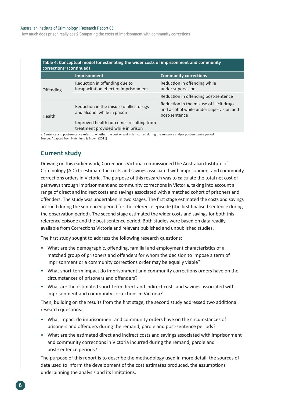#### Australian Institute of Criminology | Research Report 05

How much does prison really cost? Comparing the costs of imprisonment with community corrections

| Table 4: Conceptual model for estimating the wider costs of imprisonment and community<br>corrections <sup>a</sup> (continued) |                                                                                                                                                                                                                                                                                                                  |                                                                                                      |
|--------------------------------------------------------------------------------------------------------------------------------|------------------------------------------------------------------------------------------------------------------------------------------------------------------------------------------------------------------------------------------------------------------------------------------------------------------|------------------------------------------------------------------------------------------------------|
|                                                                                                                                | <b>Imprisonment</b>                                                                                                                                                                                                                                                                                              | <b>Community corrections</b>                                                                         |
| Offending                                                                                                                      | Reduction in offending due to<br>incapacitation effect of imprisonment                                                                                                                                                                                                                                           | Reduction in offending while<br>under supervision                                                    |
|                                                                                                                                |                                                                                                                                                                                                                                                                                                                  | Reduction in offending post-sentence                                                                 |
| Health                                                                                                                         | Reduction in the misuse of illicit drugs<br>and alcohol while in prison                                                                                                                                                                                                                                          | Reduction in the misuse of illicit drugs<br>and alcohol while under supervision and<br>post-sentence |
|                                                                                                                                | Improved health outcomes resulting from<br>treatment provided while in prison<br>$\sim$ . The set of the set of the set of the set of the set of the set of the set of the set of the set of the set of the set of the set of the set of the set of the set of the set of the set of the set of the set of the s |                                                                                                      |

a: Sentence and post-sentence refers to whether the cost or saving is incurred during the sentence and/or post-sentence period Source: Adapted from Hutchings & Brown (2011)

### **Current study**

Drawing on this earlier work, Corrections Victoria commissioned the Australian Institute of Criminology (AIC) to estimate the costs and savings associated with imprisonment and community corrections orders in Victoria. The purpose of this research was to calculate the total net cost of pathways through imprisonment and community corrections in Victoria, taking into account a range of direct and indirect costs and savings associated with a matched cohort of prisoners and offenders. The study was undertaken in two stages. The first stage estimated the costs and savings accrued during the sentenced period for the reference episode (the first finalised sentence during the observation period). The second stage estimated the wider costs and savings for both this reference episode and the post-sentence period. Both studies were based on data readily available from Corrections Victoria and relevant published and unpublished studies.

The first study sought to address the following research questions:

- What are the demographic, offending, familial and employment characteristics of a matched group of prisoners and offenders for whom the decision to impose a term of imprisonment or a community corrections order may be equally viable?
- What short-term impact do imprisonment and community corrections orders have on the circumstances of prisoners and offenders?
- What are the estimated short-term direct and indirect costs and savings associated with imprisonment and community corrections in Victoria?

Then, building on the results from the first stage, the second study addressed two additional research questions:

- What impact do imprisonment and community orders have on the circumstances of prisoners and offenders during the remand, parole and post-sentence periods?
- What are the estimated direct and indirect costs and savings associated with imprisonment and community corrections in Victoria incurred during the remand, parole and post-sentence periods?

The purpose of this report is to describe the methodology used in more detail, the sources of data used to inform the development of the cost estimates produced, the assumptions underpinning the analysis and its limitations.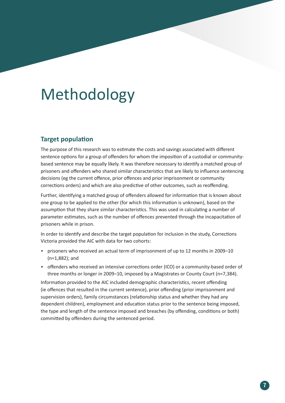# Methodology

### **Target population**

The purpose of this research was to estimate the costs and savings associated with different sentence options for a group of offenders for whom the imposition of a custodial or communitybased sentence may be equally likely. It was therefore necessary to identify a matched group of prisoners and offenders who shared similar characteristics that are likely to influence sentencing decisions (eg the current offence, prior offences and prior imprisonment or community corrections orders) and which are also predictive of other outcomes, such as reoffending.

Further, identifying a matched group of offenders allowed for information that is known about one group to be applied to the other (for which this information is unknown), based on the assumption that they share similar characteristics. This was used in calculating a number of parameter estimates, such as the number of offences prevented through the incapacitation of prisoners while in prison.

In order to identify and describe the target population for inclusion in the study, Corrections Victoria provided the AIC with data for two cohorts:

- prisoners who received an actual term of imprisonment of up to 12 months in 2009–10 (n=1,882); and
- offenders who received an intensive corrections order (ICO) or a community-based order of three months or longer in 2009–10, imposed by a Magistrates or County Court (n=7,384).

Information provided to the AIC included demographic characteristics, recent offending (ie offences that resulted in the current sentence), prior offending (prior imprisonment and supervision orders), family circumstances (relationship status and whether they had any dependent children), employment and education status prior to the sentence being imposed, the type and length of the sentence imposed and breaches (by offending, conditions or both) committed by offenders during the sentenced period.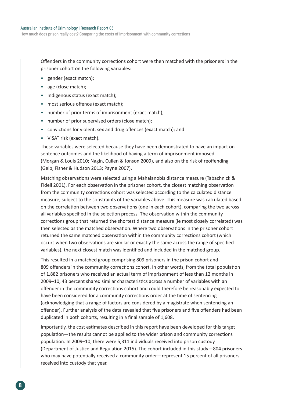Offenders in the community corrections cohort were then matched with the prisoners in the prisoner cohort on the following variables:

- gender (exact match);
- age (close match);
- Indigenous status (exact match);
- most serious offence (exact match):
- number of prior terms of imprisonment (exact match);
- number of prior supervised orders (close match);
- convictions for violent, sex and drug offences (exact match); and
- VISAT risk (exact match).

These variables were selected because they have been demonstrated to have an impact on sentence outcomes and the likelihood of having a term of imprisonment imposed (Morgan & Louis 2010; Nagin, Cullen & Jonson 2009), and also on the risk of reoffending (Gelb, Fisher & Hudson 2013; Payne 2007).

Matching observations were selected using a Mahalanobis distance measure (Tabachnick & Fidell 2001). For each observation in the prisoner cohort, the closest matching observation from the community corrections cohort was selected according to the calculated distance measure, subject to the constraints of the variables above. This measure was calculated based on the correlation between two observations (one in each cohort), comparing the two across all variables specified in the selection process. The observation within the community corrections group that returned the shortest distance measure (ie most closely correlated) was then selected as the matched observation. Where two observations in the prisoner cohort returned the same matched observation within the community corrections cohort (which occurs when two observations are similar or exactly the same across the range of specified variables), the next closest match was identified and included in the matched group.

This resulted in a matched group comprising 809 prisoners in the prison cohort and 809 offenders in the community corrections cohort. In other words, from the total population of 1,882 prisoners who received an actual term of imprisonment of less than 12 months in 2009–10, 43 percent shared similar characteristics across a number of variables with an offender in the community corrections cohort and could therefore be reasonably expected to have been considered for a community corrections order at the time of sentencing (acknowledging that a range of factors are considered by a magistrate when sentencing an offender). Further analysis of the data revealed that five prisoners and five offenders had been duplicated in both cohorts, resulting in a final sample of 1,608.

Importantly, the cost estimates described in this report have been developed for this target population—the results cannot be applied to the wider prison and community corrections population. In 2009–10, there were 5,311 individuals received into prison custody (Department of Justice and Regulation 2015). The cohort included in this study—804 prisoners who may have potentially received a community order—represent 15 percent of all prisoners received into custody that year.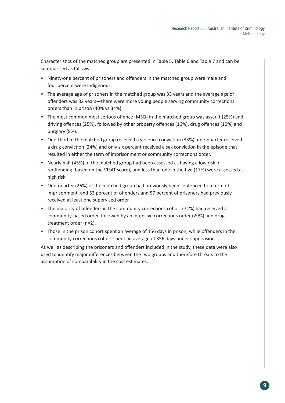Characteristics of the matched group are presented in Table 5, Table 6 and Table 7 and can be summarised as follows:

- Ninety-one percent of prisoners and offenders in the matched group were male and four percent were Indigenous.
- The average age of prisoners in the matched group was 33 years and the average age of offenders was 32 years—there were more young people serving community corrections orders than in prison (40% vs 34%).
- The most common most serious offence (MSO) in the matched group was assault (25%) and driving offences (25%), followed by other property offences (16%), drug offences (10%) and burglary (8%).
- One-third of the matched group received a violence conviction (33%), one-quarter received a drug conviction (24%) and only six percent received a sex conviction in the episode that resulted in either the term of imprisonment or community corrections order.
- Nearly half (45%) of the matched group had been assessed as having a low risk of reoffending (based on the VISAT score), and less than one in the five (17%) were assessed as high risk.
- One-quarter (26%) of the matched group had previously been sentenced to a term of imprisonment, and 53 percent of offenders and 57 percent of prisoners had previously received at least one supervised order.
- The majority of offenders in the community corrections cohort (71%) had received a community-based order, followed by an intensive corrections order (29%) and drug treatment order (n=2).
- Those in the prison cohort spent an average of 156 days in prison, while offenders in the community corrections cohort spent an average of 356 days under supervision.

As well as describing the prisoners and offenders included in the study, these data were also used to identify major differences between the two groups and therefore threats to the assumption of comparability in the cost estimates.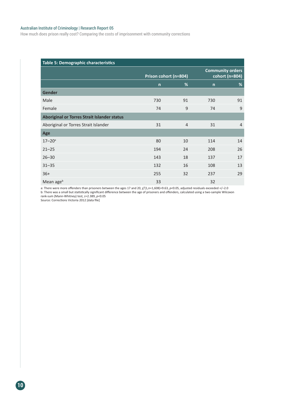#### Australian Institute of Criminology | Research Report 05

How much does prison really cost? Comparing the costs of imprisonment with community corrections

| <b>Table 5: Demographic characteristics</b> |                       |                |                         |                |  |  |
|---------------------------------------------|-----------------------|----------------|-------------------------|----------------|--|--|
|                                             | Prison cohort (n=804) |                | <b>Community orders</b> | cohort (n=804) |  |  |
|                                             | $\mathsf{n}$          | %              | $\mathsf{n}$            | %              |  |  |
| <b>Gender</b>                               |                       |                |                         |                |  |  |
| Male                                        | 730                   | 91             | 730                     | 91             |  |  |
| Female                                      | 74                    | 9              | 74                      | 9              |  |  |
| Aboriginal or Torres Strait Islander status |                       |                |                         |                |  |  |
| Aboriginal or Torres Strait Islander        | 31                    | $\overline{4}$ | 31                      | $\overline{4}$ |  |  |
| Age                                         |                       |                |                         |                |  |  |
| $17 - 20$ <sup>a</sup>                      | 80                    | 10             | 114                     | 14             |  |  |
| $21 - 25$                                   | 194                   | 24             | 208                     | 26             |  |  |
| $26 - 30$                                   | 143                   | 18             | 137                     | 17             |  |  |
| $31 - 35$                                   | 132                   | 16             | 108                     | 13             |  |  |
| $36+$                                       | 255                   | 32             | 237                     | 29             |  |  |
| Mean ageb                                   | 33                    |                | 32                      |                |  |  |

a: There were more offenders than prisoners between the ages 17 and 20,  $\chi^2(1,n=1,608)=9.63$ ,  $\rho<0.05$ , adjusted residuals exceeded +/-2.0 b: There was a small but statistically significant difference between the age of prisoners and offenders, calculated using a two-sample Wilcoxon rank-sum (Mann-Whitney) test, z=2.389, *p<*0.05

Source: Corrections Victoria 2012 [data file]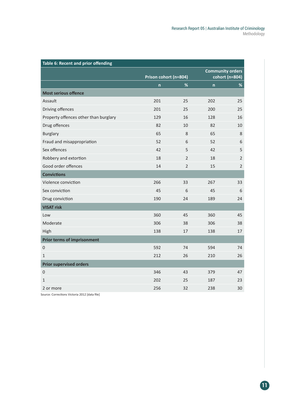| Table 6: Recent and prior offending   |              |                       |              |                                           |  |  |
|---------------------------------------|--------------|-----------------------|--------------|-------------------------------------------|--|--|
|                                       |              | Prison cohort (n=804) |              | <b>Community orders</b><br>cohort (n=804) |  |  |
|                                       | $\mathsf{n}$ | %                     | $\mathsf{n}$ | $\%$                                      |  |  |
| <b>Most serious offence</b>           |              |                       |              |                                           |  |  |
| Assault                               | 201          | 25                    | 202          | 25                                        |  |  |
| Driving offences                      | 201          | 25                    | 200          | 25                                        |  |  |
| Property offences other than burglary | 129          | 16                    | 128          | 16                                        |  |  |
| Drug offences                         | 82           | 10                    | 82           | 10                                        |  |  |
| <b>Burglary</b>                       | 65           | 8                     | 65           | 8                                         |  |  |
| Fraud and misappropriation            | 52           | 6                     | 52           | 6                                         |  |  |
| Sex offences                          | 42           | 5                     | 42           | 5                                         |  |  |
| Robbery and extortion                 | 18           | $\overline{2}$        | 18           | $\overline{2}$                            |  |  |
| Good order offences                   | 14           | $\overline{2}$        | 15           | $\overline{2}$                            |  |  |
| <b>Convictions</b>                    |              |                       |              |                                           |  |  |
| Violence conviction                   | 266          | 33                    | 267          | 33                                        |  |  |
| Sex conviction                        | 45           | 6                     | 45           | 6                                         |  |  |
| Drug conviction                       | 190          | 24                    | 189          | 24                                        |  |  |
| <b>VISAT risk</b>                     |              |                       |              |                                           |  |  |
| Low                                   | 360          | 45                    | 360          | 45                                        |  |  |
| Moderate                              | 306          | 38                    | 306          | 38                                        |  |  |
| High                                  | 138          | 17                    | 138          | 17                                        |  |  |
| <b>Prior terms of imprisonment</b>    |              |                       |              |                                           |  |  |
| $\boldsymbol{0}$                      | 592          | 74                    | 594          | 74                                        |  |  |
| $\mathbf{1}$                          | 212          | 26                    | 210          | 26                                        |  |  |
| <b>Prior supervised orders</b>        |              |                       |              |                                           |  |  |
| $\boldsymbol{0}$                      | 346          | 43                    | 379          | 47                                        |  |  |
| $\mathbf{1}$                          | 202          | 25                    | 187          | 23                                        |  |  |
| 2 or more                             | 256          | 32                    | 238          | 30                                        |  |  |

Source: Corrections Victoria 2012 [data file]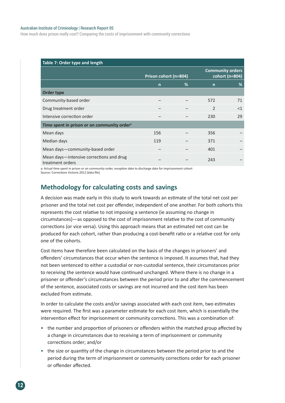#### Australian Institute of Criminology | Research Report 05

How much does prison really cost? Comparing the costs of imprisonment with community corrections

| Table 7: Order type and length                               |                       |   |                         |                |  |
|--------------------------------------------------------------|-----------------------|---|-------------------------|----------------|--|
|                                                              | Prison cohort (n=804) |   | <b>Community orders</b> | cohort (n=804) |  |
|                                                              | $\mathsf{n}$          | % | $\mathsf{n}$            | %              |  |
| Order type                                                   |                       |   |                         |                |  |
| Community-based order                                        |                       |   | 572                     | 71             |  |
| Drug treatment order                                         |                       |   | $\overline{2}$          | $<$ 1          |  |
| Intensive correction order                                   |                       |   | 230                     | 29             |  |
| Time spent in prison or on community order <sup>a</sup>      |                       |   |                         |                |  |
| Mean days                                                    | 156                   |   | 356                     |                |  |
| Median days                                                  | 119                   |   | 371                     |                |  |
| Mean days-community-based order                              |                       |   | 401                     |                |  |
| Mean days-intensive corrections and drug<br>treatment orders |                       |   | 243                     |                |  |

a: Actual time spent in prison or on community order, reception date to discharge date for imprisonment cohort Source: Corrections Victoria 2012 [data file]

### **Methodology for calculating costs and savings**

A decision was made early in this study to work towards an estimate of the total net cost per prisoner and the total net cost per offender, independent of one another. For both cohorts this represents the cost relative to not imposing a sentence (ie assuming no change in circumstances)—as opposed to the cost of imprisonment relative to the cost of community corrections (or vice versa). Using this approach means that an estimated net cost can be produced for each cohort, rather than producing a cost-benefit ratio or a relative cost for only one of the cohorts.

Cost items have therefore been calculated on the basis of the changes in prisoners' and offenders' circumstances that occur when the sentence is imposed. It assumes that, had they not been sentenced to either a custodial or non-custodial sentence, their circumstances prior to receiving the sentence would have continued unchanged. Where there is no change in a prisoner or offender's circumstances between the period prior to and after the commencement of the sentence, associated costs or savings are not incurred and the cost item has been excluded from estimate.

In order to calculate the costs and/or savings associated with each cost item, two estimates were required. The first was a parameter estimate for each cost item, which is essentially the intervention effect for imprisonment or community corrections. This was a combination of:

- the number and proportion of prisoners or offenders within the matched group affected by a change in circumstances due to receiving a term of imprisonment or community corrections order; and/or
- the size or quantity of the change in circumstances between the period prior to and the period during the term of imprisonment or community corrections order for each prisoner or offender affected.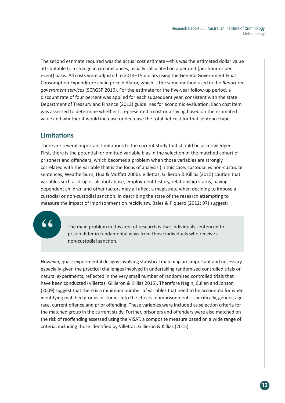The second estimate required was the actual cost estimate—this was the estimated dollar value attributable to a change in circumstances, usually calculated on a per unit (per hour or per event) basis. All costs were adjusted to 2014–15 dollars using the General Government Final Consumption Expenditure chain price deflator, which is the same method used in the *Report on government services* (SCRGSP 2016). For the estimate for the five-year follow-up period, a discount rate of four percent was applied for each subsequent year, consistent with the state Department of Treasury and Finance (2013) guidelines for economic evaluation. Each cost item was assessed to determine whether it represented a cost or a saving based on the estimated value and whether it would increase or decrease the total net cost for that sentence type.

### **Limitations**

There are several important limitations to the current study that should be acknowledged. First, there is the potential for omitted variable bias in the selection of the matched cohort of prisoners and offenders, which becomes a problem when those variables are strongly correlated with the variable that is the focus of analysis (in this case, custodial vs non-custodial sentences; Weatherburn, Hua & Moffatt 2006). Villettaz, Gillieron & Killias (2015) caution that variables such as drug or alcohol abuse, employment history, relationship status, having dependent children and other factors may all affect a magistrate when deciding to impose a custodial or non-custodial sanction. In describing the state of the research attempting to measure the impact of imprisonment on recidivism, Bales & Piquero (2012: 97) suggest:

66

The main problem in this area of research is that individuals sentenced to prison differ in fundamental ways from those individuals who receive a non-custodial sanction.

However, quasi-experimental designs involving statistical matching are important and necessary, especially given the practical challenges involved in undertaking randomised controlled trials or natural experiments, reflected in the very small number of randomised controlled trials that have been conducted (Villettaz, Gillieron & Killias 2015). Therefore Nagin, Cullen and Jonson (2009) suggest that there is a minimum number of variables that need to be accounted for when identifying matched groups in studies into the effects of imprisonment—specifically, gender, age, race, current offence and prior offending. These variables were included as selection criteria for the matched group in the current study. Further, prisoners and offenders were also matched on the risk of reoffending assessed using the VISAT, a composite measure based on a wide range of criteria, including those identified by Villettaz, Gillieron & Killias (2015).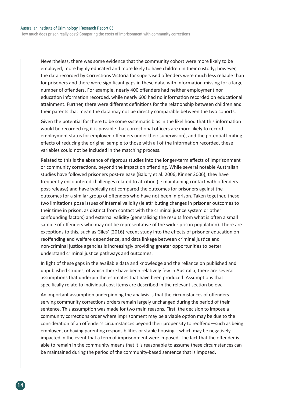How much does prison really cost? Comparing the costs of imprisonment with community corrections

Nevertheless, there was some evidence that the community cohort were more likely to be employed, more highly educated and more likely to have children in their custody; however, the data recorded by Corrections Victoria for supervised offenders were much less reliable than for prisoners and there were significant gaps in these data, with information missing for a large number of offenders. For example, nearly 400 offenders had neither employment nor education information recorded, while nearly 600 had no information recorded on educational attainment. Further, there were different definitions for the relationship between children and their parents that mean the data may not be directly comparable between the two cohorts.

Given the potential for there to be some systematic bias in the likelihood that this information would be recorded (eg it is possible that correctional officers are more likely to record employment status for employed offenders under their supervision), and the potential limiting effects of reducing the original sample to those with all of the information recorded, these variables could not be included in the matching process.

Related to this is the absence of rigorous studies into the longer-term effects of imprisonment or community corrections, beyond the impact on offending. While several notable Australian studies have followed prisoners post-release (Baldry et al. 2006; Kinner 2006), they have frequently encountered challenges related to attrition (ie maintaining contact with offenders post-release) and have typically not compared the outcomes for prisoners against the outcomes for a similar group of offenders who have not been in prison. Taken together, these two limitations pose issues of internal validity (ie attributing changes in prisoner outcomes to their time in prison, as distinct from contact with the criminal justice system or other confounding factors) and external validity (generalising the results from what is often a small sample of offenders who may not be representative of the wider prison population). There are exceptions to this, such as Giles' (2016) recent study into the effects of prisoner education on reoffending and welfare dependence, and data linkage between criminal justice and non-criminal justice agencies is increasingly providing greater opportunities to better understand criminal justice pathways and outcomes.

In light of these gaps in the available data and knowledge and the reliance on published and unpublished studies, of which there have been relatively few in Australia, there are several assumptions that underpin the estimates that have been produced. Assumptions that specifically relate to individual cost items are described in the relevant section below.

An important assumption underpinning the analysis is that the circumstances of offenders serving community corrections orders remain largely unchanged during the period of their sentence. This assumption was made for two main reasons. First, the decision to impose a community corrections order where imprisonment may be a viable option may be due to the consideration of an offender's circumstances beyond their propensity to reoffend—such as being employed, or having parenting responsibilities or stable housing—which may be negatively impacted in the event that a term of imprisonment were imposed. The fact that the offender is able to remain in the community means that it is reasonable to assume these circumstances can be maintained during the period of the community-based sentence that is imposed.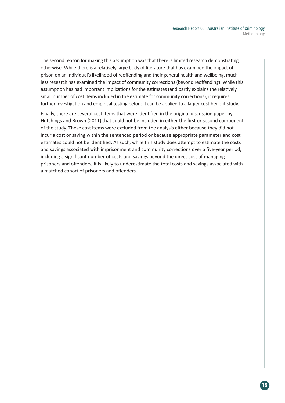The second reason for making this assumption was that there is limited research demonstrating otherwise. While there is a relatively large body of literature that has examined the impact of prison on an individual's likelihood of reoffending and their general health and wellbeing, much less research has examined the impact of community corrections (beyond reoffending). While this assumption has had important implications for the estimates (and partly explains the relatively small number of cost items included in the estimate for community corrections), it requires further investigation and empirical testing before it can be applied to a larger cost-benefit study.

Finally, there are several cost items that were identified in the original discussion paper by Hutchings and Brown (2011) that could not be included in either the first or second component of the study. These cost items were excluded from the analysis either because they did not incur a cost or saving within the sentenced period or because appropriate parameter and cost estimates could not be identified. As such, while this study does attempt to estimate the costs and savings associated with imprisonment and community corrections over a five-year period, including a significant number of costs and savings beyond the direct cost of managing prisoners and offenders, it is likely to underestimate the total costs and savings associated with a matched cohort of prisoners and offenders.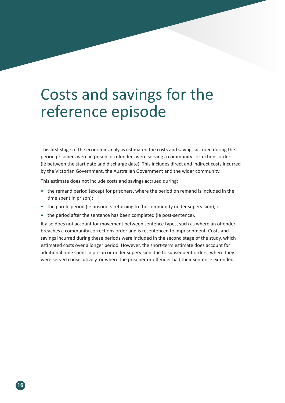# Costs and savings for the reference episode

This first stage of the economic analysis estimated the costs and savings accrued during the period prisoners were in prison or offenders were serving a community corrections order (ie between the start date and discharge date). This includes direct and indirect costs incurred by the Victorian Government, the Australian Government and the wider community.

This estimate does not include costs and savings accrued during:

- the remand period (except for prisoners, where the period on remand is included in the time spent in prison);
- the parole period (ie prisoners returning to the community under supervision); or
- the period after the sentence has been completed (ie post-sentence).

It also does not account for movement between sentence types, such as where an offender breaches a community corrections order and is resentenced to imprisonment. Costs and savings incurred during these periods were included in the second stage of the study, which estimated costs over a longer period. However, the short-term estimate does account for additional time spent in prison or under supervision due to subsequent orders, where they were served consecutively, or where the prisoner or offender had their sentence extended.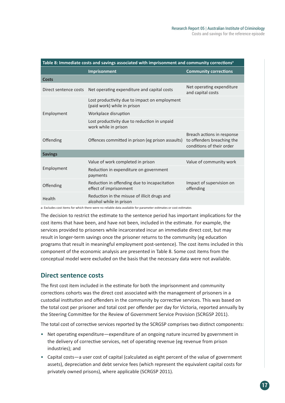| Table 8: Immediate costs and savings associated with imprisonment and community corrections <sup>a</sup> |                                                                              |                                                                                       |  |  |  |
|----------------------------------------------------------------------------------------------------------|------------------------------------------------------------------------------|---------------------------------------------------------------------------------------|--|--|--|
|                                                                                                          | <b>Imprisonment</b>                                                          | <b>Community corrections</b>                                                          |  |  |  |
| <b>Costs</b>                                                                                             |                                                                              |                                                                                       |  |  |  |
| Direct sentence costs                                                                                    | Net operating expenditure and capital costs                                  | Net operating expenditure<br>and capital costs                                        |  |  |  |
|                                                                                                          | Lost productivity due to impact on employment<br>(paid work) while in prison |                                                                                       |  |  |  |
| Employment                                                                                               | Workplace disruption                                                         |                                                                                       |  |  |  |
|                                                                                                          | Lost productivity due to reduction in unpaid<br>work while in prison         |                                                                                       |  |  |  |
| Offending                                                                                                | Offences committed in prison (eg prison assaults)                            | Breach actions in response<br>to offenders breaching the<br>conditions of their order |  |  |  |
| <b>Savings</b>                                                                                           |                                                                              |                                                                                       |  |  |  |
|                                                                                                          | Value of work completed in prison                                            | Value of community work                                                               |  |  |  |
| Employment                                                                                               | Reduction in expenditure on government<br>payments                           |                                                                                       |  |  |  |
| Offending                                                                                                | Reduction in offending due to incapacitation<br>effect of imprisonment       | Impact of supervision on<br>offending                                                 |  |  |  |
| Health                                                                                                   | Reduction in the misuse of illicit drugs and<br>alcohol while in prison      |                                                                                       |  |  |  |

a: Excludes cost items for which there were no reliable data available for parameter estimates or cost estimates

The decision to restrict the estimate to the sentence period has important implications for the cost items that have been, and have not been, included in the estimate. For example, the services provided to prisoners while incarcerated incur an immediate direct cost, but may result in longer-term savings once the prisoner returns to the community (eg education programs that result in meaningful employment post-sentence). The cost items included in this component of the economic analysis are presented in Table 8. Some cost items from the conceptual model were excluded on the basis that the necessary data were not available.

### **Direct sentence costs**

The first cost item included in the estimate for both the imprisonment and community corrections cohorts was the direct cost associated with the management of prisoners in a custodial institution and offenders in the community by corrective services. This was based on the total cost per prisoner and total cost per offender per day for Victoria, reported annually by the Steering Committee for the Review of Government Service Provision (SCRGSP 2011).

The total cost of corrective services reported by the SCRGSP comprises two distinct components:

- Net operating expenditure—expenditure of an ongoing nature incurred by government in the delivery of corrective services, net of operating revenue (eg revenue from prison industries); and
- Capital costs—a user cost of capital (calculated as eight percent of the value of government assets), depreciation and debt service fees (which represent the equivalent capital costs for privately owned prisons), where applicable (SCRGSP 2011).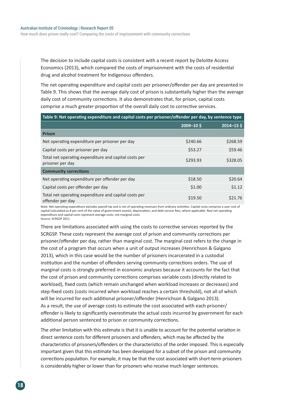The decision to include capital costs is consistent with a recent report by Deloitte Access Economics (2013), which compared the costs of imprisonment with the costs of residential drug and alcohol treatment for Indigenous offenders.

The net operating expenditure and capital costs per prisoner/offender per day are presented in Table 9. This shows that the average daily cost of prison is substantially higher than the average daily cost of community corrections. It also demonstrates that, for prison, capital costs comprise a much greater proportion of the overall daily cost to corrective services.

| Table 9: Net operating expenditure and capital costs per prisoner/offender per day, by sentence type |              |                |  |  |  |
|------------------------------------------------------------------------------------------------------|--------------|----------------|--|--|--|
|                                                                                                      | $2009 - 105$ | $2014 - 15$ \$ |  |  |  |
| <b>Prison</b>                                                                                        |              |                |  |  |  |
| Net operating expenditure per prisoner per day                                                       | \$240.66     | \$268.59       |  |  |  |
| Capital costs per prisoner per day                                                                   | \$53.27      | \$59.46        |  |  |  |
| Total net operating expenditure and capital costs per<br>prisoner per day                            | \$293.93     | \$328.05       |  |  |  |
| <b>Community corrections</b>                                                                         |              |                |  |  |  |
| Net operating expenditure per offender per day                                                       | \$18.50      | \$20.64        |  |  |  |
| Capital costs per offender per day                                                                   | \$1.00       | \$1.12         |  |  |  |
| Total net operating expenditure and capital costs per<br>offender per day                            | \$19.50      | \$21.76        |  |  |  |

Note: Net operating expenditure excludes payroll tax and is net of operating revenues from ordinary activities. Capital costs comprise a user cost of capital (calculated as 8 per cent of the value of government assets), depreciation, and debt service fees, where applicable. Real net operating expenditure and capital costs represent average costs, not marginal costs Source: SCRGSP 2011

There are limitations associated with using the costs to corrective services reported by the SCRGSP. These costs represent the average cost of prison and community corrections per prisoner/offender per day, rather than marginal cost. The marginal cost refers to the change in the cost of a program that occurs when a unit of output increases (Henrichson & Galgano 2013), which in this case would be the number of prisoners incarcerated in a custodial institution and the number of offenders serving community corrections orders. The use of marginal costs is strongly preferred in economic analyses because it accounts for the fact that the cost of prison and community corrections comprises variable costs (directly related to workload), fixed costs (which remain unchanged when workload increases or decreases) and step-fixed costs (costs incurred when workload reaches a certain threshold), not all of which will be incurred for each additional prisoner/offender (Henrichson & Galgano 2013). As a result, the use of average costs to estimate the cost associated with each prisoner/ offender is likely to significantly overestimate the actual costs incurred by government for each additional person sentenced to prison or community corrections.

The other limitation with this estimate is that it is unable to account for the potential variation in direct sentence costs for different prisoners and offenders, which may be affected by the characteristics of prisoners/offenders or the characteristics of the order imposed. This is especially important given that this estimate has been developed for a subset of the prison and community corrections population. For example, it may be that the cost associated with short-term prisoners is considerably higher or lower than for prisoners who receive much longer sentences.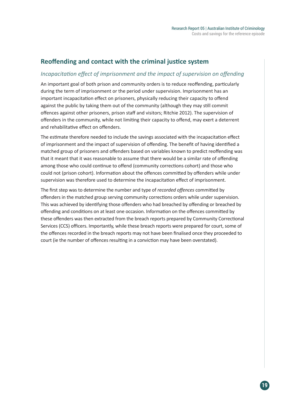### **Reoffending and contact with the criminal justice system**

### *Incapacitation effect of imprisonment and the impact of supervision on offending*

An important goal of both prison and community orders is to reduce reoffending, particularly during the term of imprisonment or the period under supervision. Imprisonment has an important incapacitation effect on prisoners, physically reducing their capacity to offend against the public by taking them out of the community (although they may still commit offences against other prisoners, prison staff and visitors; Ritchie 2012). The supervision of offenders in the community, while not limiting their capacity to offend, may exert a deterrent and rehabilitative effect on offenders.

The estimate therefore needed to include the savings associated with the incapacitation effect of imprisonment and the impact of supervision of offending. The benefit of having identified a matched group of prisoners and offenders based on variables known to predict reoffending was that it meant that it was reasonable to assume that there would be a similar rate of offending among those who could continue to offend (community corrections cohort) and those who could not (prison cohort). Information about the offences committed by offenders while under supervision was therefore used to determine the incapacitation effect of imprisonment.

The first step was to determine the number and type of *recorded offences* committed by offenders in the matched group serving community corrections orders while under supervision. This was achieved by identifying those offenders who had breached by offending or breached by offending and conditions on at least one occasion. Information on the offences committed by these offenders was then extracted from the breach reports prepared by Community Correctional Services (CCS) officers. Importantly, while these breach reports were prepared for court, some of the offences recorded in the breach reports may not have been finalised once they proceeded to court (ie the number of offences resulting in a conviction may have been overstated).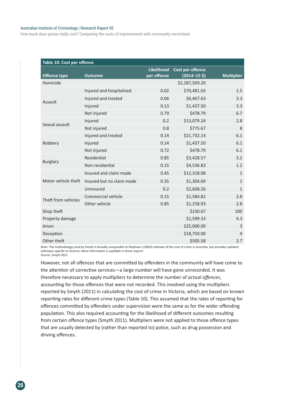#### Australian Institute of Criminology | Research Report 05

How much does prison really cost? Comparing the costs of imprisonment with community corrections

| Table 10: Cost per offence |                           |                   |                         |                   |  |  |
|----------------------------|---------------------------|-------------------|-------------------------|-------------------|--|--|
|                            |                           | <b>Likelihood</b> | <b>Cost per offence</b> |                   |  |  |
| <b>Offence type</b>        | <b>Outcome</b>            | per offence       | $(2014 - 155)$          | <b>Multiplier</b> |  |  |
| Homicide                   |                           |                   | \$2,287,569.20          |                   |  |  |
|                            | Injured and hospitalised  | 0.02              | \$70,481.03             | 1.5               |  |  |
| Assault                    | Injured and treated       | 0.06              | \$6,467.63              | 3.3               |  |  |
|                            | Injured                   | 0.13              | \$1,437.50              | 3.3               |  |  |
|                            | Not injured               | 0.79              | \$478.79                | 6.7               |  |  |
| Sexual assault             | Injured                   | 0.2               | \$13,079.24             | 2.8               |  |  |
|                            | Not injured               | 0.8               | \$775.67                | 8                 |  |  |
| Robbery                    | Injured and treated       | 0.14              | \$21,732.14             | 6.1               |  |  |
|                            | Injured                   | 0.14              | \$1,437.50              | 6.1               |  |  |
|                            | Not injured               | 0.72              | \$478.79                | 6.1               |  |  |
|                            | Residential               | 0.85              | \$3,428.57              | 3.2               |  |  |
| <b>Burglary</b>            | Non-residential           | 0.15              | \$4,536.83              | 1.2               |  |  |
|                            | Insured and claim made    | 0.45              | \$12,318.08             | $\mathbf{1}$      |  |  |
| Motor vehicle theft        | Insured but no claim made | 0.35              | \$1,304.69              | $\mathbf{1}$      |  |  |
|                            | Uninsured                 | 0.2               | \$2,608.26              | $\mathbf{1}$      |  |  |
| Theft from vehicles        | Commercial vehicle        | 0.15              | \$1,584.82              | 2.8               |  |  |
|                            | Other vehicle             | 0.85              | \$1,258.93              | 2.8               |  |  |
| Shop theft                 |                           |                   | \$150.67                | 100               |  |  |
| Property damage            |                           |                   | \$1,599.33              | 4.3               |  |  |
| Arson                      |                           |                   | \$25,000.00             | 3                 |  |  |
| Deception                  |                           |                   | \$18,750.00             | $\overline{4}$    |  |  |
| Other theft                |                           |                   | \$505.58                | 2.7               |  |  |

Note: The methodology used by Smyth is broadly comparable to Mayhew's (2003) estimate of the cost of crime in Australia, but provides updated estimates specific to Victoria. More information is available in these reports Source: Smyth 2011

However, not all offences that are committed by offenders in the community will have come to the attention of corrective services—a large number will have gone unrecorded. It was therefore necessary to apply multipliers to determine the number of *actual offences*, accounting for those offences that were not recorded. This involved using the multipliers reported by Smyth (2011) in calculating the cost of crime in Victoria, which are based on known reporting rates for different crime types (Table 10). This assumed that the rates of reporting for offences committed by offenders under supervision were the same as for the wider offending population. This also required accounting for the likelihood of different outcomes resulting from certain offence types (Smyth 2011). Multipliers were not applied to those offence types that are usually detected by (rather than reported to) police, such as drug possession and driving offences.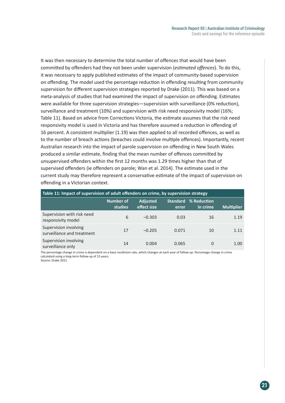**21**

It was then necessary to determine the total number of offences that would have been committed by offenders had they not been under supervision (*estimated offences*). To do this, it was necessary to apply published estimates of the impact of community-based supervision on offending. The model used the percentage reduction in offending resulting from community supervision for different supervision strategies reported by Drake (2011). This was based on a meta-analysis of studies that had examined the impact of supervision on offending. Estimates were available for three supervision strategies—supervision with surveillance (0% reduction), surveillance and treatment (10%) and supervision with risk need responsivity model (16%; Table 11). Based on advice from Corrections Victoria, the estimate assumes that the risk need responsivity model is used in Victoria and has therefore assumed a reduction in offending of 16 percent. A consistent multiplier (1.19) was then applied to all recorded offences, as well as to the number of breach actions (breaches could involve multiple offences). Importantly, recent Australian research into the impact of parole supervision on offending in New South Wales produced a similar estimate, finding that the mean number of offences committed by unsupervised offenders within the first 12 months was 1.29 times higher than that of supervised offenders (ie offenders on parole; Wan et al. 2014). The estimate used in the current study may therefore represent a conservative estimate of the impact of supervision on offending in a Victorian context.

| Table 11: Impact of supervision of adult offenders on crime, by supervision strategy |                             |                                |                          |                         |                   |  |  |
|--------------------------------------------------------------------------------------|-----------------------------|--------------------------------|--------------------------|-------------------------|-------------------|--|--|
|                                                                                      | <b>Number of</b><br>studies | <b>Adjusted</b><br>effect size | <b>Standard</b><br>error | % Reduction<br>in crime | <b>Multiplier</b> |  |  |
| Supervision with risk need<br>responsivity model                                     | 6                           | $-0.303$                       | 0.03                     | 16                      | 1.19              |  |  |
| Supervision involving<br>surveillance and treatment                                  | 17                          | $-0.205$                       | 0.071                    | 10                      | 1.11              |  |  |
| Supervision involving<br>surveillance only                                           | 14                          | 0.004                          | 0.065                    | 0                       | 1.00              |  |  |

The percentage change in crime is dependent on a base recidivism rate, which changes at each year of follow-up. Percentage change in crime calculated using a long-term follow-up of 15 years. Source: Drake 2011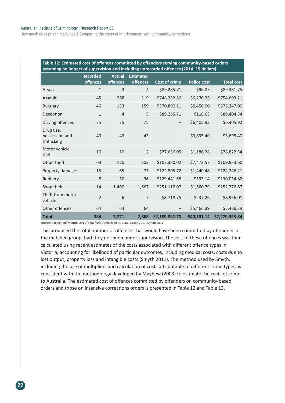#### Australian Institute of Criminology | Research Report 05

How much does prison really cost? Comparing the costs of imprisonment with community corrections

| Table 12: Estimated cost of offences committed by offenders serving community-based orders<br>assuming no impact of supervision and including unrecorded offences (2014-15 dollars) |                                    |                           |                                     |                      |                    |                   |  |
|-------------------------------------------------------------------------------------------------------------------------------------------------------------------------------------|------------------------------------|---------------------------|-------------------------------------|----------------------|--------------------|-------------------|--|
|                                                                                                                                                                                     | <b>Recorded</b><br><b>offences</b> | <b>Actual</b><br>offences | <b>Estimated</b><br><b>offences</b> | <b>Cost of crime</b> | <b>Police cost</b> | <b>Total cost</b> |  |
| Arson                                                                                                                                                                               | $\mathbf{1}$                       | 3                         | $\overline{4}$                      | \$89,285.71          | \$96.03            | \$89,381.75       |  |
| <b>Assault</b>                                                                                                                                                                      | 45                                 | 268                       | 319                                 | \$748,332.86         | \$6,270.35         | \$754,603.21      |  |
| <b>Burglary</b>                                                                                                                                                                     | 46                                 | 133                       | 159                                 | \$570,890.11         | \$5,456.90         | \$576,347.00      |  |
| Deception                                                                                                                                                                           | $\mathbf{1}$                       | $\overline{4}$            | 5                                   | \$89,285.71          | \$118.63           | \$89,404.34       |  |
| Driving offences                                                                                                                                                                    | 75                                 | 75                        | 75                                  | $\qquad \qquad -$    | \$6,405.92         | \$6,405.92        |  |
| Drug use,<br>possession and<br>trafficking                                                                                                                                          | 43                                 | 43                        | 43                                  |                      | \$3,695.40         | \$3,695.40        |  |
| Motor vehicle<br>theft                                                                                                                                                              | 10                                 | 10                        | 12                                  | \$77,636.05          | \$1,186.28         | \$78,822.34       |  |
| Other theft                                                                                                                                                                         | 63                                 | 170                       | 203                                 | \$102,380.02         | \$7,473.57         | \$109,853.60      |  |
| Property damage                                                                                                                                                                     | 15                                 | 65                        | 77                                  | \$122,805.72         | \$1,440.48         | \$124,246.21      |  |
| Robbery                                                                                                                                                                             | 5                                  | 30                        | 36                                  | \$129,441.68         | \$593.14           | \$130,034.82      |  |
| Shop theft                                                                                                                                                                          | 14                                 | 1,400                     | 1,667                               | \$251,116.07         | \$1,660.79         | \$252,776.87      |  |
| Theft from motor<br>vehicle                                                                                                                                                         | $\overline{2}$                     | 6                         | $\overline{7}$                      | \$8,718.75           | \$237.26           | \$8,956.01        |  |
| Other offences                                                                                                                                                                      | 64                                 | 64                        | 64                                  |                      | \$5,466.39         | \$5,466.39        |  |
| <b>Total</b>                                                                                                                                                                        | 384                                | 2,271                     | 2,668                               | \$2,189,892.70       | \$40,101.14        | \$2,229,993.84    |  |

Source: Corrections Victoria 2011 [data file]; Donnelly et al. 2007; Drake 2011; Smyth 2011

This produced the total number of offences that would have been committed by offenders in the matched group, had they not been under supervision. The cost of these offences was then calculated using recent estimates of the costs associated with different offence types in Victoria, accounting for likelihood of particular outcomes, including medical costs, costs due to lost output, property loss and intangible costs (Smyth 2011). The method used by Smyth, including the use of multipliers and calculation of costs attributable to different crime types, is consistent with the methodology developed by Mayhew (2003) to estimate the costs of crime to Australia. The estimated cost of offences committed by offenders on community-based orders and those on intensive corrections orders is presented in Table 12 and Table 13.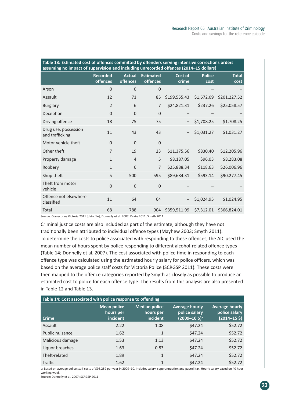| Table 13: Estimated cost of offences committed by offenders serving intensive corrections orders<br>assuming no impact of supervision and including unrecorded offences (2014-15 dollars) |                             |                                  |                              |                  |                       |                      |  |
|-------------------------------------------------------------------------------------------------------------------------------------------------------------------------------------------|-----------------------------|----------------------------------|------------------------------|------------------|-----------------------|----------------------|--|
|                                                                                                                                                                                           | <b>Recorded</b><br>offences | <b>Actual</b><br><b>offences</b> | <b>Estimated</b><br>offences | Cost of<br>crime | <b>Police</b><br>cost | <b>Total</b><br>cost |  |
| Arson                                                                                                                                                                                     | $\overline{0}$              | $\overline{0}$                   | $\overline{0}$               |                  |                       |                      |  |
| Assault                                                                                                                                                                                   | 12                          | 71                               | 85                           | \$199,555.43     | \$1,672.09            | \$201,227.52         |  |
| <b>Burglary</b>                                                                                                                                                                           | $\overline{2}$              | 6                                | $\overline{7}$               | \$24,821.31      | \$237.26              | \$25,058.57          |  |
| Deception                                                                                                                                                                                 | $\overline{0}$              | $\overline{0}$                   | $\overline{0}$               |                  |                       |                      |  |
| Driving offence                                                                                                                                                                           | 18                          | 75                               | 75                           |                  | \$1,708.25            | \$1,708.25           |  |
| Drug use, possession<br>and trafficking                                                                                                                                                   | 11                          | 43                               | 43                           |                  | \$1,031.27            | \$1,031.27           |  |
| Motor vehicle theft                                                                                                                                                                       | $\Omega$                    | $\Omega$                         | $\mathbf 0$                  |                  |                       |                      |  |
| Other theft                                                                                                                                                                               | $\overline{7}$              | 19                               | 23                           | \$11,375.56      | \$830.40              | \$12,205.96          |  |
| Property damage                                                                                                                                                                           | $\mathbf{1}$                | $\overline{4}$                   | 5                            | \$8,187.05       | \$96.03               | \$8,283.08           |  |
| Robbery                                                                                                                                                                                   | $\mathbf{1}$                | 6                                | $\overline{7}$               | \$25,888.34      | \$118.63              | \$26,006.96          |  |
| Shop theft                                                                                                                                                                                | 5                           | 500                              | 595                          | \$89,684.31      | \$593.14              | \$90,277.45          |  |
| Theft from motor<br>vehicle                                                                                                                                                               | $\Omega$                    | $\overline{0}$                   | $\overline{0}$               |                  |                       |                      |  |
| Offence not elsewhere<br>classified                                                                                                                                                       | 11                          | 64                               | 64                           |                  | \$1,024.95            | \$1,024.95           |  |
| Total                                                                                                                                                                                     | 68                          | 788                              | 904                          | \$359,511.99     | \$7,312.01            | \$366,824.01         |  |

Source: Corrections Victoria 2011 [data file]; Donnelly et al. 2007; Drake 2011; Smyth 2011

Criminal justice costs are also included as part of the estimate, although they have not traditionally been attributed to individual offence types (Mayhew 2003; Smyth 2011). To determine the costs to police associated with responding to these offences, the AIC used the mean number of hours spent by police responding to different alcohol-related offence types (Table 14; Donnelly et al. 2007). The cost associated with police time in responding to each offence type was calculated using the estimated hourly salary for police officers, which was based on the average police staff costs for Victoria Police (SCRGSP 2011). These costs were then mapped to the offence categories reported by Smyth as closely as possible to produce an estimated cost to police for each offence type. The results from this analysis are also presented in Table 12 and Table 13.

| Table 14: Cost associated with police response to offending |                                             |                                               |                                                            |                                                                     |  |  |  |
|-------------------------------------------------------------|---------------------------------------------|-----------------------------------------------|------------------------------------------------------------|---------------------------------------------------------------------|--|--|--|
| <b>Crime</b>                                                | <b>Mean police</b><br>hours per<br>incident | <b>Median police</b><br>hours per<br>incident | <b>Average hourly</b><br>police salary<br>$(2009 - 105)^a$ | <b>Average hourly</b><br>police salary<br>$(2014 - 15 \; \text{S})$ |  |  |  |
| Assault                                                     | 2.22                                        | 1.08                                          | \$47.24                                                    | \$52.72                                                             |  |  |  |
| Public nuisance                                             | 1.62                                        | $\mathbf{1}$                                  | \$47.24                                                    | \$52.72                                                             |  |  |  |
| Malicious damage                                            | 1.53                                        | 1.13                                          | \$47.24                                                    | \$52.72                                                             |  |  |  |
| Liquor breaches                                             | 1.63                                        | 0.83                                          | \$47.24                                                    | \$52.72                                                             |  |  |  |
| Theft-related                                               | 1.89                                        | $\mathbf{1}$                                  | \$47.24                                                    | \$52.72                                                             |  |  |  |
| Traffic                                                     | 1.62                                        | 1                                             | \$47.24                                                    | \$52.72                                                             |  |  |  |

a: Based on average police staff costs of \$98,259 per year in 2009–10. Includes salary, superannuation and payroll tax. Hourly salary based on 40 hour working week

Source: Donnelly et al. 2007; SCRGSP 2011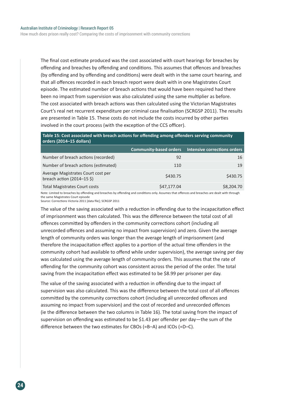How much does prison really cost? Comparing the costs of imprisonment with community corrections

The final cost estimate produced was the cost associated with court hearings for breaches by offending and breaches by offending and conditions. This assumes that offences and breaches (by offending and by offending and conditions) were dealt with in the same court hearing, and that all offences recorded in each breach report were dealt with in one Magistrates Court episode. The estimated number of breach actions that would have been required had there been no impact from supervision was also calculated using the same multiplier as before. The cost associated with breach actions was then calculated using the Victorian Magistrates Court's real net recurrent expenditure per criminal case finalisation (SCRGSP 2011). The results are presented in Table 15. These costs do not include the costs incurred by other parties involved in the court process (with the exception of the CCS officer).

#### **Table 15: Cost associated with breach actions for offending among offenders serving community orders (2014–15 dollars)**

|                                                                                   | <b>Community-based orders</b> | <b>Intensive corrections orders</b> |
|-----------------------------------------------------------------------------------|-------------------------------|-------------------------------------|
| Number of breach actions (recorded)                                               | 92                            | 16                                  |
| Number of breach actions (estimated)                                              | 110                           | 19                                  |
| Average Magistrates Court cost per<br>breach action $(2014-15 \text{ } \text{S})$ | \$430.75                      | \$430.75                            |
| <b>Total Magistrates Court costs</b>                                              | \$47,177.04                   | \$8,204.70                          |

Note: Limited to breaches by offending and breaches by offending and conditions only. Assumes that offences and breaches are dealt with through the same Magistrates Court episode Source: Corrections Victoria 2011 [data file]; SCRGSP 2011

The value of the saving associated with a reduction in offending due to the incapacitation effect of imprisonment was then calculated. This was the difference between the total cost of all offences committed by offenders in the community corrections cohort (including all unrecorded offences and assuming no impact from supervision) and zero. Given the average length of community orders was longer than the average length of imprisonment (and therefore the incapacitation effect applies to a portion of the actual time offenders in the community cohort had available to offend while under supervision), the average saving per day was calculated using the average length of community orders. This assumes that the rate of offending for the community cohort was consistent across the period of the order. The total saving from the incapacitation effect was estimated to be \$8.99 per prisoner per day.

The value of the saving associated with a reduction in offending due to the impact of supervision was also calculated. This was the difference between the total cost of all offences committed by the community corrections cohort (including all unrecorded offences and assuming no impact from supervision) and the cost of recorded and unrecorded offences (ie the difference between the two columns in Table 16). The total saving from the impact of supervision on offending was estimated to be \$1.43 per offender per day—the sum of the difference between the two estimates for CBOs (=B–A) and ICOs (=D–C).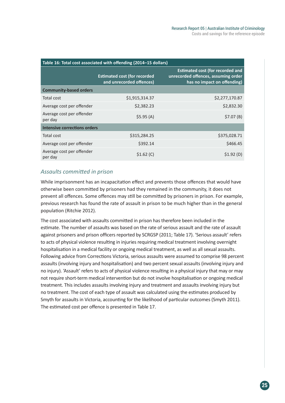| Table 16: Total cost associated with offending (2014-15 dollars) |                                                                 |                                                                                                               |  |  |
|------------------------------------------------------------------|-----------------------------------------------------------------|---------------------------------------------------------------------------------------------------------------|--|--|
|                                                                  | <b>Estimated cost (for recorded</b><br>and unrecorded offences) | <b>Estimated cost (for recorded and</b><br>unrecorded offences, assuming order<br>has no impact on offending) |  |  |
| <b>Community-based orders</b>                                    |                                                                 |                                                                                                               |  |  |
| Total cost                                                       | \$1,915,314.37                                                  | \$2,277,170.87                                                                                                |  |  |
| Average cost per offender                                        | \$2,382.23                                                      | \$2,832.30                                                                                                    |  |  |
| Average cost per offender<br>per day                             | \$5.95(A)                                                       | \$7.07(B)                                                                                                     |  |  |
| Intensive corrections orders                                     |                                                                 |                                                                                                               |  |  |
| Total cost                                                       | \$315,284.25                                                    | \$375,028.71                                                                                                  |  |  |
| Average cost per offender                                        | \$392.14                                                        | \$466.45                                                                                                      |  |  |
| Average cost per offender<br>per day                             | \$1.62(C)                                                       | \$1.92(D)                                                                                                     |  |  |

## *Assaults committed in prison*

While imprisonment has an incapacitation effect and prevents those offences that would have otherwise been committed by prisoners had they remained in the community, it does not prevent all offences. Some offences may still be committed by prisoners in prison. For example, previous research has found the rate of assault in prison to be much higher than in the general population (Ritchie 2012).

The cost associated with assaults committed in prison has therefore been included in the estimate. The number of assaults was based on the rate of serious assault and the rate of assault against prisoners and prison officers reported by SCRGSP (2011; Table 17). 'Serious assault' refers to acts of physical violence resulting in injuries requiring medical treatment involving overnight hospitalisation in a medical facility or ongoing medical treatment, as well as all sexual assaults. Following advice from Corrections Victoria, serious assaults were assumed to comprise 98 percent assaults (involving injury and hospitalisation) and two percent sexual assaults (involving injury and no injury). 'Assault' refers to acts of physical violence resulting in a physical injury that may or may not require short-term medical intervention but do not involve hospitalisation or ongoing medical treatment. This includes assaults involving injury and treatment and assaults involving injury but no treatment. The cost of each type of assault was calculated using the estimates produced by Smyth for assaults in Victoria, accounting for the likelihood of particular outcomes (Smyth 2011). The estimated cost per offence is presented in Table 17.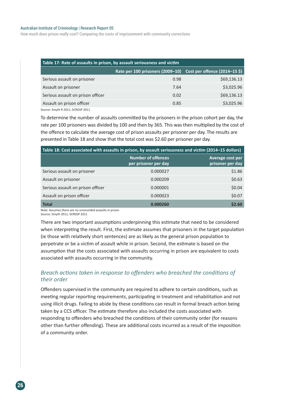#### Australian Institute of Criminology | Research Report 05

How much does prison really cost? Comparing the costs of imprisonment with community corrections

| Table 17: Rate of assaults in prison, by assault seriousness and victim |                                  |                                                        |  |  |
|-------------------------------------------------------------------------|----------------------------------|--------------------------------------------------------|--|--|
|                                                                         | Rate per 100 prisoners (2009-10) | Cost per offence $(2014-15 \text{ } \text{\textless})$ |  |  |
| Serious assault on prisoner                                             | 0.98                             | \$69,136.13                                            |  |  |
| Assault on prisoner                                                     | 7.64                             | \$3,025.96                                             |  |  |
| Serious assault on prison officer                                       | 0.02                             | \$69,136.13                                            |  |  |
| Assault on prison officer                                               | 0.85                             | \$3,025.96                                             |  |  |
| Source: Smyth R 2011; SCRGSP 2011                                       |                                  |                                                        |  |  |

To determine the number of assaults committed by the prisoners in the prison cohort per day, the rate per 100 prisoners was divided by 100 and then by 365. This was then multiplied by the cost of the offence to calculate the average cost of prison assaults per prisoner per day. The results are presented in Table 18 and show that the total cost was \$2.60 per prisoner per day.

| Table 18: Cost associated with assaults in prison, by assault seriousness and victim (2014-15 dollars) |                                                   |                                      |
|--------------------------------------------------------------------------------------------------------|---------------------------------------------------|--------------------------------------|
|                                                                                                        | <b>Number of offences</b><br>per prisoner per day | Average cost per<br>prisoner per day |
| Serious assault on prisoner                                                                            | 0.000027                                          | \$1.86                               |
| Assault on prisoner                                                                                    | 0.000209                                          | \$0.63                               |
| Serious assault on prison officer                                                                      | 0.000001                                          | \$0.04                               |
| Assault on prison officer                                                                              | 0.000023                                          | \$0.07                               |
| <b>Total</b>                                                                                           | 0.000260                                          | \$2.60                               |

Note: Assumes there are no unrecorded assaults in prison Source: Smyth 2011; SCRGSP 2011

There are two important assumptions underpinning this estimate that need to be considered when interpreting the result. First, the estimate assumes that prisoners in the target population (ie those with relatively short sentences) are as likely as the general prison population to perpetrate or be a victim of assault while in prison. Second, the estimate is based on the assumption that the costs associated with assaults occurring in prison are equivalent to costs associated with assaults occurring in the community.

#### *Breach actions taken in response to offenders who breached the conditions of their order*

Offenders supervised in the community are required to adhere to certain conditions, such as meeting regular reporting requirements, participating in treatment and rehabilitation and not using illicit drugs. Failing to abide by these conditions can result in formal breach action being taken by a CCS officer. The estimate therefore also included the costs associated with responding to offenders who breached the conditions of their community order (for reasons other than further offending). These are additional costs incurred as a result of the imposition of a community order.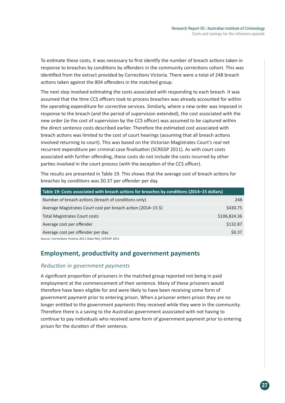To estimate these costs, it was necessary to first identify the number of breach actions taken in response to breaches by conditions by offenders in the community corrections cohort. This was identified from the extract provided by Corrections Victoria. There were a total of 248 breach actions taken against the 804 offenders in the matched group.

The next step involved estimating the costs associated with responding to each breach. It was assumed that the time CCS officers took to process breaches was already accounted for within the operating expenditure for corrective services. Similarly, where a new order was imposed in response to the breach (and the period of supervision extended), the cost associated with the new order (ie the cost of supervision by the CCS officer) was assumed to be captured within the direct sentence costs described earlier. Therefore the estimated cost associated with breach actions was limited to the cost of court hearings (assuming that all breach actions involved returning to court). This was based on the Victorian Magistrates Court's real net recurrent expenditure per criminal case finalisation (SCRGSP 2011). As with court costs associated with further offending, these costs do not include the costs incurred by other parties involved in the court process (with the exception of the CCS officer).

The results are presented in Table 19. This shows that the average cost of breach actions for breaches by conditions was \$0.37 per offender per day.

| Table 19: Costs associated with breach actions for breaches by conditions (2014-15 dollars) |              |
|---------------------------------------------------------------------------------------------|--------------|
| Number of breach actions (breach of conditions only)                                        | 248          |
| Average Magistrates Court cost per breach action (2014–15 \$)                               | \$430.75     |
| <b>Total Magistrates Court costs</b>                                                        | \$106,824.36 |
| Average cost per offender                                                                   | \$132.87     |
| Average cost per offender per day                                                           | \$0.37       |
| Source: Corrections Victoria 2011 [data file]; SCRGSP 2011                                  |              |

## **Employment, productivity and government payments**

### *Reduction in government payments*

A significant proportion of prisoners in the matched group reported not being in paid employment at the commencement of their sentence. Many of these prisoners would therefore have been eligible for and were likely to have been receiving some form of government payment prior to entering prison. When a prisoner enters prison they are no longer entitled to the government payments they received while they were in the community. Therefore there is a saving to the Australian government associated with not having to continue to pay individuals who received some form of government payment prior to entering prison for the duration of their sentence.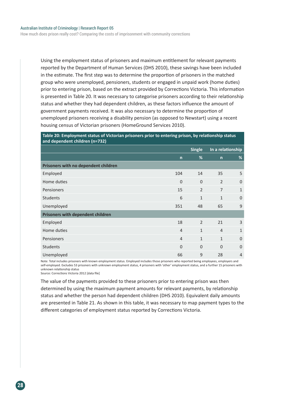How much does prison really cost? Comparing the costs of imprisonment with community corrections

Using the employment status of prisoners and maximum entitlement for relevant payments reported by the Department of Human Services (DHS 2010), these savings have been included in the estimate. The first step was to determine the proportion of prisoners in the matched group who were unemployed, pensioners, students or engaged in unpaid work (home duties) prior to entering prison, based on the extract provided by Corrections Victoria. This information is presented in Table 20. It was necessary to categorise prisoners according to their relationship status and whether they had dependent children, as these factors influence the amount of government payments received. It was also necessary to determine the proportion of unemployed prisoners receiving a disability pension (as opposed to Newstart) using a recent housing census of Victorian prisoners (HomeGround Services 2010).

#### **Table 20: Employment status of Victorian prisoners prior to entering prison, by relationship status and dependent children (n=732)**

|                                      |                | <b>Single</b>  |                | In a relationship |
|--------------------------------------|----------------|----------------|----------------|-------------------|
|                                      | $\mathsf{n}$   | %              | $\mathsf{n}$   | %                 |
| Prisoners with no dependent children |                |                |                |                   |
| Employed                             | 104            | 14             | 35             | 5                 |
| Home duties                          | $\mathbf{0}$   | $\mathbf{0}$   | $\overline{2}$ | $\mathbf{0}$      |
| Pensioners                           | 15             | $\overline{2}$ | $\overline{7}$ | $\mathbf{1}$      |
| <b>Students</b>                      | 6              | $\mathbf{1}$   | $\mathbf{1}$   | $\overline{0}$    |
| Unemployed                           | 351            | 48             | 65             | 9                 |
| Prisoners with dependent children    |                |                |                |                   |
| Employed                             | 18             | $\overline{2}$ | 21             | 3                 |
| Home duties                          | $\overline{4}$ | $\mathbf{1}$   | $\overline{4}$ | $\mathbf{1}$      |
| Pensioners                           | $\overline{4}$ | $\mathbf{1}$   | $\mathbf{1}$   | $\overline{0}$    |
| Students                             | $\overline{0}$ | $\mathbf{0}$   | $\Omega$       | $\overline{0}$    |
| Unemployed                           | 66             | 9              | 28             | $\overline{4}$    |

Note: Total includes prisoners with known employment status. Employed includes those prisoners who reported being employees, employers and self-employed. Excludes 53 prisoners with unknown employment status, 4 prisoners with 'other' employment status, and a further 15 prisoners with unknown relationship status

Source: Corrections Victoria 2012 [data file]

The value of the payments provided to these prisoners prior to entering prison was then determined by using the maximum payment amounts for relevant payments, by relationship status and whether the person had dependent children (DHS 2010). Equivalent daily amounts are presented in Table 21. As shown in this table, it was necessary to map payment types to the different categories of employment status reported by Corrections Victoria.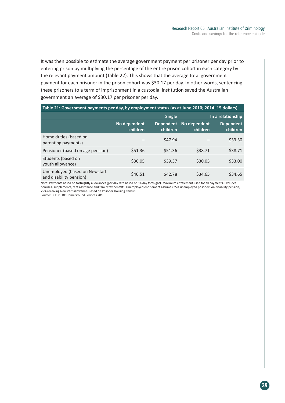It was then possible to estimate the average government payment per prisoner per day prior to entering prison by multiplying the percentage of the entire prison cohort in each category by the relevant payment amount (Table 22). This shows that the average total government payment for each prisoner in the prison cohort was \$30.17 per day. In other words, sentencing these prisoners to a term of imprisonment in a custodial institution saved the Australian government an average of \$30.17 per prisoner per day.

| Table 21: Government payments per day, by employment status (as at June 2010; 2014-15 dollars) |                          |                              |                          |                              |
|------------------------------------------------------------------------------------------------|--------------------------|------------------------------|--------------------------|------------------------------|
|                                                                                                |                          | <b>Single</b>                |                          | In a relationship            |
|                                                                                                | No dependent<br>children | <b>Dependent</b><br>children | No dependent<br>children | <b>Dependent</b><br>children |
| Home duties (based on<br>parenting payments)                                                   |                          | \$47.94                      |                          | \$33.30                      |
| Pensioner (based on age pension)                                                               | \$51.36                  | \$51.36                      | \$38.71                  | \$38.71                      |
| Students (based on<br>youth allowance)                                                         | \$30.05                  | \$39.37                      | \$30.05                  | \$33.00                      |
| Unemployed (based on Newstart<br>and disability pension)                                       | \$40.51                  | \$42.78                      | \$34.65                  | \$34.65                      |

Note: Payments based on fortnightly allowances (per day rate based on 14 day fortnight). Maximum entitlement used for all payments. Excludes bonuses, supplements, rent assistance and family tax benefits. Unemployed entitlement assumes 25% unemployed prisoners on disability pension, 75% receiving Newstart allowance. Based on Prisoner Housing Census

Source: DHS 2010; HomeGround Services 2010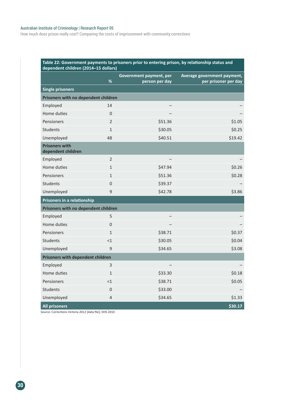#### Australian Institute of Criminology | Research Report 05

How much does prison really cost? Comparing the costs of imprisonment with community corrections

#### **Table 22: Government payments to prisoners prior to entering prison, by relationship status and dependent children (2014–15 dollars)**

|                                             | $\%$             | Government payment, per<br>person per day | Average government payment,<br>per prisoner per day |
|---------------------------------------------|------------------|-------------------------------------------|-----------------------------------------------------|
| <b>Single prisoners</b>                     |                  |                                           |                                                     |
| Prisoners with no dependent children        |                  |                                           |                                                     |
| Employed                                    | 14               |                                           |                                                     |
| Home duties                                 | $\Omega$         |                                           |                                                     |
| Pensioners                                  | $\overline{2}$   | \$51.36                                   | \$1.05                                              |
| <b>Students</b>                             | $\mathbf{1}$     | \$30.05                                   | \$0.25                                              |
| Unemployed                                  | 48               | \$40.51                                   | \$19.42                                             |
| <b>Prisoners with</b><br>dependent children |                  |                                           |                                                     |
| Employed                                    | $\overline{2}$   |                                           |                                                     |
| Home duties                                 | $\mathbf{1}$     | \$47.94                                   | \$0.26                                              |
| Pensioners                                  | $\mathbf{1}$     | \$51.36                                   | \$0.28                                              |
| <b>Students</b>                             | $\overline{0}$   | \$39.37                                   |                                                     |
| Unemployed                                  | 9                | \$42.78                                   | \$3.86                                              |
| Prisoners in a relationship                 |                  |                                           |                                                     |
| Prisoners with no dependent children        |                  |                                           |                                                     |
| Employed                                    | 5                |                                           |                                                     |
| Home duties                                 | $\boldsymbol{0}$ |                                           |                                                     |
| Pensioners                                  | $\mathbf{1}$     | \$38.71                                   | \$0.37                                              |
| <b>Students</b>                             | <1               | \$30.05                                   | \$0.04                                              |
| Unemployed                                  | 9                | \$34.65                                   | \$3.08                                              |
| <b>Prisoners with dependent children</b>    |                  |                                           |                                                     |
| Employed                                    | 3                |                                           |                                                     |
| Home duties                                 | $\mathbf{1}$     | \$33.30                                   | \$0.18                                              |
| Pensioners                                  | <1               | \$38.71                                   | \$0.05                                              |
| <b>Students</b>                             | $\boldsymbol{0}$ | \$33.00                                   |                                                     |
| Unemployed                                  | $\overline{4}$   | \$34.65                                   | \$1.33                                              |
| <b>All prisoners</b>                        |                  |                                           | \$30.17                                             |

Source: Corrections Victoria 2012 [data file]; DHS 2010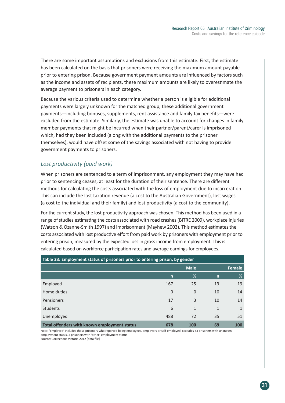There are some important assumptions and exclusions from this estimate. First, the estimate has been calculated on the basis that prisoners were receiving the maximum amount payable prior to entering prison. Because government payment amounts are influenced by factors such as the income and assets of recipients, these maximum amounts are likely to overestimate the average payment to prisoners in each category.

Because the various criteria used to determine whether a person is eligible for additional payments were largely unknown for the matched group, these additional government payments—including bonuses, supplements, rent assistance and family tax benefits—were excluded from the estimate. Similarly, the estimate was unable to account for changes in family member payments that might be incurred when their partner/parent/carer is imprisoned which, had they been included (along with the additional payments to the prisoner themselves), would have offset some of the savings associated with not having to provide government payments to prisoners.

## *Lost productivity (paid work)*

When prisoners are sentenced to a term of imprisonment, any employment they may have had prior to sentencing ceases, at least for the duration of their sentence. There are different methods for calculating the costs associated with the loss of employment due to incarceration. This can include the lost taxation revenue (a cost to the Australian Government), lost wages (a cost to the individual and their family) and lost productivity (a cost to the community).

For the current study, the lost productivity approach was chosen. This method has been used in a range of studies estimating the costs associated with road crashes (BITRE 2009), workplace injuries (Watson & Ozanne-Smith 1997) and imprisonment (Mayhew 2003). This method estimates the costs associated with lost productive effort from paid work by prisoners with employment prior to entering prison, measured by the expected loss in gross income from employment. This is calculated based on workforce participation rates and average earnings for employees.

| Table 23: Employment status of prisoners prior to entering prison, by gender |              |              |              |               |
|------------------------------------------------------------------------------|--------------|--------------|--------------|---------------|
|                                                                              |              | <b>Male</b>  |              | <b>Female</b> |
|                                                                              | $\mathsf{n}$ | %            | n            | %             |
| Employed                                                                     | 167          | 25           | 13           | 19            |
| Home duties                                                                  | $\mathbf 0$  | $\Omega$     | 10           | 14            |
| Pensioners                                                                   | 17           | 3            | 10           | 14            |
| <b>Students</b>                                                              | 6            | $\mathbf{1}$ | $\mathbf{1}$ | $\mathbf{1}$  |
| Unemployed                                                                   | 488          | 72           | 35           | 51            |
| Total offenders with known employment status                                 | 678          | 100          | 69           | <b>100</b>    |

Note: 'Employed' includes those prisoners who reported being employees, employers or self-employed. Excludes 53 prisoners with unknown employment status, 5 prisoners with 'other' employment status

Source: Corrections Victoria 2012 [data file]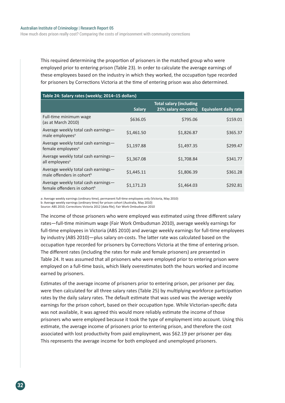This required determining the proportion of prisoners in the matched group who were employed prior to entering prison (Table 23). In order to calculate the average earnings of these employees based on the industry in which they worked, the occupation type recorded for prisoners by Corrections Victoria at the time of entering prison was also determined.

| Table 24: Salary rates (weekly; 2014-15 dollars)                               |               |                                                        |                              |  |
|--------------------------------------------------------------------------------|---------------|--------------------------------------------------------|------------------------------|--|
|                                                                                | <b>Salary</b> | <b>Total salary (including</b><br>25% salary on-costs) | <b>Equivalent daily rate</b> |  |
| Full-time minimum wage<br>(as at March 2010)                                   | \$636.05      | \$795.06                                               | \$159.01                     |  |
| Average weekly total cash earnings-<br>male employees <sup>a</sup>             | \$1,461.50    | \$1,826.87                                             | \$365.37                     |  |
| Average weekly total cash earnings-<br>female employees <sup>a</sup>           | \$1,197.88    | \$1,497.35                                             | \$299.47                     |  |
| Average weekly total cash earnings-<br>all employees <sup>a</sup>              | \$1,367.08    | \$1,708.84                                             | \$341.77                     |  |
| Average weekly total cash earnings-<br>male offenders in cohort <sup>b</sup>   | \$1,445.11    | \$1,806.39                                             | \$361.28                     |  |
| Average weekly total cash earnings-<br>female offenders in cohort <sup>b</sup> | \$1.171.23    | \$1,464.03                                             | \$292.81                     |  |

a: Average weekly earnings (ordinary time), permanent full-time employees only (Victoria, May 2010) b: Average weekly earnings (ordinary time) for prison cohort (Australia, May 2010) Source: ABS 2010; Corrections Victoria 2012 [data file]; Fair Work Ombudsman 2010

The income of those prisoners who were employed was estimated using three different salary rates—full-time minimum wage (Fair Work Ombudsman 2010), average weekly earnings for full-time employees in Victoria (ABS 2010) and average weekly earnings for full-time employees by industry (ABS 2010)—plus salary on-costs. The latter rate was calculated based on the occupation type recorded for prisoners by Corrections Victoria at the time of entering prison. The different rates (including the rates for male and female prisoners) are presented in Table 24. It was assumed that all prisoners who were employed prior to entering prison were employed on a full-time basis, which likely overestimates both the hours worked and income earned by prisoners.

Estimates of the average income of prisoners prior to entering prison, per prisoner per day, were then calculated for all three salary rates (Table 25) by multiplying workforce participation rates by the daily salary rates. The default estimate that was used was the average weekly earnings for the prison cohort, based on their occupation type. While Victorian-specific data was not available, it was agreed this would more reliably estimate the income of those prisoners who were employed because it took the type of employment into account. Using this estimate, the average income of prisoners prior to entering prison, and therefore the cost associated with lost productivity from paid employment, was \$62.19 per prisoner per day. This represents the average income for both employed and unemployed prisoners.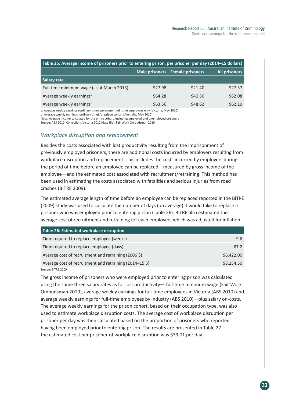| Table 25: Average income of prisoners prior to entering prison, per prisoner per day (2014-15 dollars) |         |         |         |  |
|--------------------------------------------------------------------------------------------------------|---------|---------|---------|--|
| Male prisoners Female prisoners<br><b>All prisoners</b>                                                |         |         |         |  |
| Salary rate                                                                                            |         |         |         |  |
| Full-time minimum wage (as at March 2013)                                                              | \$27.98 | \$21.40 | \$27.37 |  |
| Average weekly earnings <sup>a</sup>                                                                   | \$64.28 | \$40.30 | \$62.08 |  |
| Average weekly earningsb                                                                               | \$63.56 | \$48.62 | \$62.19 |  |

a: Average weekly earnings (ordinary time), permanent full-time employees only (Victoria, May 2010) b: Average weekly earnings (ordinary time) for prison cohort (Australia, May 2010)

Note: Average income calculated for the entire cohort, including employed and unemployed prisoners

Source: ABS 2010; Corrections Victoria 2012 [data file]; Fair Work Ombudsman 2010

#### *Workplace disruption and replacement*

Besides the costs associated with lost productivity resulting from the imprisonment of previously employed prisoners, there are additional costs incurred by employers resulting from workplace disruption and replacement. This includes the costs incurred by employers during the period of time before an employee can be replaced—measured by gross income of the employee—and the estimated cost associated with recruitment/retraining. This method has been used in estimating the costs associated with fatalities and serious injuries from road crashes (BITRE 2009).

The estimated average length of time before an employee can be replaced reported in the BITRE (2009) study was used to calculate the number of days (on average) it would take to replace a prisoner who was employed prior to entering prison (Table 26). BITRE also estimated the average cost of recruitment and retraining for each employee, which was adjusted for inflation.

| Table 26: Estimated workplace disruption                |            |
|---------------------------------------------------------|------------|
| Time required to replace employee (weeks)               | 9.6        |
| Time required to replace employee (days)                | 67.2       |
| Average cost of recruitment and retraining (2006 \$)    | \$6,422.00 |
| Average cost of recruitment and retraining (2014–15 \$) | \$8,254.50 |
| Source: BITRE 2009                                      |            |

The gross income of prisoners who were employed prior to entering prison was calculated using the same three salary rates as for lost productivity— full-time minimum wage (Fair Work Ombudsman 2010), average weekly earnings for full-time employees in Victoria (ABS 2010) and average weekly earnings for full-time employees by industry (ABS 2010)—plus salary on-costs. The average weekly earnings for the prison cohort, based on their occupation type, was also used to estimate workplace disruption costs. The average cost of workplace disruption per prisoner per day was then calculated based on the proportion of prisoners who reported having been employed prior to entering prison. The results are presented in Table 27 the estimated cost per prisoner of workplace disruption was \$39.01 per day.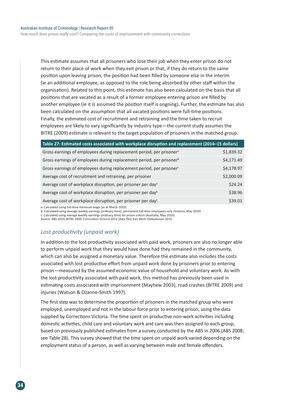How much does prison really cost? Comparing the costs of imprisonment with community corrections

This estimate assumes that all prisoners who lose their job when they enter prison do not return to their place of work when they exit prison or that, if they do return to the same position upon leaving prison, the position had been filled by someone else in the interim (ie an additional employee, as opposed to the role being absorbed by other staff within the organisation). Related to this point, this estimate has also been calculated on the basis that all positions that are vacated as a result of a former employee entering prison are filled by another employee (ie it is assumed the position itself is ongoing). Further, the estimate has also been calculated on the assumption that all vacated positions were full-time positions. Finally, the estimated cost of recruitment and retraining and the time taken to recruit employees are likely to vary significantly by industry type—the current study assumes the BITRE (2009) estimate is relevant to the target population of prisoners in the matched group.

| Table 27: Estimated costs associated with workplace disruption and replacement (2014-15 dollars) |            |
|--------------------------------------------------------------------------------------------------|------------|
| Gross earnings of employees during replacement period, per prisoner <sup>a</sup>                 | \$1,839.32 |
| Gross earnings of employees during replacement period, per prisoner <sup>b</sup>                 | \$4,171.49 |
| Gross earnings of employees during replacement period, per prisoner <sup>c</sup>                 | \$4,178.97 |
| Average cost of recruitment and retraining, per prisoner                                         | \$2,000.09 |
| Average cost of workplace disruption, per prisoner per day <sup>a</sup>                          | \$24.24    |
| Average cost of workplace disruption, per prisoner per day <sup>b</sup>                          | \$38.96    |
| Average cost of workplace disruption, per prisoner per day <sup>c</sup>                          | \$39.01    |

a: Calculated using full-time minimum wage (as at March 2010)

b: Calculated using average weekly earnings (ordinary time), permanent full-time employees only (Victoria, May 2010)

c: Calculated using average weekly earnings (ordinary time) for prison cohort (Australia, May 2010)

Source: ABS 2010; BITRE 2009; Corrections Victoria 2012 [data file]; Fair Work Ombudsman 2010.

### *Lost productivity (unpaid work)*

In addition to the lost productivity associated with paid work, prisoners are also no longer able to perform unpaid work that they would have done had they remained in the community, which can also be assigned a monetary value. Therefore the estimate also includes the costs associated with lost productive effort from unpaid work done by prisoners prior to entering prison—measured by the assumed economic value of household and voluntary work. As with the lost productivity associated with paid work, this method has previously been used in estimating costs associated with imprisonment (Mayhew 2003), road crashes (BITRE 2009) and injuries (Watson & Ozanne-Smith 1997).

The first step was to determine the proportion of prisoners in the matched group who were employed, unemployed and not in the labour force prior to entering prison, using the data supplied by Corrections Victoria. The time spent on productive non-work activities including domestic activities, child care and voluntary work and care was then assigned to each group, based on previously published estimates from a survey conducted by the ABS in 2006 (ABS 2008; see Table 28). This survey showed that the time spent on unpaid work varied depending on the employment status of a person, as well as varying between male and female offenders.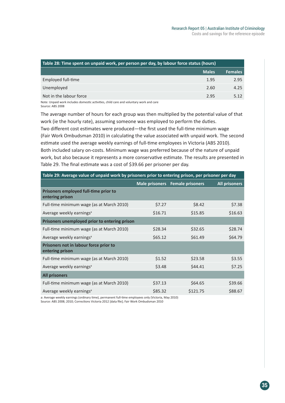| Table 28: Time spent on unpaid work, per person per day, by labour force status (hours) |              |                |  |
|-----------------------------------------------------------------------------------------|--------------|----------------|--|
|                                                                                         | <b>Males</b> | <b>Females</b> |  |
| Employed full-time                                                                      | 1.95         | 2.95           |  |
| Unemployed                                                                              | 2.60         | 4.25           |  |
| Not in the labour force                                                                 | 2.95         | 5 1 2          |  |

Note: Unpaid work includes domestic activities, child care and voluntary work and care Source: ABS 2008

The average number of hours for each group was then multiplied by the potential value of that work (ie the hourly rate), assuming someone was employed to perform the duties. Two different cost estimates were produced—the first used the full-time minimum wage (Fair Work Ombudsman 2010) in calculating the value associated with unpaid work. The second estimate used the average weekly earnings of full-time employees in Victoria (ABS 2010). Both included salary on-costs. Minimum wage was preferred because of the nature of unpaid

work, but also because it represents a more conservative estimate. The results are presented in Table 29. The final estimate was a cost of \$39.66 per prisoner per day.

| Table 29: Average value of unpaid work by prisoners prior to entering prison, per prisoner per day |         |                                 |                      |  |
|----------------------------------------------------------------------------------------------------|---------|---------------------------------|----------------------|--|
|                                                                                                    |         | Male prisoners Female prisoners | <b>All prisoners</b> |  |
| Prisoners employed full-time prior to<br>entering prison                                           |         |                                 |                      |  |
| Full-time minimum wage (as at March 2010)                                                          | \$7.27  | \$8.42                          | \$7.38               |  |
| Average weekly earnings <sup>a</sup>                                                               | \$16.71 | \$15.85                         | \$16.63              |  |
| Prisoners unemployed prior to entering prison                                                      |         |                                 |                      |  |
| Full-time minimum wage (as at March 2010)                                                          | \$28.34 | \$32.65                         | \$28.74              |  |
| Average weekly earnings <sup>a</sup>                                                               | \$65.12 | \$61.49                         | \$64.79              |  |
| Prisoners not in labour force prior to<br>entering prison                                          |         |                                 |                      |  |
| Full-time minimum wage (as at March 2010)                                                          | \$1.52  | \$23.58                         | \$3.55               |  |
| Average weekly earnings <sup>a</sup>                                                               | \$3.48  | \$44.41                         | \$7.25               |  |
| <b>All prisoners</b>                                                                               |         |                                 |                      |  |
| Full-time minimum wage (as at March 2010)                                                          | \$37.13 | \$64.65                         | \$39.66              |  |
| Average weekly earnings <sup>a</sup>                                                               | \$85.32 | \$121.75                        | \$88.67              |  |

a: Average weekly earnings (ordinary time), permanent full-time employees only (Victoria, May 2010) Source: ABS 2008; 2010; Corrections Victoria 2012 [data file]; Fair Work Ombudsman 2010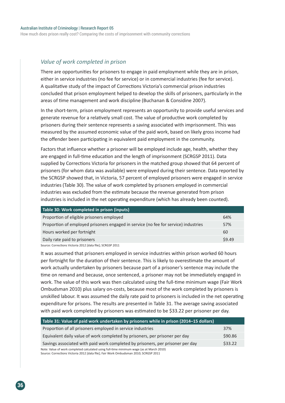How much does prison really cost? Comparing the costs of imprisonment with community corrections

#### *Value of work completed in prison*

There are opportunities for prisoners to engage in paid employment while they are in prison, either in service industries (no fee for service) or in commercial industries (fee for service). A qualitative study of the impact of Corrections Victoria's commercial prison industries concluded that prison employment helped to develop the skills of prisoners, particularly in the areas of time management and work discipline (Buchanan & Considine 2007).

In the short-term, prison employment represents an opportunity to provide useful services and generate revenue for a relatively small cost. The value of productive work completed by prisoners during their sentence represents a saving associated with imprisonment. This was measured by the assumed economic value of the paid work, based on likely gross income had the offender been participating in equivalent paid employment in the community.

Factors that influence whether a prisoner will be employed include age, health, whether they are engaged in full-time education and the length of imprisonment (SCRGSP 2011). Data supplied by Corrections Victoria for prisoners in the matched group showed that 64 percent of prisoners (for whom data was available) were employed during their sentence. Data reported by the SCRGSP showed that, in Victoria, 57 percent of employed prisoners were engaged in service industries (Table 30). The value of work completed by prisoners employed in commercial industries was excluded from the estimate because the revenue generated from prison industries is included in the net operating expenditure (which has already been counted).

| Table 30: Work completed in prison (inputs)                                         |        |
|-------------------------------------------------------------------------------------|--------|
| Proportion of eligible prisoners employed                                           | 64%    |
| Proportion of employed prisoners engaged in service (no fee for service) industries | 57%    |
| Hours worked per fortnight                                                          | 60     |
| Daily rate paid to prisoners                                                        | \$9.49 |

Source: Corrections Victoria 2012 [data file]; SCRGSP 2011

It was assumed that prisoners employed in service industries within prison worked 60 hours per fortnight for the duration of their sentence. This is likely to overestimate the amount of work actually undertaken by prisoners because part of a prisoner's sentence may include the time on remand and because, once sentenced, a prisoner may not be immediately engaged in work. The value of this work was then calculated using the full-time minimum wage (Fair Work Ombudsman 2010) plus salary on-costs, because most of the work completed by prisoners is unskilled labour. It was assumed the daily rate paid to prisoners is included in the net operating expenditure for prisons. The results are presented in Table 31. The average saving associated with paid work completed by prisoners was estimated to be \$33.22 per prisoner per day.

| Table 31: Value of paid work undertaken by prisoners while in prison (2014–15 dollars)   |         |
|------------------------------------------------------------------------------------------|---------|
| Proportion of all prisoners employed in service industries                               | 37%     |
| Equivalent daily value of work completed by prisoners, per prisoner per day              | \$90.86 |
| Savings associated with paid work completed by prisoners, per prisoner per day           | \$33.22 |
| Note: Value of work completed calculated using full-time minimum wage (as at March 2010) |         |

Source: Corrections Victoria 2012 [data file]; Fair Work Ombudsman 2010; SCRGSP 2011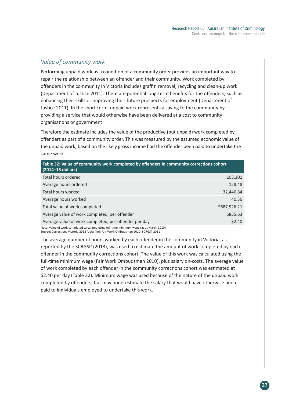## *Value of community work*

Performing unpaid work as a condition of a community order provides an important way to repair the relationship between an offender and their community. Work completed by offenders in the community in Victoria includes graffiti removal, recycling and clean-up work (Department of Justice 2011). There are potential long-term benefits for the offenders, such as enhancing their skills or improving their future prospects for employment (Department of Justice 2011). In the short-term, unpaid work represents a saving to the community by providing a service that would otherwise have been delivered at a cost to community organisations or government.

Therefore the estimate includes the value of the productive (but unpaid) work completed by offenders as part of a community order. This was measured by the assumed economic value of the unpaid work, based on the likely gross income had the offender been paid to undertake the same work.

| Table 32: Value of community work completed by offenders in community corrections cohort<br>(2014-15 dollars) |              |  |
|---------------------------------------------------------------------------------------------------------------|--------------|--|
| Total hours ordered                                                                                           | 103,301      |  |
| Average hours ordered                                                                                         | 128.48       |  |
| Total hours worked                                                                                            | 32,446.84    |  |
| Average hours worked                                                                                          | 40.36        |  |
| Total value of work completed                                                                                 | \$687,926.21 |  |
| Average value of work completed, per offender                                                                 | \$855.63     |  |
| Average value of work completed, per offender per day                                                         | \$2.40       |  |
| Note: Value of work completed calculated using full-time minimum wage (as at March 2010)                      |              |  |

Note: Value of work completed calculated using full-time minimum wage (as at March 2010) Source: Corrections Victoria 2012 [data file]; Fair Work Ombudsman 2010; SCRGSP 2011

The average number of hours worked by each offender in the community in Victoria, as reported by the SCRGSP (2013), was used to estimate the amount of work completed by each offender in the community corrections cohort. The value of this work was calculated using the full-time minimum wage (Fair Work Ombudsman 2010), plus salary on-costs. The average value of work completed by each offender in the community corrections cohort was estimated at \$2.40 per day (Table 32). Minimum wage was used because of the nature of the unpaid work completed by offenders, but may underestimate the salary that would have otherwise been paid to individuals employed to undertake this work.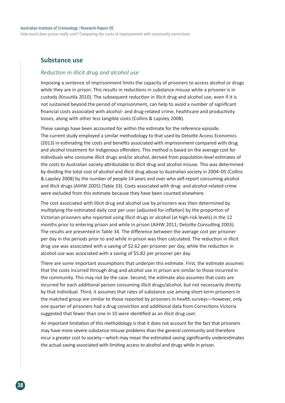#### Australian Institute of Criminology | Research Report 05

How much does prison really cost? Comparing the costs of imprisonment with community corrections

#### **Substance use**

#### *Reduction in illicit drug and alcohol use*

Imposing a sentence of imprisonment limits the capacity of prisoners to access alcohol or drugs while they are in prison. This results in reductions in substance misuse while a prisoner is in custody (Knuutila 2010). The subsequent reduction in illicit drug and alcohol use, even if it is not sustained beyond the period of imprisonment, can help to avoid a number of significant financial costs associated with alcohol- and drug-related crime, healthcare and productivity losses, along with other less tangible costs (Collins & Lapsley 2008).

These savings have been accounted for within the estimate for the reference episode. The current study employed a similar methodology to that used by Deloitte Access Economics (2013) in estimating the costs and benefits associated with imprisonment compared with drug and alcohol treatment for Indigenous offenders. This method is based on the average cost for individuals who consume illicit drugs and/or alcohol, derived from population-level estimates of the costs to Australian society attributable to illicit drug and alcohol misuse. This was determined by dividing the total cost of alcohol and illicit drug abuse to Australian society in 2004–05 (Collins & Lapsley 2008) by the number of people 14 years and over who self-report consuming alcohol and illicit drugs (AIHW 2005) (Table 33). Costs associated with drug- and alcohol-related crime were excluded from this estimate because they have been counted elsewhere.

The cost associated with illicit drug and alcohol use by prisoners was then determined by multiplying the estimated daily cost per user (adjusted for inflation) by the proportion of Victorian prisoners who reported using illicit drugs or alcohol (at high-risk levels) in the 12 months prior to entering prison and while in prison (AIHW 2011; Deloitte Consulting 2003). The results are presented in Table 34. The difference between the average cost per prisoner per day in the periods prior to and while in prison was then calculated. The reduction in illicit drug use was associated with a saving of \$2.62 per prisoner per day, while the reduction in alcohol use was associated with a saving of \$5.82 per prisoner per day.

There are some important assumptions that underpin this estimate. First, the estimate assumes that the costs incurred through drug and alcohol use in prison are similar to those incurred in the community. This may not be the case. Second, the estimate also assumes that costs are incurred for each additional person consuming illicit drugs/alcohol, but not necessarily directly by that individual. Third, it assumes that rates of substance use among short-term prisoners in the matched group are similar to those reported by prisoners in health surveys—however, only one quarter of prisoners had a drug conviction and additional data from Corrections Victoria suggested that fewer than one in 10 were identified as an illicit drug user.

An important limitation of this methodology is that it does not account for the fact that prisoners may have more severe substance misuse problems than the general community and therefore incur a greater cost to society—which may mean the estimated saving significantly underestimates the actual saving associated with limiting access to alcohol and drugs while in prison.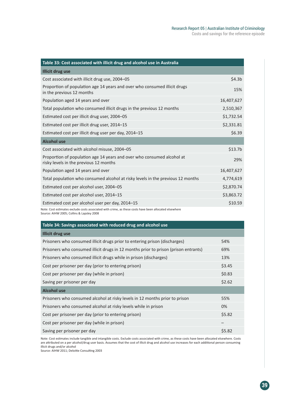| Table 33: Cost associated with illicit drug and alcohol use in Australia                                         |                     |
|------------------------------------------------------------------------------------------------------------------|---------------------|
| <b>Illicit drug use</b>                                                                                          |                     |
| Cost associated with illicit drug use, 2004-05                                                                   | \$4.3 <sub>b</sub>  |
| Proportion of population age 14 years and over who consumed illicit drugs<br>in the previous 12 months           | 15%                 |
| Population aged 14 years and over                                                                                | 16,407,627          |
| Total population who consumed illicit drugs in the previous 12 months                                            | 2,510,367           |
| Estimated cost per illicit drug user, 2004-05                                                                    | \$1,732.54          |
| Estimated cost per illicit drug user, 2014-15                                                                    | \$2,331.81          |
| Estimated cost per illicit drug user per day, 2014-15                                                            | \$6.39              |
| <b>Alcohol use</b>                                                                                               |                     |
| Cost associated with alcohol misuse, 2004-05                                                                     | \$13.7 <sub>b</sub> |
| Proportion of population age 14 years and over who consumed alcohol at<br>risky levels in the previous 12 months | 29%                 |
| Population aged 14 years and over                                                                                | 16,407,627          |
| Total population who consumed alcohol at risky levels in the previous 12 months                                  | 4,774,619           |
| Estimated cost per alcohol user, 2004-05                                                                         | \$2,870.74          |
| Estimated cost per alcohol user, 2014-15                                                                         | \$3,863.72          |
| Estimated cost per alcohol user per day, 2014-15                                                                 | \$10.59             |

Note: Cost estimates exclude costs associated with crime, as these costs have been allocated elsewhere

|  |  | Source: AIHW 2005; Collins & Lapsley 2008 |  |
|--|--|-------------------------------------------|--|
|  |  |                                           |  |

| Table 34: Savings associated with reduced drug and alcohol use                      |        |  |  |  |
|-------------------------------------------------------------------------------------|--------|--|--|--|
| Illicit drug use                                                                    |        |  |  |  |
| Prisoners who consumed illicit drugs prior to entering prison (discharges)          | 54%    |  |  |  |
| Prisoners who consumed illicit drugs in 12 months prior to prison (prison entrants) | 69%    |  |  |  |
| Prisoners who consumed illicit drugs while in prison (discharges)                   | 13%    |  |  |  |
| Cost per prisoner per day (prior to entering prison)                                | \$3.45 |  |  |  |
| Cost per prisoner per day (while in prison)                                         | \$0.83 |  |  |  |
| Saving per prisoner per day                                                         | \$2.62 |  |  |  |
| <b>Alcohol use</b>                                                                  |        |  |  |  |
| Prisoners who consumed alcohol at risky levels in 12 months prior to prison         | 55%    |  |  |  |
| Prisoners who consumed alcohol at risky levels while in prison                      | 0%     |  |  |  |
| Cost per prisoner per day (prior to entering prison)                                | \$5.82 |  |  |  |
| Cost per prisoner per day (while in prison)                                         |        |  |  |  |
| Saving per prisoner per day                                                         | \$5.82 |  |  |  |

Note: Cost estimates include tangible and intangible costs. Exclude costs associated with crime, as these costs have been allocated elsewhere. Costs are attributed on a per alcohol/drug user basis. Assumes that the cost of illicit drug and alcohol use increases for each additional person consuming illicit drugs and/or alcohol

Source: AIHW 2011; Deloitte Consulting 2003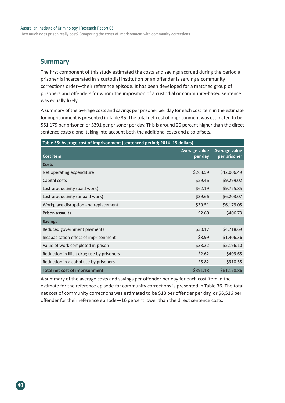How much does prison really cost? Comparing the costs of imprisonment with community corrections

#### **Summary**

The first component of this study estimated the costs and savings accrued during the period a prisoner is incarcerated in a custodial institution or an offender is serving a community corrections order—their reference episode. It has been developed for a matched group of prisoners and offenders for whom the imposition of a custodial or community-based sentence was equally likely.

A summary of the average costs and savings per prisoner per day for each cost item in the estimate for imprisonment is presented in Table 35. The total net cost of imprisonment was estimated to be \$61,179 per prisoner, or \$391 per prisoner per day. This is around 20 percent higher than the direct sentence costs alone, taking into account both the additional costs and also offsets.

| Table 35: Average cost of imprisonment (sentenced period; 2014-15 dollars) |                          |                               |  |
|----------------------------------------------------------------------------|--------------------------|-------------------------------|--|
| <b>Cost item</b>                                                           | Average value<br>per day | Average value<br>per prisoner |  |
| <b>Costs</b>                                                               |                          |                               |  |
| Net operating expenditure                                                  | \$268.59                 | \$42,006.49                   |  |
| Capital costs                                                              | \$59.46                  | \$9,299.02                    |  |
| Lost productivity (paid work)                                              | \$62.19                  | \$9,725.85                    |  |
| Lost productivity (unpaid work)                                            | \$39.66                  | \$6,203.07                    |  |
| Workplace disruption and replacement                                       | \$39.51                  | \$6,179.05                    |  |
| Prison assaults                                                            | \$2.60                   | \$406.73                      |  |
| <b>Savings</b>                                                             |                          |                               |  |
| Reduced government payments                                                | \$30.17                  | \$4,718.69                    |  |
| Incapacitation effect of imprisonment                                      | \$8.99                   | \$1,406.36                    |  |
| Value of work completed in prison                                          | \$33.22                  | \$5,196.10                    |  |
| Reduction in illicit drug use by prisoners                                 | \$2.62                   | \$409.65                      |  |
| Reduction in alcohol use by prisoners                                      | \$5.82                   | \$910.55                      |  |
| <b>Total net cost of imprisonment</b>                                      | \$391.18                 | \$61,178.86                   |  |

A summary of the average costs and savings per offender per day for each cost item in the estimate for the reference episode for community corrections is presented in Table 36. The total net cost of community corrections was estimated to be \$18 per offender per day, or \$6,516 per offender for their reference episode—16 percent lower than the direct sentence costs.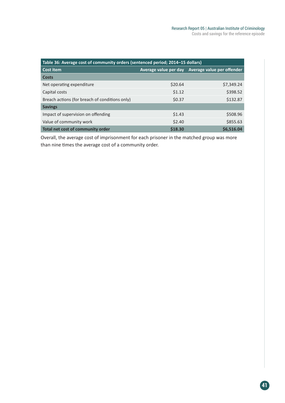| Table 36: Average cost of community orders (sentenced period; 2014-15 dollars) |                       |                            |  |  |
|--------------------------------------------------------------------------------|-----------------------|----------------------------|--|--|
| <b>Cost item</b>                                                               | Average value per day | Average value per offender |  |  |
| Costs                                                                          |                       |                            |  |  |
| Net operating expenditure                                                      | \$20.64               | \$7,349.24                 |  |  |
| Capital costs                                                                  | \$1.12                | \$398.52                   |  |  |
| Breach actions (for breach of conditions only)                                 | \$0.37                | \$132.87                   |  |  |
| <b>Savings</b>                                                                 |                       |                            |  |  |
| Impact of supervision on offending                                             | \$1.43                | \$508.96                   |  |  |
| Value of community work                                                        | \$2.40                | \$855.63                   |  |  |
| Total net cost of community order                                              | \$18.30               | \$6,516.04                 |  |  |

Overall, the average cost of imprisonment for each prisoner in the matched group was more than nine times the average cost of a community order.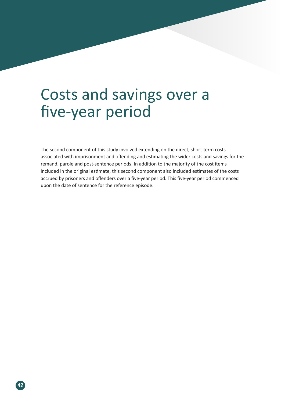# Costs and savings over a five-year period

The second component of this study involved extending on the direct, short-term costs associated with imprisonment and offending and estimating the wider costs and savings for the remand, parole and post-sentence periods. In addition to the majority of the cost items included in the original estimate, this second component also included estimates of the costs accrued by prisoners and offenders over a five-year period. This five-year period commenced upon the date of sentence for the reference episode.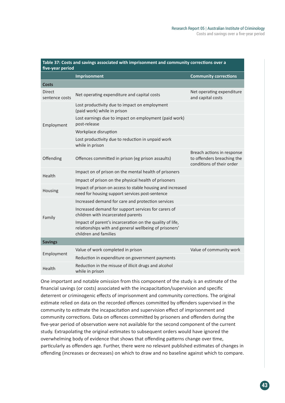| Table 37: Costs and savings associated with imprisonment and community corrections over a<br>five-year period |                                                                                                                                             |                                                                                       |  |
|---------------------------------------------------------------------------------------------------------------|---------------------------------------------------------------------------------------------------------------------------------------------|---------------------------------------------------------------------------------------|--|
|                                                                                                               | <b>Imprisonment</b>                                                                                                                         | <b>Community corrections</b>                                                          |  |
| <b>Costs</b>                                                                                                  |                                                                                                                                             |                                                                                       |  |
| <b>Direct</b><br>sentence costs                                                                               | Net operating expenditure and capital costs                                                                                                 | Net operating expenditure<br>and capital costs                                        |  |
|                                                                                                               | Lost productivity due to impact on employment<br>(paid work) while in prison                                                                |                                                                                       |  |
| Employment                                                                                                    | Lost earnings due to impact on employment (paid work)<br>post-release                                                                       |                                                                                       |  |
|                                                                                                               | Workplace disruption                                                                                                                        |                                                                                       |  |
|                                                                                                               | Lost productivity due to reduction in unpaid work<br>while in prison                                                                        |                                                                                       |  |
| Offending                                                                                                     | Offences committed in prison (eg prison assaults)                                                                                           | Breach actions in response<br>to offenders breaching the<br>conditions of their order |  |
| Health                                                                                                        | Impact on of prison on the mental health of prisoners                                                                                       |                                                                                       |  |
|                                                                                                               | Impact of prison on the physical health of prisoners                                                                                        |                                                                                       |  |
| Housing                                                                                                       | Impact of prison on access to stable housing and increased<br>need for housing support services post-sentence                               |                                                                                       |  |
|                                                                                                               | Increased demand for care and protection services                                                                                           |                                                                                       |  |
| Family                                                                                                        | Increased demand for support services for carers of<br>children with incarcerated parents                                                   |                                                                                       |  |
|                                                                                                               | Impact of parent's incarceration on the quality of life,<br>relationships with and general wellbeing of prisoners'<br>children and families |                                                                                       |  |
| <b>Savings</b>                                                                                                |                                                                                                                                             |                                                                                       |  |
|                                                                                                               | Value of work completed in prison                                                                                                           | Value of community work                                                               |  |
| Employment                                                                                                    | Reduction in expenditure on government payments                                                                                             |                                                                                       |  |
| Health                                                                                                        | Reduction in the misuse of illicit drugs and alcohol<br>while in prison                                                                     |                                                                                       |  |

One important and notable omission from this component of the study is an estimate of the financial savings (or costs) associated with the incapacitation/supervision and specific deterrent or criminogenic effects of imprisonment and community corrections. The original estimate relied on data on the recorded offences committed by offenders supervised in the community to estimate the incapacitation and supervision effect of imprisonment and community corrections. Data on offences committed by prisoners and offenders during the five-year period of observation were not available for the second component of the current study. Extrapolating the original estimates to subsequent orders would have ignored the overwhelming body of evidence that shows that offending patterns change over time, particularly as offenders age. Further, there were no relevant published estimates of changes in offending (increases or decreases) on which to draw and no baseline against which to compare.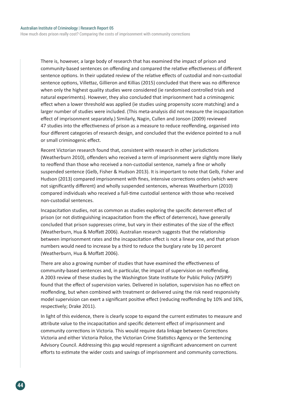How much does prison really cost? Comparing the costs of imprisonment with community corrections

There is, however, a large body of research that has examined the impact of prison and community-based sentences on offending and compared the relative effectiveness of different sentence options. In their updated review of the relative effects of custodial and non-custodial sentence options, Villettaz, Gillieron and Killias (2015) concluded that there was no difference when only the highest quality studies were considered (ie randomised controlled trials and natural experiments). However, they also concluded that imprisonment had a criminogenic effect when a lower threshold was applied (ie studies using propensity score matching) and a larger number of studies were included. (This meta-analysis did not measure the incapacitation effect of imprisonment separately.) Similarly, Nagin, Cullen and Jonson (2009) reviewed 47 studies into the effectiveness of prison as a measure to reduce reoffending, organised into four different categories of research design, and concluded that the evidence pointed to a null or small criminogenic effect.

Recent Victorian research found that, consistent with research in other jurisdictions (Weatherburn 2010), offenders who received a term of imprisonment were slightly more likely to reoffend than those who received a non-custodial sentence, namely a fine or wholly suspended sentence (Gelb, Fisher & Hudson 2013). It is important to note that Gelb, Fisher and Hudson (2013) compared imprisonment with fines, intensive corrections orders (which were not significantly different) and wholly suspended sentences, whereas Weatherburn (2010) compared individuals who received a full-time custodial sentence with those who received non-custodial sentences.

Incapacitation studies, not as common as studies exploring the specific deterrent effect of prison (or not distinguishing incapacitation from the effect of deterrence), have generally concluded that prison suppresses crime, but vary in their estimates of the size of the effect (Weatherburn, Hua & Moffatt 2006). Australian research suggests that the relationship between imprisonment rates and the incapacitation effect is not a linear one, and that prison numbers would need to increase by a third to reduce the burglary rate by 10 percent (Weatherburn, Hua & Moffatt 2006).

There are also a growing number of studies that have examined the effectiveness of community-based sentences and, in particular, the impact of supervision on reoffending. A 2003 review of these studies by the Washington State Institute for Public Policy (WSIPP) found that the effect of supervision varies. Delivered in isolation, supervision has no effect on reoffending, but when combined with treatment or delivered using the risk need responsivity model supervision can exert a significant positive effect (reducing reoffending by 10% and 16%, respectively; Drake 2011).

In light of this evidence, there is clearly scope to expand the current estimates to measure and attribute value to the incapacitation and specific deterrent effect of imprisonment and community corrections in Victoria. This would require data linkage between Corrections Victoria and either Victoria Police, the Victorian Crime Statistics Agency or the Sentencing Advisory Council. Addressing this gap would represent a significant advancement on current efforts to estimate the wider costs and savings of imprisonment and community corrections.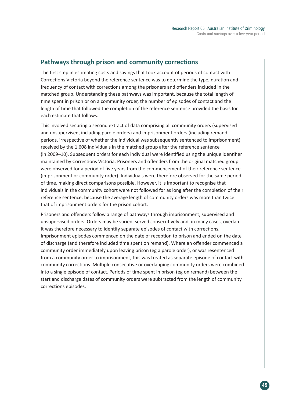## **Pathways through prison and community corrections**

The first step in estimating costs and savings that took account of periods of contact with Corrections Victoria beyond the reference sentence was to determine the type, duration and frequency of contact with corrections among the prisoners and offenders included in the matched group. Understanding these pathways was important, because the total length of time spent in prison or on a community order, the number of episodes of contact and the length of time that followed the completion of the reference sentence provided the basis for each estimate that follows.

This involved securing a second extract of data comprising all community orders (supervised and unsupervised, including parole orders) and imprisonment orders (including remand periods, irrespective of whether the individual was subsequently sentenced to imprisonment) received by the 1,608 individuals in the matched group after the reference sentence (in 2009–10). Subsequent orders for each individual were identified using the unique identifier maintained by Corrections Victoria. Prisoners and offenders from the original matched group were observed for a period of five years from the commencement of their reference sentence (imprisonment or community order). Individuals were therefore observed for the same period of time, making direct comparisons possible. However, it is important to recognise that individuals in the community cohort were not followed for as long after the completion of their reference sentence, because the average length of community orders was more than twice that of imprisonment orders for the prison cohort.

Prisoners and offenders follow a range of pathways through imprisonment, supervised and unsupervised orders. Orders may be varied, served consecutively and, in many cases, overlap. It was therefore necessary to identify separate episodes of contact with corrections. Imprisonment episodes commenced on the date of reception to prison and ended on the date of discharge (and therefore included time spent on remand). Where an offender commenced a community order immediately upon leaving prison (eg a parole order), or was resentenced from a community order to imprisonment, this was treated as separate episode of contact with community corrections. Multiple consecutive or overlapping community orders were combined into a single episode of contact. Periods of time spent in prison (eg on remand) between the start and discharge dates of community orders were subtracted from the length of community corrections episodes.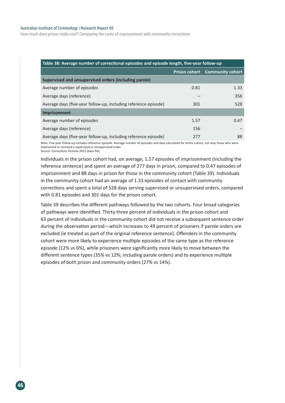#### Australian Institute of Criminology | Research Report 05

How much does prison really cost? Comparing the costs of imprisonment with community corrections

| Table 38: Average number of correctional episodes and episode length, five-year follow-up |      |                                       |  |  |
|-------------------------------------------------------------------------------------------|------|---------------------------------------|--|--|
|                                                                                           |      | <b>Prison cohort</b> Community cohort |  |  |
| Supervised and unsupervised orders (including parole)                                     |      |                                       |  |  |
| Average number of episodes                                                                | 0.81 | 1.33                                  |  |  |
| Average days (reference)                                                                  |      | 356                                   |  |  |
| Average days (five-year follow-up, including reference episode)                           | 301  | 528                                   |  |  |
| <b>Imprisonment</b>                                                                       |      |                                       |  |  |
| Average number of episodes                                                                | 1.57 | 0.47                                  |  |  |
| Average days (reference)                                                                  | 156  |                                       |  |  |
| Average days (five-year follow-up, including reference episode)                           | 277  | 88                                    |  |  |

Note: Five-year follow-up includes reference episode. Average number of episodes and days calculated for entire cohort, not only those who were imprisoned or received a supervised or unsupervised order Source: Corrections Victoria 2015 [data file]

Individuals in the prison cohort had, on average, 1.57 episodes of imprisonment (including the reference sentence) and spent an average of 277 days in prison, compared to 0.47 episodes of imprisonment and 88 days in prison for those in the community cohort (Table 39). Individuals in the community cohort had an average of 1.33 episodes of contact with community corrections and spent a total of 528 days serving supervised or unsupervised orders, compared with 0.81 episodes and 301 days for the prison cohort.

Table 39 describes the different pathways followed by the two cohorts. Four broad categories of pathways were identified. Thirty-three percent of individuals in the prison cohort and 63 percent of individuals in the community cohort did not receive a subsequent sentence order during the observation period—which increases to 49 percent of prisoners if parole orders are excluded (ie treated as part of the original reference sentence). Offenders in the community cohort were more likely to experience multiple episodes of the same type as the reference episode (12% vs 6%), while prisoners were significantly more likely to move between the different sentence types (35% vs 12%; including parole orders) and to experience multiple episodes of both prison and community orders (27% vs 14%).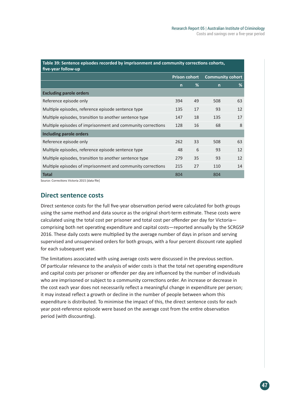| Table 39: Sentence episodes recorded by imprisonment and community corrections cohorts,<br>five-year follow-up |                      |    |                         |    |  |
|----------------------------------------------------------------------------------------------------------------|----------------------|----|-------------------------|----|--|
|                                                                                                                | <b>Prison cohort</b> |    | <b>Community cohort</b> |    |  |
|                                                                                                                | $\mathsf{n}$         | %  | $\mathsf{n}$            | %  |  |
| <b>Excluding parole orders</b>                                                                                 |                      |    |                         |    |  |
| Reference episode only                                                                                         | 394                  | 49 | 508                     | 63 |  |
| Multiple episodes, reference episode sentence type                                                             | 135                  | 17 | 93                      | 12 |  |
| Multiple episodes, transition to another sentence type                                                         | 147                  | 18 | 135                     | 17 |  |
| Multiple episodes of imprisonment and community corrections                                                    | 128                  | 16 | 68                      | 8  |  |
| <b>Including parole orders</b>                                                                                 |                      |    |                         |    |  |
| Reference episode only                                                                                         | 262                  | 33 | 508                     | 63 |  |
| Multiple episodes, reference episode sentence type                                                             | 48                   | 6  | 93                      | 12 |  |
| Multiple episodes, transition to another sentence type                                                         | 279                  | 35 | 93                      | 12 |  |
| Multiple episodes of imprisonment and community corrections                                                    | 215                  | 27 | 110                     | 14 |  |
| <b>Total</b>                                                                                                   | 804                  |    | 804                     |    |  |

Source: Corrections Victoria 2015 [data file]

### **Direct sentence costs**

Direct sentence costs for the full five-year observation period were calculated for both groups using the same method and data source as the original short-term estimate. These costs were calculated using the total cost per prisoner and total cost per offender per day for Victoria comprising both net operating expenditure and capital costs—reported annually by the SCRGSP 2016. These daily costs were multiplied by the average number of days in prison and serving supervised and unsupervised orders for both groups, with a four percent discount rate applied for each subsequent year.

The limitations associated with using average costs were discussed in the previous section. Of particular relevance to the analysis of wider costs is that the total net operating expenditure and capital costs per prisoner or offender per day are influenced by the number of individuals who are imprisoned or subject to a community corrections order. An increase or decrease in the cost each year does not necessarily reflect a meaningful change in expenditure per person; it may instead reflect a growth or decline in the number of people between whom this expenditure is distributed. To minimise the impact of this, the direct sentence costs for each year post-reference episode were based on the average cost from the entire observation period (with discounting).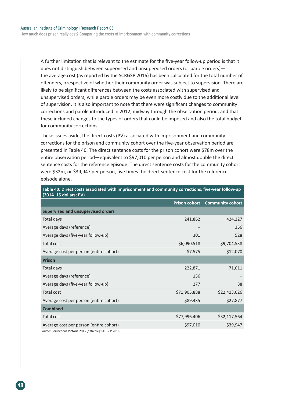How much does prison really cost? Comparing the costs of imprisonment with community corrections

A further limitation that is relevant to the estimate for the five-year follow-up period is that it does not distinguish between supervised and unsupervised orders (or parole orders) the average cost (as reported by the SCRGSP 2016) has been calculated for the total number of offenders, irrespective of whether their community order was subject to supervision. There are likely to be significant differences between the costs associated with supervised and unsupervised orders, while parole orders may be even more costly due to the additional level of supervision. It is also important to note that there were significant changes to community corrections and parole introduced in 2012, midway through the observation period, and that these included changes to the types of orders that could be imposed and also the total budget for community corrections.

These issues aside, the direct costs (PV) associated with imprisonment and community corrections for the prison and community cohort over the five-year observation period are presented in Table 40. The direct sentence costs for the prison cohort were \$78m over the entire observation period—equivalent to \$97,010 per person and almost double the direct sentence costs for the reference episode. The direct sentence costs for the community cohort were \$32m, or \$39,947 per person, five times the direct sentence cost for the reference episode alone.

| $\left($ 2014–15 dollars, FV              |              |                                |
|-------------------------------------------|--------------|--------------------------------|
|                                           |              | Prison cohort Community cohort |
| <b>Supervised and unsupervised orders</b> |              |                                |
| Total days                                | 241,862      | 424,227                        |
| Average days (reference)                  |              | 356                            |
| Average days (five-year follow-up)        | 301          | 528                            |
| <b>Total cost</b>                         | \$6,090,518  | \$9,704,538                    |
| Average cost per person (entire cohort)   | \$7,575      | \$12,070                       |
| <b>Prison</b>                             |              |                                |
| Total days                                | 222,871      | 71,011                         |
| Average days (reference)                  | 156          |                                |
| Average days (five-year follow-up)        | 277          | 88                             |
| Total cost                                | \$71,905,888 | \$22,413,026                   |
| Average cost per person (entire cohort)   | \$89,435     | \$27,877                       |
| <b>Combined</b>                           |              |                                |
| Total cost                                | \$77,996,406 | \$32,117,564                   |
| Average cost per person (entire cohort)   | \$97,010     | \$39,947                       |
|                                           |              |                                |

**Table 40: Direct costs associated with imprisonment and community corrections, five-year follow-up (2014–15 dollars; PV)**

Source: Corrections Victoria 2015 [data file]; SCRGSP 2016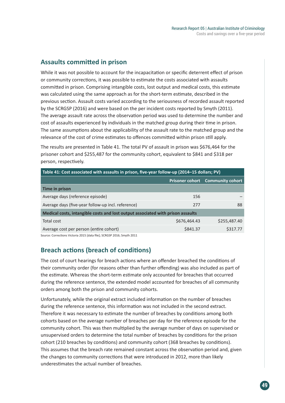## **Assaults committed in prison**

While it was not possible to account for the incapacitation or specific deterrent effect of prison or community corrections, it was possible to estimate the costs associated with assaults committed in prison. Comprising intangible costs, lost output and medical costs, this estimate was calculated using the same approach as for the short-term estimate, described in the previous section. Assault costs varied according to the seriousness of recorded assault reported by the SCRGSP (2016) and were based on the per incident costs reported by Smyth (2011). The average assault rate across the observation period was used to determine the number and cost of assaults experienced by individuals in the matched group during their time in prison. The same assumptions about the applicability of the assault rate to the matched group and the relevance of the cost of crime estimates to offences committed within prison still apply.

The results are presented in Table 41. The total PV of assault in prison was \$676,464 for the prisoner cohort and \$255,487 for the community cohort, equivalent to \$841 and \$318 per person, respectively.

| Table 41: Cost associated with assaults in prison, five-year follow-up (2014–15 dollars; PV) |                                         |  |  |  |  |
|----------------------------------------------------------------------------------------------|-----------------------------------------|--|--|--|--|
|                                                                                              | <b>Prisoner cohort</b> Community cohort |  |  |  |  |
|                                                                                              |                                         |  |  |  |  |
| 156                                                                                          |                                         |  |  |  |  |
| 277                                                                                          | 88                                      |  |  |  |  |
| Medical costs, intangible costs and lost output associated with prison assaults              |                                         |  |  |  |  |
| \$676,464.43                                                                                 | \$255,487.40                            |  |  |  |  |
| \$841.37                                                                                     | \$317.77                                |  |  |  |  |
|                                                                                              |                                         |  |  |  |  |

Source: Corrections Victoria 2015 [data file]; SCRGSP 2016; Smyth 2011

## **Breach actions (breach of conditions)**

The cost of court hearings for breach actions where an offender breached the conditions of their community order (for reasons other than further offending) was also included as part of the estimate. Whereas the short-term estimate only accounted for breaches that occurred during the reference sentence, the extended model accounted for breaches of all community orders among both the prison and community cohorts.

Unfortunately, while the original extract included information on the number of breaches during the reference sentence, this information was not included in the second extract. Therefore it was necessary to estimate the number of breaches by conditions among both cohorts based on the average number of breaches per day for the reference episode for the community cohort. This was then multiplied by the average number of days on supervised or unsupervised orders to determine the total number of breaches by conditions for the prison cohort (210 breaches by conditions) and community cohort (368 breaches by conditions). This assumes that the breach rate remained constant across the observation period and, given the changes to community corrections that were introduced in 2012, more than likely underestimates the actual number of breaches.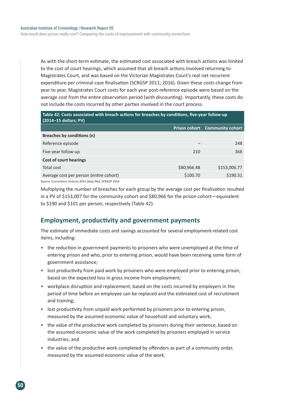How much does prison really cost? Comparing the costs of imprisonment with community corrections

As with the short-term estimate, the estimated cost associated with breach actions was limited to the cost of court hearings, which assumed that all breach actions involved returning to Magistrates Court, and was based on the Victorian Magistrates Court's real net recurrent expenditure per criminal case finalisation (SCRGSP 2011; 2016). Given these costs change from year to year, Magistrates Court costs for each year post-reference episode were based on the average cost from the entire observation period (with discounting). Importantly, these costs do not include the costs incurred by other parties involved in the court process.

| Table 42: Costs associated with breach actions for breaches by conditions, five-year follow-up<br>$(2014-15$ dollars; PV) |             |                                       |  |  |
|---------------------------------------------------------------------------------------------------------------------------|-------------|---------------------------------------|--|--|
|                                                                                                                           |             | <b>Prison cohort</b> Community cohort |  |  |
| Breaches by conditions (n)                                                                                                |             |                                       |  |  |
| Reference episode                                                                                                         |             | 248                                   |  |  |
| Five-year follow-up                                                                                                       | 210         | 368                                   |  |  |
| <b>Cost of court hearings</b>                                                                                             |             |                                       |  |  |
| <b>Total cost</b>                                                                                                         | \$80,966.48 | \$153,006.77                          |  |  |
| Average cost per person (entire cohort)                                                                                   | \$100.70    | \$190.31                              |  |  |
| Source: Corrections Victoria 2015 [data file]: SCRGSP 2016                                                                |             |                                       |  |  |

Multiplying the number of breaches for each group by the average cost per finalisation resulted in a PV of \$153,007 for the community cohort and \$80,966 for the prison cohort—equivalent to \$190 and \$101 per person, respectively (Table 42).

## **Employment, productivity and government payments**

The estimate of immediate costs and savings accounted for several employment-related cost items, including:

- the reduction in government payments to prisoners who were unemployed at the time of entering prison and who, prior to entering prison, would have been receiving some form of government assistance;
- lost productivity from paid work by prisoners who were employed prior to entering prison, based on the expected loss in gross income from employment;
- workplace disruption and replacement, based on the costs incurred by employers in the period of time before an employee can be replaced and the estimated cost of recruitment and training;
- lost productivity from unpaid work performed by prisoners prior to entering prison, measured by the assumed economic value of household and voluntary work;
- the value of the productive work completed by prisoners during their sentence, based on the assumed economic value of the work completed by prisoners employed in service industries; and
- the value of the productive work completed by offenders as part of a community order, measured by the assumed economic value of the work.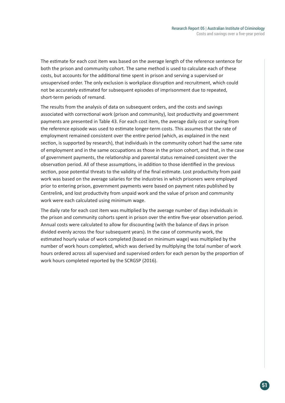The estimate for each cost item was based on the average length of the reference sentence for both the prison and community cohort. The same method is used to calculate each of these costs, but accounts for the additional time spent in prison and serving a supervised or unsupervised order. The only exclusion is workplace disruption and recruitment, which could not be accurately estimated for subsequent episodes of imprisonment due to repeated, short-term periods of remand.

The results from the analysis of data on subsequent orders, and the costs and savings associated with correctional work (prison and community), lost productivity and government payments are presented in Table 43. For each cost item, the average daily cost or saving from the reference episode was used to estimate longer-term costs. This assumes that the rate of employment remained consistent over the entire period (which, as explained in the next section, is supported by research), that individuals in the community cohort had the same rate of employment and in the same occupations as those in the prison cohort, and that, in the case of government payments, the relationship and parental status remained consistent over the observation period. All of these assumptions, in addition to those identified in the previous section, pose potential threats to the validity of the final estimate. Lost productivity from paid work was based on the average salaries for the industries in which prisoners were employed prior to entering prison, government payments were based on payment rates published by Centrelink, and lost productivity from unpaid work and the value of prison and community work were each calculated using minimum wage.

The daily rate for each cost item was multiplied by the average number of days individuals in the prison and community cohorts spent in prison over the entire five-year observation period. Annual costs were calculated to allow for discounting (with the balance of days in prison divided evenly across the four subsequent years). In the case of community work, the estimated hourly value of work completed (based on minimum wage) was multiplied by the number of work hours completed, which was derived by multiplying the total number of work hours ordered across all supervised and supervised orders for each person by the proportion of work hours completed reported by the SCRGSP (2016).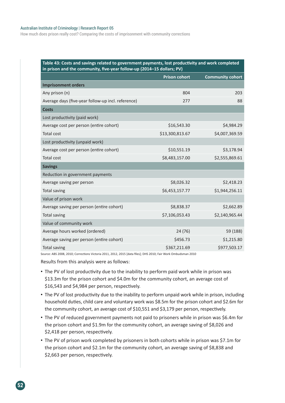#### Australian Institute of Criminology | Research Report 05

How much does prison really cost? Comparing the costs of imprisonment with community corrections

| Table 43: Costs and savings related to government payments, lost productivity and work completed |
|--------------------------------------------------------------------------------------------------|
| in prison and the community, five-year follow-up (2014–15 dollars; PV)                           |

|                                                    | <b>Prison cohort</b> | <b>Community cohort</b> |
|----------------------------------------------------|----------------------|-------------------------|
| <b>Imprisonment orders</b>                         |                      |                         |
| Any prison (n)                                     | 804                  | 203                     |
| Average days (five-year follow-up incl. reference) | 277                  | 88                      |
| <b>Costs</b>                                       |                      |                         |
| Lost productivity (paid work)                      |                      |                         |
| Average cost per person (entire cohort)            | \$16,543.30          | \$4,984.29              |
| <b>Total cost</b>                                  | \$13,300,813.67      | \$4,007,369.59          |
| Lost productivity (unpaid work)                    |                      |                         |
| Average cost per person (entire cohort)            | \$10,551.19          | \$3,178.94              |
| <b>Total cost</b>                                  | \$8,483,157.00       | \$2,555,869.61          |
| <b>Savings</b>                                     |                      |                         |
| Reduction in government payments                   |                      |                         |
| Average saving per person                          | \$8,026.32           | \$2,418.23              |
| <b>Total saving</b>                                | \$6,453,157.77       | \$1,944,256.11          |
| Value of prison work                               |                      |                         |
| Average saving per person (entire cohort)          | \$8,838.37           | \$2,662.89              |
| Total saving                                       | \$7,106,053.43       | \$2,140,965.44          |
| Value of community work                            |                      |                         |
| Average hours worked (ordered)                     | 24 (76)              | 59 (188)                |
| Average saving per person (entire cohort)          | \$456.73             | \$1,215.80              |
| <b>Total saving</b>                                | \$367,211.69         | \$977,503.17            |

Source: ABS 2008, 2010; Corrections Victoria 2011, 2012, 2015 [data files]; DHS 2010; Fair Work Ombudsman 2010

Results from this analysis were as follows:

- The PV of lost productivity due to the inability to perform paid work while in prison was \$13.3m for the prison cohort and \$4.0m for the community cohort, an average cost of \$16,543 and \$4,984 per person, respectively.
- The PV of lost productivity due to the inability to perform unpaid work while in prison, including household duties, child care and voluntary work was \$8.5m for the prison cohort and \$2.6m for the community cohort, an average cost of \$10,551 and \$3,179 per person, respectively.
- The PV of reduced government payments not paid to prisoners while in prison was \$6.4m for the prison cohort and \$1.9m for the community cohort, an average saving of \$8,026 and \$2,418 per person, respectively.
- The PV of prison work completed by prisoners in both cohorts while in prison was \$7.1m for the prison cohort and \$2.1m for the community cohort, an average saving of \$8,838 and \$2,663 per person, respectively.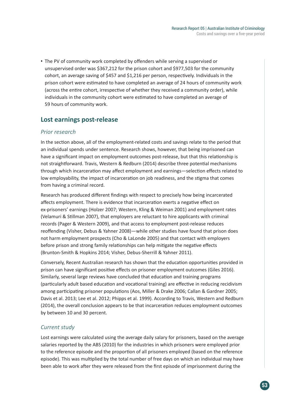• The PV of community work completed by offenders while serving a supervised or unsupervised order was \$367,212 for the prison cohort and \$977,503 for the community cohort, an average saving of \$457 and \$1,216 per person, respectively. Individuals in the prison cohort were estimated to have completed an average of 24 hours of community work (across the entire cohort, irrespective of whether they received a community order), while individuals in the community cohort were estimated to have completed an average of 59 hours of community work.

## **Lost earnings post-release**

### *Prior research*

In the section above, all of the employment-related costs and savings relate to the period that an individual spends under sentence. Research shows, however, that being imprisoned can have a significant impact on employment outcomes post-release, but that this relationship is not straightforward. Travis, Western & Redburn (2014) describe three potential mechanisms through which incarceration may affect employment and earnings—selection effects related to low employability, the impact of incarceration on job readiness, and the stigma that comes from having a criminal record.

Research has produced different findings with respect to precisely how being incarcerated affects employment. There is evidence that incarceration exerts a negative effect on ex-prisoners' earnings (Holzer 2007; Western, Kling & Weiman 2001) and employment rates (Velamuri & Stillman 2007), that employers are reluctant to hire applicants with criminal records (Pager & Western 2009), and that access to employment post-release reduces reoffending (Visher, Debus & Yahner 2008)—while other studies have found that prison does not harm employment prospects (Cho & LaLonde 2005) and that contact with employers before prison and strong family relationships can help mitigate the negative effects (Brunton-Smith & Hopkins 2014; Visher, Debus-Sherrill & Yahner 2011).

Conversely, Recent Australian research has shown that the education opportunities provided in prison can have significant positive effects on prisoner employment outcomes (Giles 2016). Similarly, several large reviews have concluded that education and training programs (particularly adult based education and vocational training) are effective in reducing recidivism among participating prisoner populations (Aos, Miller & Drake 2006; Callan & Gardner 2005; Davis et al. 2013; Lee et al. 2012; Phipps et al. 1999). According to Travis, Western and Redburn (2014), the overall conclusion appears to be that incarceration reduces employment outcomes by between 10 and 30 percent.

### *Current study*

Lost earnings were calculated using the average daily salary for prisoners, based on the average salaries reported by the ABS (2010) for the industries in which prisoners were employed prior to the reference episode and the proportion of all prisoners employed (based on the reference episode). This was multiplied by the total number of free days on which an individual may have been able to work after they were released from the first episode of imprisonment during the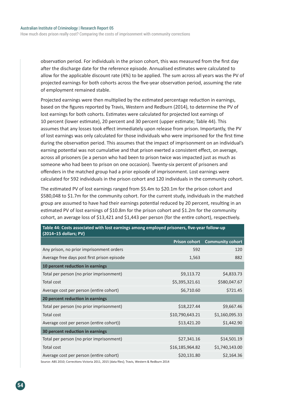observation period. For individuals in the prison cohort, this was measured from the first day after the discharge date for the reference episode. Annualised estimates were calculated to allow for the applicable discount rate (4%) to be applied. The sum across all years was the PV of projected earnings for both cohorts across the five-year observation period, assuming the rate of employment remained stable.

Projected earnings were then multiplied by the estimated percentage reduction in earnings, based on the figures reported by Travis, Western and Redburn (2014), to determine the PV of lost earnings for both cohorts. Estimates were calculated for projected lost earnings of 10 percent (lower estimate), 20 percent and 30 percent (upper estimate; Table 44). This assumes that any losses took effect immediately upon release from prison. Importantly, the PV of lost earnings was only calculated for those individuals who were imprisoned for the first time during the observation period. This assumes that the impact of imprisonment on an individual's earning potential was not cumulative and that prison exerted a consistent effect, on average, across all prisoners (ie a person who had been to prison twice was impacted just as much as someone who had been to prison on one occasion). Twenty-six percent of prisoners and offenders in the matched group had a prior episode of imprisonment. Lost earnings were calculated for 592 individuals in the prison cohort and 120 individuals in the community cohort.

The estimated PV of lost earnings ranged from \$5.4m to \$20.1m for the prison cohort and \$580,048 to \$1.7m for the community cohort. For the current study, individuals in the matched group are assumed to have had their earnings potential reduced by 20 percent, resulting in an estimated PV of lost earnings of \$10.8m for the prison cohort and \$1.2m for the community cohort, an average loss of \$13,421 and \$1,443 per person (for the entire cohort), respectively.

| (2014-15 dollars; PV)                       |                      |                         |
|---------------------------------------------|----------------------|-------------------------|
|                                             | <b>Prison cohort</b> | <b>Community cohort</b> |
| Any prison, no prior imprisonment orders    | 592                  | 120                     |
| Average free days post first prison episode | 1,563                | 882                     |
| 10 percent reduction in earnings            |                      |                         |
| Total per person (no prior imprisonment)    | \$9,113.72           | \$4,833.73              |
| Total cost                                  | \$5,395,321.61       | \$580,047.67            |
| Average cost per person (entire cohort)     | \$6,710.60           | \$721.45                |
| 20 percent reduction in earnings            |                      |                         |
| Total per person (no prior imprisonment)    | \$18,227.44          | \$9,667.46              |
| Total cost                                  | \$10,790,643.21      | \$1,160,095.33          |
| Average cost per person (entire cohort))    | \$13,421.20          | \$1,442.90              |
| 30 percent reduction in earnings            |                      |                         |
| Total per person (no prior imprisonment)    | \$27,341.16          | \$14,501.19             |
| Total cost                                  | \$16,185,964.82      | \$1,740,143.00          |
| Average cost per person (entire cohort)     | \$20,131.80          | \$2,164.36              |

## **Table 44: Costs associated with lost earnings among employed prisoners, five-year follow-up**

Source: ABS 2010; Corrections Victoria 2011, 2015 [data files]; Travis, Western & Redburn 2014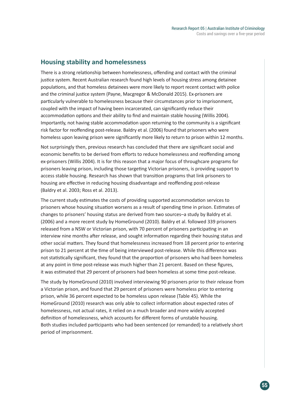## **Housing stability and homelessness**

There is a strong relationship between homelessness, offending and contact with the criminal justice system. Recent Australian research found high levels of housing stress among detainee populations, and that homeless detainees were more likely to report recent contact with police and the criminal justice system (Payne, Macgregor & McDonald 2015). Ex-prisoners are particularly vulnerable to homelessness because their circumstances prior to imprisonment, coupled with the impact of having been incarcerated, can significantly reduce their accommodation options and their ability to find and maintain stable housing (Willis 2004). Importantly, not having stable accommodation upon returning to the community is a significant risk factor for reoffending post-release. Baldry et al. (2006) found that prisoners who were homeless upon leaving prison were significantly more likely to return to prison within 12 months.

Not surprisingly then, previous research has concluded that there are significant social and economic benefits to be derived from efforts to reduce homelessness and reoffending among ex-prisoners (Willis 2004). It is for this reason that a major focus of throughcare programs for prisoners leaving prison, including those targeting Victorian prisoners, is providing support to access stable housing. Research has shown that transition programs that link prisoners to housing are effective in reducing housing disadvantage and reoffending post-release (Baldry et al. 2003; Ross et al. 2013).

The current study estimates the costs of providing supported accommodation services to prisoners whose housing situation worsens as a result of spending time in prison. Estimates of changes to prisoners' housing status are derived from two sources–a study by Baldry et al. (2006) and a more recent study by HomeGround (2010). Baldry et al. followed 339 prisoners released from a NSW or Victorian prison, with 70 percent of prisoners participating in an interview nine months after release, and sought information regarding their housing status and other social matters. They found that homelessness increased from 18 percent prior to entering prison to 21 percent at the time of being interviewed post-release. While this difference was not statistically significant, they found that the proportion of prisoners who had been homeless at any point in time post-release was much higher than 21 percent. Based on these figures, it was estimated that 29 percent of prisoners had been homeless at some time post-release.

The study by HomeGround (2010) involved interviewing 90 prisoners prior to their release from a Victorian prison, and found that 29 percent of prisoners were homeless prior to entering prison, while 36 percent expected to be homeless upon release (Table 45). While the HomeGround (2010) research was only able to collect information about expected rates of homelessness, not actual rates, it relied on a much broader and more widely accepted definition of homelessness, which accounts for different forms of unstable housing. Both studies included participants who had been sentenced (or remanded) to a relatively short period of imprisonment.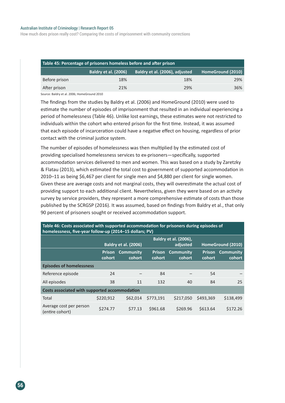#### Australian Institute of Criminology | Research Report 05

How much does prison really cost? Comparing the costs of imprisonment with community corrections

| Table 45: Percentage of prisoners homeless before and after prison |                             |                                |                   |  |
|--------------------------------------------------------------------|-----------------------------|--------------------------------|-------------------|--|
|                                                                    | <b>Baldry et al. (2006)</b> | Baldry et al. (2006), adjusted | HomeGround (2010) |  |
| Before prison                                                      | 18%                         | 18%                            | 29%               |  |
| After prison                                                       | 21%                         | 29%                            | 36%               |  |

Source: Baldry et al. 2006; HomeGround 2010

The findings from the studies by Baldry et al. (2006) and HomeGround (2010) were used to estimate the number of episodes of imprisonment that resulted in an individual experiencing a period of homelessness (Table 46). Unlike lost earnings, these estimates were not restricted to individuals within the cohort who entered prison for the first time. Instead, it was assumed that each episode of incarceration could have a negative effect on housing, regardless of prior contact with the criminal justice system.

The number of episodes of homelessness was then multiplied by the estimated cost of providing specialised homelessness services to ex-prisoners—specifically, supported accommodation services delivered to men and women. This was based on a study by Zaretzky & Flatau (2013), which estimated the total cost to government of supported accommodation in 2010–11 as being \$6,467 per client for single men and \$4,880 per client for single women. Given these are average costs and not marginal costs, they will overestimate the actual cost of providing support to each additional client. Nevertheless, given they were based on an activity survey by service providers, they represent a more comprehensive estimate of costs than those published by the SCRGSP (2016). It was assumed, based on findings from Baldry et al., that only 90 percent of prisoners sought or received accommodation support.

| homelessness, five-year follow-up (2014-15 dollars; PV) |                                                                         |                            |                         |                     |           |                                   |  |
|---------------------------------------------------------|-------------------------------------------------------------------------|----------------------------|-------------------------|---------------------|-----------|-----------------------------------|--|
|                                                         | <b>Baldry et al. (2006),</b><br><b>Baldry et al. (2006)</b><br>adjusted |                            |                         |                     |           | HomeGround (2010)                 |  |
|                                                         | <b>Prison</b><br>cohort                                                 | <b>Community</b><br>cohort | <b>Prison</b><br>cohort | Community<br>cohort | cohort    | <b>Prison Community</b><br>cohort |  |
| <b>Episodes of homelessness</b>                         |                                                                         |                            |                         |                     |           |                                   |  |
| Reference episode                                       | 24                                                                      |                            | 84                      |                     | 54        |                                   |  |
| All episodes                                            | 38                                                                      | 11                         | 132                     | 40                  | 84        | 25                                |  |
| Costs associated with supported accommodation           |                                                                         |                            |                         |                     |           |                                   |  |
| Total                                                   | \$220,912                                                               | \$62,014                   | \$773,191               | \$217,050           | \$493,369 | \$138,499                         |  |
| Average cost per person<br>(entire cohort)              | \$274.77                                                                | \$77.13                    | \$961.68                | \$269.96            | \$613.64  | \$172.26                          |  |

**Table 46: Costs associated with supported accommodation for prisoners during episodes of**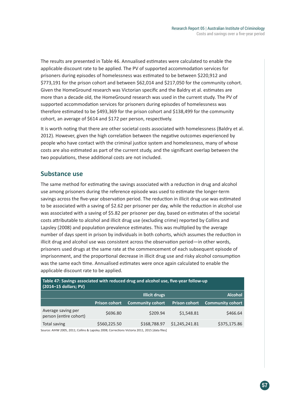The results are presented in Table 46. Annualised estimates were calculated to enable the applicable discount rate to be applied. The PV of supported accommodation services for prisoners during episodes of homelessness was estimated to be between \$220,912 and \$773,191 for the prison cohort and between \$62,014 and \$217,050 for the community cohort. Given the HomeGround research was Victorian specific and the Baldry et al. estimates are more than a decade old, the HomeGround research was used in the current study. The PV of supported accommodation services for prisoners during episodes of homelessness was therefore estimated to be \$493,369 for the prison cohort and \$138,499 for the community cohort, an average of \$614 and \$172 per person, respectively.

It is worth noting that there are other societal costs associated with homelessness (Baldry et al. 2012). However, given the high correlation between the negative outcomes experienced by people who have contact with the criminal justice system and homelessness, many of whose costs are also estimated as part of the current study, and the significant overlap between the two populations, these additional costs are not included.

## **Substance use**

The same method for estimating the savings associated with a reduction in drug and alcohol use among prisoners during the reference episode was used to estimate the longer-term savings across the five-year observation period. The reduction in illicit drug use was estimated to be associated with a saving of \$2.62 per prisoner per day, while the reduction in alcohol use was associated with a saving of \$5.82 per prisoner per day, based on estimates of the societal costs attributable to alcohol and illicit drug use (excluding crime) reported by Collins and Lapsley (2008) and population prevalence estimates. This was multiplied by the average number of days spent in prison by individuals in both cohorts, which assumes the reduction in illicit drug and alcohol use was consistent across the observation period—in other words, prisoners used drugs at the same rate at the commencement of each subsequent episode of imprisonment, and the proportional decrease in illicit drug use and risky alcohol consumption was the same each time. Annualised estimates were once again calculated to enable the applicable discount rate to be applied.

| Trable 47: Savings associated with reduced drug and alcohol use, live-year follow-up<br>(2014-15 dollars; PV) |                      |                         |                      |                         |  |
|---------------------------------------------------------------------------------------------------------------|----------------------|-------------------------|----------------------|-------------------------|--|
|                                                                                                               |                      | Illicit drugs           |                      | <b>Alcohol</b>          |  |
|                                                                                                               | <b>Prison cohort</b> | <b>Community cohort</b> | <b>Prison cohort</b> | <b>Community cohort</b> |  |
| Average saving per<br>person (entire cohort)                                                                  | \$696.80             | \$209.94                | \$1,548.81           | \$466.64                |  |
| Total saving                                                                                                  | \$560,225.50         | \$168,788.97            | \$1,245,241.81       | \$375,175.86            |  |

**Table 47: Savings associated with reduced drug and alcohol use, five-year follow-up** 

Source: AIHW 2005, 2011; Collins & Lapsley 2008; Corrections Victoria 2011, 2015 [data files]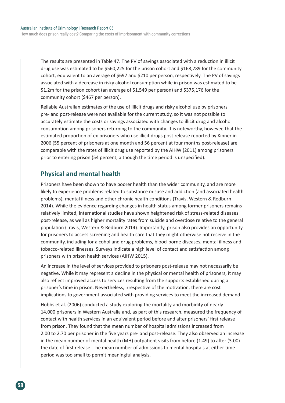The results are presented in Table 47. The PV of savings associated with a reduction in illicit drug use was estimated to be \$560,225 for the prison cohort and \$168,789 for the community cohort, equivalent to an average of \$697 and \$210 per person, respectively. The PV of savings associated with a decrease in risky alcohol consumption while in prison was estimated to be \$1.2m for the prison cohort (an average of \$1,549 per person) and \$375,176 for the community cohort (\$467 per person).

Reliable Australian estimates of the use of illicit drugs and risky alcohol use by prisoners pre- and post-release were not available for the current study, so it was not possible to accurately estimate the costs or savings associated with changes to illicit drug and alcohol consumption among prisoners returning to the community. It is noteworthy, however, that the estimated proportion of ex-prisoners who use illicit drugs post-release reported by Kinner in 2006 (55 percent of prisoners at one month and 56 percent at four months post-release) are comparable with the rates of illicit drug use reported by the AIHW (2011) among prisoners prior to entering prison (54 percent, although the time period is unspecified).

## **Physical and mental health**

Prisoners have been shown to have poorer health than the wider community, and are more likely to experience problems related to substance misuse and addiction (and associated health problems), mental illness and other chronic health conditions (Travis, Western & Redburn 2014). While the evidence regarding changes in health status among former prisoners remains relatively limited, international studies have shown heightened risk of stress-related diseases post-release, as well as higher mortality rates from suicide and overdose relative to the general population (Travis, Western & Redburn 2014). Importantly, prison also provides an opportunity for prisoners to access screening and health care that they might otherwise not receive in the community, including for alcohol and drug problems, blood-borne diseases, mental illness and tobacco-related illnesses. Surveys indicate a high level of contact and satisfaction among prisoners with prison health services (AIHW 2015).

An increase in the level of services provided to prisoners post-release may not necessarily be negative. While it may represent a decline in the physical or mental health of prisoners, it may also reflect improved access to services resulting from the supports established during a prisoner's time in prison. Nevertheless, irrespective of the motivation, there are cost implications to government associated with providing services to meet the increased demand.

Hobbs et al. (2006) conducted a study exploring the mortality and morbidity of nearly 14,000 prisoners in Western Australia and, as part of this research, measured the frequency of contact with health services in an equivalent period before and after prisoners' first release from prison. They found that the mean number of hospital admissions increased from 2.00 to 2.70 per prisoner in the five years pre- and post-release. They also observed an increase in the mean number of mental health (MH) outpatient visits from before (1.49) to after (3.00) the date of first release. The mean number of admissions to mental hospitals at either time period was too small to permit meaningful analysis.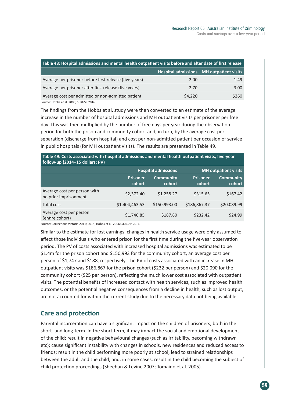| Table 48: Hospital admissions and mental health outpatient visits before and after date of first release |                                          |  |  |  |  |
|----------------------------------------------------------------------------------------------------------|------------------------------------------|--|--|--|--|
|                                                                                                          | Hospital admissions MH outpatient visits |  |  |  |  |
| 2.00                                                                                                     | 1.49                                     |  |  |  |  |
| 2.70                                                                                                     | 3.00 <sub>1</sub>                        |  |  |  |  |
| \$4,220                                                                                                  | \$260                                    |  |  |  |  |
|                                                                                                          |                                          |  |  |  |  |

Source: Hobbs et al. 2006; SCRGSP 2016

The findings from the Hobbs et al. study were then converted to an estimate of the average increase in the number of hospital admissions and MH outpatient visits per prisoner per free day. This was then multiplied by the number of free days per year during the observation period for both the prison and community cohort and, in turn, by the average cost per separation (discharge from hospital) and cost per non-admitted patient per occasion of service in public hospitals (for MH outpatient visits). The results are presented in Table 49.

| Table 49: Costs associated with hospital admissions and mental health outpatient visits, five-year<br>follow-up (2014-15 dollars; PV) |                                                           |                            |                           |                            |  |
|---------------------------------------------------------------------------------------------------------------------------------------|-----------------------------------------------------------|----------------------------|---------------------------|----------------------------|--|
|                                                                                                                                       | <b>Hospital admissions</b><br><b>MH</b> outpatient visits |                            |                           |                            |  |
|                                                                                                                                       | <b>Prisoner</b><br>cohort                                 | <b>Community</b><br>cohort | <b>Prisoner</b><br>cohort | <b>Community</b><br>cohort |  |
| Average cost per person with<br>no prior imprisonment                                                                                 | \$2,372.40                                                | \$1,258.27                 | \$315.65                  | \$167.42                   |  |

Total cost \$1,404,463.53 \$150,993.00 \$186,867.37 \$20,089.99

(entire cohort) \$1,746.85 \$187.80 \$232.42 \$24.99

Average cost per person

Source: Corrections Victoria 2011; 2015; Hobbs et al. 2006; SCRGSP 2016

Similar to the estimate for lost earnings, changes in health service usage were only assumed to affect those individuals who entered prison for the first time during the five-year observation period. The PV of costs associated with increased hospital admissions was estimated to be \$1.4m for the prison cohort and \$150,993 for the community cohort, an average cost per person of \$1,747 and \$188, respectively. The PV of costs associated with an increase in MH outpatient visits was \$186,867 for the prison cohort (\$232 per person) and \$20,090 for the community cohort (\$25 per person), reflecting the much lower cost associated with outpatient visits. The potential benefits of increased contact with health services, such as improved health outcomes, or the potential negative consequences from a decline in health, such as lost output, are not accounted for within the current study due to the necessary data not being available.

## **Care and protection**

Parental incarceration can have a significant impact on the children of prisoners, both in the short- and long-term. In the short-term, it may impact the social and emotional development of the child; result in negative behavioural changes (such as irritability, becoming withdrawn etc); cause significant instability with changes in schools, new residences and reduced access to friends; result in the child performing more poorly at school; lead to strained relationships between the adult and the child; and, in some cases, result in the child becoming the subject of child protection proceedings (Sheehan & Levine 2007; Tomaino et al. 2005).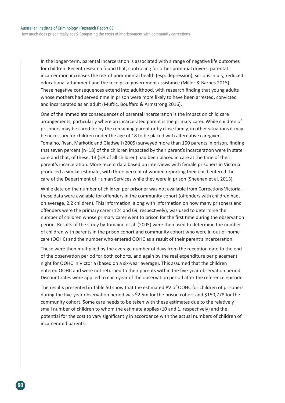In the longer-term, parental incarceration is associated with a range of negative life outcomes for children. Recent research found that, controlling for other potential drivers, parental incarceration increases the risk of poor mental health (esp. depression), serious injury, reduced educational attainment and the receipt of government assistance (Miller & Barnes 2015). These negative consequences extend into adulthood, with research finding that young adults whose mothers had served time in prison were more likely to have been arrested, convicted and incarcerated as an adult (Muftic, Bouffard & Armstrong 2016).

One of the immediate consequences of parental incarceration is the impact on child care arrangements, particularly where an incarcerated parent is the primary carer. While children of prisoners may be cared for by the remaining parent or by close family, in other situations it may be necessary for children under the age of 18 to be placed with alternative caregivers. Tomaino, Ryan, Markotic and Gladwell (2005) surveyed more than 100 parents in prison, finding that seven percent (n=18) of the children impacted by their parent's incarceration were in state care and that, of these, 13 (5% of all children) had been placed in care at the time of their parent's incarceration. More recent data based on interviews with female prisoners in Victoria produced a similar estimate, with three percent of women reporting their child entered the care of the Department of Human Services while they were in prison (Sheehan et al. 2013).

While data on the number of children per prisoner was not available from Corrections Victoria, these data were available for offenders in the community cohort (offenders with children had, on average, 2.2 children). This information, along with information on how many prisoners and offenders were the primary carer (124 and 69, respectively), was used to determine the number of children whose primary carer went to prison for the first time during the observation period. Results of the study by Tomaino et al. (2005) were then used to determine the number of children with parents in the prison cohort and community cohort who were in out-of-home care (OOHC) and the number who entered OOHC as a result of their parent's incarceration.

These were then multiplied by the average number of days from the reception date to the end of the observation period for both cohorts, and again by the real expenditure per placement night for OOHC in Victoria (based on a six-year average). This assumed that the children entered OOHC and were not returned to their parents within the five-year observation period. Discount rates were applied to each year of the observation period after the reference episode.

The results presented in Table 50 show that the estimated PV of OOHC for children of prisoners during the five-year observation period was \$2.5m for the prison cohort and \$150,778 for the community cohort. Some care needs to be taken with these estimates due to the relatively small number of children to whom the estimate applies (10 and 1, respectively) and the potential for the cost to vary significantly in accordance with the actual numbers of children of incarcerated parents.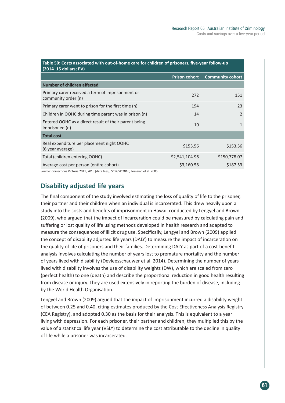| Table 50: Costs associated with out-of-home care for children of prisoners, five-year follow-up<br>$(2014-15$ dollars; PV) |                      |                         |  |  |  |  |
|----------------------------------------------------------------------------------------------------------------------------|----------------------|-------------------------|--|--|--|--|
|                                                                                                                            | <b>Prison cohort</b> | <b>Community cohort</b> |  |  |  |  |
| <b>Number of children affected</b>                                                                                         |                      |                         |  |  |  |  |
| Primary carer received a term of imprisonment or<br>community order (n)                                                    | 272                  | 151                     |  |  |  |  |
| Primary carer went to prison for the first time (n)                                                                        | 194                  | 23                      |  |  |  |  |
| Children in OOHC during time parent was in prison (n)                                                                      | 14                   | $\mathfrak{D}$          |  |  |  |  |
| Entered OOHC as a direct result of their parent being<br>imprisoned (n)                                                    | 10                   | $\mathbf{1}$            |  |  |  |  |
| <b>Total cost</b>                                                                                                          |                      |                         |  |  |  |  |
| Real expenditure per placement night OOHC<br>(6 year average)                                                              | \$153.56             | \$153.56                |  |  |  |  |
| Total (children entering OOHC)                                                                                             | \$2,541,104.96       | \$150,778.07            |  |  |  |  |
| Average cost per person (entire cohort)                                                                                    | \$3,160.58           | \$187.53                |  |  |  |  |

Source: Corrections Victoria 2011, 2015 [data files]; SCRGSP 2016; Tomaino et al. 2005

### **Disability adjusted life years**

The final component of the study involved estimating the loss of quality of life to the prisoner, their partner and their children when an individual is incarcerated. This drew heavily upon a study into the costs and benefits of imprisonment in Hawaii conducted by Lengyel and Brown (2009), who argued that the impact of incarceration could be measured by calculating pain and suffering or lost quality of life using methods developed in health research and adapted to measure the consequences of illicit drug use. Specifically, Lengyel and Brown (2009) applied the concept of disability adjusted life years (DALY) to measure the impact of incarceration on the quality of life of prisoners and their families. Determining DALY as part of a cost-benefit analysis involves calculating the number of years lost to premature mortality and the number of years lived with disability (Devleesschauwer et al. 2014). Determining the number of years lived with disability involves the use of disability weights (DW), which are scaled from zero (perfect health) to one (death) and describe the proportional reduction in good health resulting from disease or injury. They are used extensively in reporting the burden of disease, including by the World Health Organisation.

Lengyel and Brown (2009) argued that the impact of imprisonment incurred a disability weight of between 0.25 and 0.40, citing estimates produced by the Cost Effectiveness Analysis Registry (CEA Registry), and adopted 0.30 as the basis for their analysis. This is equivalent to a year living with depression. For each prisoner, their partner and children, they multiplied this by the value of a statistical life year (VSLY) to determine the cost attributable to the decline in quality of life while a prisoner was incarcerated.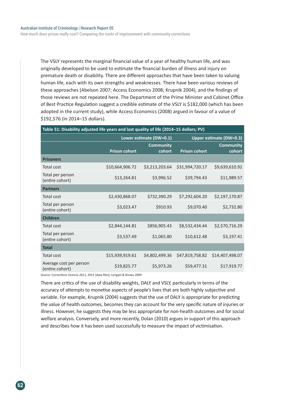How much does prison really cost? Comparing the costs of imprisonment with community corrections

The VSLY represents the marginal financial value of a year of healthy human life, and was originally developed to be used to estimate the financial burden of illness and injury on premature death or disability. There are different approaches that have been taken to valuing human life, each with its own strengths and weaknesses. There have been various reviews of these approaches (Abelson 2007; Access Economics 2008; Krupnik 2004), and the findings of those reviews are not repeated here. The Department of the Prime Minister and Cabinet Office of Best Practice Regulation suggest a credible estimate of the VSLY is \$182,000 (which has been adopted in the current study), while Access Economics (2008) argued in favour of a value of \$192,576 (in 2014–15 dollars).

| Table 51: Disability adjusted life years and lost quality of life (2014-15 dollars; PV) |                      |                            |                                |                            |  |  |  |  |
|-----------------------------------------------------------------------------------------|----------------------|----------------------------|--------------------------------|----------------------------|--|--|--|--|
|                                                                                         |                      | Lower estimate (DW=0.1)    | <b>Upper estimate (DW=0.3)</b> |                            |  |  |  |  |
|                                                                                         | <b>Prison cohort</b> | <b>Community</b><br>cohort | <b>Prison cohort</b>           | <b>Community</b><br>cohort |  |  |  |  |
| <b>Prisoners</b>                                                                        |                      |                            |                                |                            |  |  |  |  |
| <b>Total cost</b>                                                                       | \$10,664,906.72      | \$3,213,203.64             | \$31,994,720.17                | \$9,639,610.92             |  |  |  |  |
| Total per person<br>(entire cohort)                                                     | \$13,264.81          | \$3,996.52                 | \$39,794.43                    | \$11,989.57                |  |  |  |  |
| <b>Partners</b>                                                                         |                      |                            |                                |                            |  |  |  |  |
| <b>Total cost</b>                                                                       | \$2,430,868.07       | \$732,390.29               | \$7,292,604.20                 | \$2,197,170.87             |  |  |  |  |
| Total per person<br>(entire cohort)                                                     | \$3,023.47           | \$910.93                   | \$9,070.40                     | \$2,732.80                 |  |  |  |  |
| <b>Children</b>                                                                         |                      |                            |                                |                            |  |  |  |  |
| <b>Total cost</b>                                                                       | \$2,844,144.81       | \$856,905.43               | \$8,532,434.44                 | \$2,570,716.29             |  |  |  |  |
| Total per person<br>(entire cohort)                                                     | \$3,537.49           | \$1,065.80                 | \$10,612.48                    | \$3,197.41                 |  |  |  |  |
| <b>Total</b>                                                                            |                      |                            |                                |                            |  |  |  |  |
| Total cost                                                                              | \$15,939,919.61      | \$4,802,499.36             | \$47,819,758.82                | \$14,407,498.07            |  |  |  |  |
| Average cost per person<br>(entire cohort)                                              | \$19,825.77          | \$5,973.26                 | \$59,477.31                    | \$17,919.77                |  |  |  |  |

Source: Corrections Victoria 2011, 2015 [data files]; Lengyel & Brown 2009

There are critics of the use of disability weights, DALY and VSLY, particularly in terms of the accuracy of attempts to monetise aspects of people's lives that are both highly subjective and variable. For example, Krupnik (2004) suggests that the use of DALY is appropriate for predicting the value of health outcomes, becomes they can account for the very specific nature of injuries or illness. However, he suggests they may be less appropriate for non-health outcomes and for social welfare analysis. Conversely, and more recently, Dolan (2010) argues in support of this approach and describes how it has been used successfully to measure the impact of victimisation.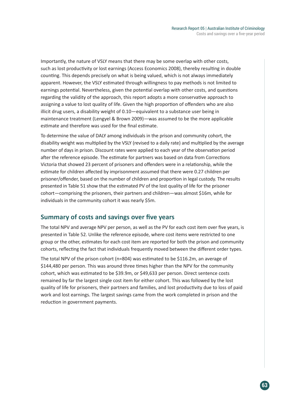Importantly, the nature of VSLY means that there may be some overlap with other costs, such as lost productivity or lost earnings (Access Economics 2008), thereby resulting in double counting. This depends precisely on what is being valued, which is not always immediately apparent. However, the VSLY estimated through willingness to pay methods is not limited to earnings potential. Nevertheless, given the potential overlap with other costs, and questions regarding the validity of the approach, this report adopts a more conservative approach to assigning a value to lost quality of life. Given the high proportion of offenders who are also illicit drug users, a disability weight of 0.10—equivalent to a substance user being in maintenance treatment (Lengyel & Brown 2009)—was assumed to be the more applicable estimate and therefore was used for the final estimate.

To determine the value of DALY among individuals in the prison and community cohort, the disability weight was multiplied by the VSLY (revised to a daily rate) and multiplied by the average number of days in prison. Discount rates were applied to each year of the observation period after the reference episode. The estimate for partners was based on data from Corrections Victoria that showed 23 percent of prisoners and offenders were in a relationship, while the estimate for children affected by imprisonment assumed that there were 0.27 children per prisoner/offender, based on the number of children and proportion in legal custody. The results presented in Table 51 show that the estimated PV of the lost quality of life for the prisoner cohort—comprising the prisoners, their partners and children—was almost \$16m, while for individuals in the community cohort it was nearly \$5m.

### **Summary of costs and savings over five years**

The total NPV and average NPV per person, as well as the PV for each cost item over five years, is presented in Table 52. Unlike the reference episode, where cost items were restricted to one group or the other, estimates for each cost item are reported for both the prison and community cohorts, reflecting the fact that individuals frequently moved between the different order types.

The total NPV of the prison cohort (n=804) was estimated to be \$116.2m, an average of \$144,480 per person. This was around three times higher than the NPV for the community cohort, which was estimated to be \$39.9m, or \$49,633 per person. Direct sentence costs remained by far the largest single cost item for either cohort. This was followed by the lost quality of life for prisoners, their partners and families, and lost productivity due to loss of paid work and lost earnings. The largest savings came from the work completed in prison and the reduction in government payments.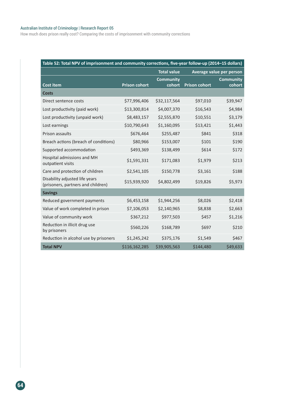#### Australian Institute of Criminology | Research Report 05

How much does prison really cost? Comparing the costs of imprisonment with community corrections

| Table 52: Total NPV of imprisonment and community corrections, five-year follow-up (2014-15 dollars) |                      |                            |                          |                            |  |  |
|------------------------------------------------------------------------------------------------------|----------------------|----------------------------|--------------------------|----------------------------|--|--|
|                                                                                                      | <b>Total value</b>   |                            | Average value per person |                            |  |  |
| <b>Cost item</b>                                                                                     | <b>Prison cohort</b> | <b>Community</b><br>cohort | <b>Prison cohort</b>     | <b>Community</b><br>cohort |  |  |
| <b>Costs</b>                                                                                         |                      |                            |                          |                            |  |  |
| Direct sentence costs                                                                                | \$77,996,406         | \$32,117,564               | \$97,010                 | \$39,947                   |  |  |
| Lost productivity (paid work)                                                                        | \$13,300,814         | \$4,007,370                | \$16,543                 | \$4,984                    |  |  |
| Lost productivity (unpaid work)                                                                      | \$8,483,157          | \$2,555,870                | \$10,551                 | \$3,179                    |  |  |
| Lost earnings                                                                                        | \$10,790,643         | \$1,160,095                | \$13,421                 | \$1,443                    |  |  |
| Prison assaults                                                                                      | \$676,464            | \$255,487                  | \$841                    | \$318                      |  |  |
| Breach actions (breach of conditions)                                                                | \$80,966             | \$153,007                  | \$101                    | \$190                      |  |  |
| Supported accommodation                                                                              | \$493,369            | \$138,499                  | \$614                    | \$172                      |  |  |
| Hospital admissions and MH<br>outpatient visits                                                      | \$1,591,331          | \$171,083                  | \$1,979                  | \$213                      |  |  |
| Care and protection of children                                                                      | \$2,541,105          | \$150,778                  | \$3,161                  | \$188                      |  |  |
| Disability adjusted life years<br>(prisoners, partners and children)                                 | \$15,939,920         | \$4,802,499                | \$19,826                 | \$5,973                    |  |  |
| <b>Savings</b>                                                                                       |                      |                            |                          |                            |  |  |
| Reduced government payments                                                                          | \$6,453,158          | \$1,944,256                | \$8,026                  | \$2,418                    |  |  |
| Value of work completed in prison                                                                    | \$7,106,053          | \$2,140,965                | \$8,838                  | \$2,663                    |  |  |
| Value of community work                                                                              | \$367,212            | \$977,503                  | \$457                    | \$1,216                    |  |  |
| Reduction in illicit drug use<br>by prisoners                                                        | \$560,226            | \$168,789                  | \$697                    | \$210                      |  |  |
| Reduction in alcohol use by prisoners                                                                | \$1,245,242          | \$375,176                  | \$1,549                  | \$467                      |  |  |
| <b>Total NPV</b>                                                                                     | \$116,162,285        | \$39,905,563               | \$144,480                | \$49,633                   |  |  |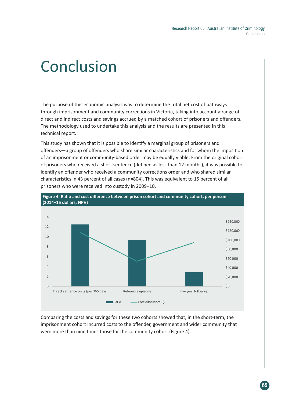# Conclusion

The purpose of this economic analysis was to determine the total net cost of pathways through imprisonment and community corrections in Victoria, taking into account a range of direct and indirect costs and savings accrued by a matched cohort of prisoners and offenders. The methodology used to undertake this analysis and the results are presented in this technical report.

This study has shown that it is possible to identify a marginal group of prisoners and offenders—a group of offenders who share similar characteristics and for whom the imposition of an imprisonment or community-based order may be equally viable. From the original cohort of prisoners who received a short sentence (defined as less than 12 months), it was possible to identify an offender who received a community corrections order and who shared similar characteristics in 43 percent of all cases (n=804). This was equivalent to 15 percent of all prisoners who were received into custody in 2009–10.



Comparing the costs and savings for these two cohorts showed that, in the short-term, the imprisonment cohort incurred costs to the offender, government and wider community that were more than nine times those for the community cohort (Figure 4).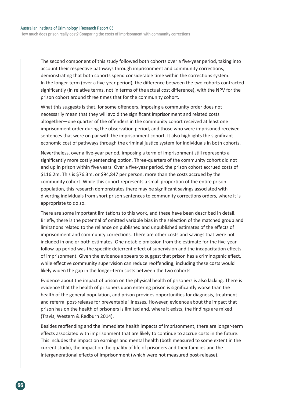The second component of this study followed both cohorts over a five-year period, taking into account their respective pathways through imprisonment and community corrections, demonstrating that both cohorts spend considerable time within the corrections system. In the longer-term (over a five-year period), the difference between the two cohorts contracted significantly (in relative terms, not in terms of the actual cost difference), with the NPV for the prison cohort around three times that for the community cohort.

What this suggests is that, for some offenders, imposing a community order does not necessarily mean that they will avoid the significant imprisonment and related costs altogether—one quarter of the offenders in the community cohort received at least one imprisonment order during the observation period, and those who were imprisoned received sentences that were on par with the imprisonment cohort. It also highlights the significant economic cost of pathways through the criminal justice system for individuals in both cohorts.

Nevertheless, over a five-year period, imposing a term of imprisonment still represents a significantly more costly sentencing option. Three-quarters of the community cohort did not end up in prison within five years. Over a five-year period, the prison cohort accrued costs of \$116.2m. This is \$76.3m, or \$94,847 per person, more than the costs accrued by the community cohort. While this cohort represents a small proportion of the entire prison population, this research demonstrates there may be significant savings associated with diverting individuals from short prison sentences to community corrections orders, where it is appropriate to do so.

There are some important limitations to this work, and these have been described in detail. Briefly, there is the potential of omitted variable bias in the selection of the matched group and limitations related to the reliance on published and unpublished estimates of the effects of imprisonment and community corrections. There are other costs and savings that were not included in one or both estimates. One notable omission from the estimate for the five-year follow-up period was the specific deterrent effect of supervision and the incapacitation effects of imprisonment. Given the evidence appears to suggest that prison has a criminogenic effect, while effective community supervision can reduce reoffending, including these costs would likely widen the gap in the longer-term costs between the two cohorts.

Evidence about the impact of prison on the physical health of prisoners is also lacking. There is evidence that the health of prisoners upon entering prison is significantly worse than the health of the general population, and prison provides opportunities for diagnosis, treatment and referral post-release for preventable illnesses. However, evidence about the impact that prison has on the health of prisoners is limited and, where it exists, the findings are mixed (Travis, Western & Redburn 2014).

Besides reoffending and the immediate health impacts of imprisonment, there are longer-term effects associated with imprisonment that are likely to continue to accrue costs in the future. This includes the impact on earnings and mental health (both measured to some extent in the current study), the impact on the quality of life of prisoners and their families and the intergenerational effects of imprisonment (which were not measured post-release).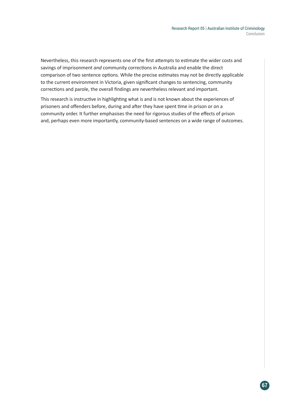Nevertheless, this research represents one of the first attempts to estimate the wider costs and savings of imprisonment *and* community corrections in Australia and enable the direct comparison of two sentence options. While the precise estimates may not be directly applicable to the current environment in Victoria, given significant changes to sentencing, community corrections and parole, the overall findings are nevertheless relevant and important.

This research is instructive in highlighting what is and is not known about the experiences of prisoners and offenders before, during and after they have spent time in prison or on a community order. It further emphasises the need for rigorous studies of the effects of prison and, perhaps even more importantly, community-based sentences on a wide range of outcomes.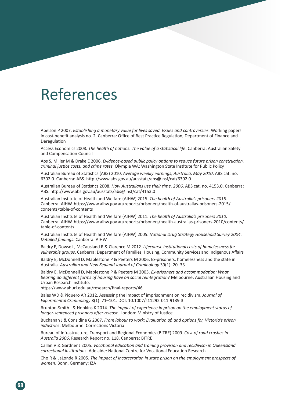# References

Abelson P 2007. *Establishing a monetary value for lives saved: Issues and controversies.* Working papers in cost-benefit analysis no. 2. Canberra: Office of Best Practice Regulation, Department of Finance and Deregulation

Access Economics 2008. *The health of nations: The value of a statistical life*. Canberra: Australian Safety and Compensation Council

Aos S, Miller M & Drake E 2006. *Evidence-based public policy options to reduce future prison construction, criminal justice costs, and crime rates*. Olympia WA: Washington State Institute for Public Policy

Australian Bureau of Statistics (ABS) 2010. *Average weekly earnings, Australia, May 2010*. ABS cat. no. 6302.0. Canberra: ABS. http://www.abs.gov.au/ausstats/abs@.nsf/cat/6302.0

Australian Bureau of Statistics 2008. *How Australians use their time, 2006*. ABS cat. no. 4153.0. Canberra: ABS. http://www.abs.gov.au/ausstats/abs@.nsf/cat/4153.0

Australian Institute of Health and Welfare (AIHW) 2015. *The health of Australia's prisoners 2015*. Canberra: AIHW. https://www.aihw.gov.au/reports/prisoners/health-of-australias-prisoners-2015/ contents/table-of-contents

Australian Institute of Health and Welfare (AIHW) 2011. *The health of Australia's prisoners 2010*. Canberra: AIHW. https://www.aihw.gov.au/reports/prisoners/health-australias-prisoners-2010/contents/ table-of-contents

Australian Institute of Health and Welfare (AIHW) 2005. *National Drug Strategy Household Survey 2004: Detailed findings*. Canberra: AIHW

Baldry E, Dowse L, McCausland R & Clarence M 2012. *Lifecourse institutional costs of homelessness for vulnerable groups*. Canberra: Department of Families, Housing, Community Services and Indigenous Affairs

Baldry E, McDonnell D, Maplestone P & Peeters M 2006. Ex-prisoners, homelessness and the state in Australia. *Australian and New Zealand Journal of Criminology* 39(1): 20–33

Baldry E, McDonnell D, Maplestone P & Peeters M 2003. *Ex-prisoners and accommodation: What bearing do different forms of housing have on social reintegration?* Melbourne: Australian Housing and Urban Research Institute.

https://www.ahuri.edu.au/research/final-reports/46

Bales WD & Piquero AR 2012. Assessing the impact of imprisonment on recidivism. *Journal of Experimental Criminology* 8(1): 71–101. DOI: 10.1007/s11292-011-9139-3

Brunton-Smith I & Hopkins K 2014. *The impact of experience in prison on the employment status of longer-sentenced prisoners after release*. London: Ministry of Justice

Buchanan J & Considine G 2007. *From labour to work: Evaluation of, and options for, Victoria's prison industries*. Melbourne: Corrections Victoria

Bureau of Infrastructure, Transport and Regional Economics (BITRE) 2009. *Cost of road crashes in Australia 2006*. Research Report no. 118. Canberra: BITRE

Callan V & Gardner J 2005. *Vocational education and training provision and recidivism in Queensland correctional institutions*. Adelaide: National Centre for Vocational Education Research

Cho R & LaLonde R 2005. *The impact of incarceration in state prison on the employment prospects of women*. Bonn, Germany: IZA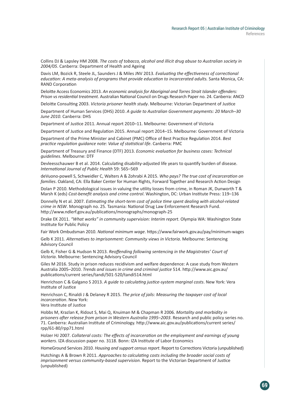Collins DJ & Lapsley HM 2008. *The costs of tobacco, alcohol and illicit drug abuse to Australian society in 2004/05*. Canberra: Department of Health and Ageing

Davis LM, Bozick R, Steele JL, Saunders J & Miles JNV 2013. *Evaluating the effectiveness of correctional education: A meta-analysis of programs that provide education to incarcerated adults.* Santa Monica, CA: RAND Corporation

Deloitte Access Economics 2013. *An economic analysis for Aboriginal and Torres Strait Islander offenders: Prison vs residential treatment*. Australian National Council on Drugs Research Paper no. 24. Canberra: ANCD

Deloitte Consulting 2003. *Victoria prisoner health study*. Melbourne: Victorian Department of Justice

Department of Human Services (DHS) 2010. *A guide to Australian Government payments: 20 March–30 June 2010*. Canberra: DHS

Department of Justice 2011. Annual report 2010–11. Melbourne: Government of Victoria

Department of Justice and Regulation 2015. Annual report 2014–15. Melbourne: Government of Victoria

Department of the Prime Minister and Cabinet (PMC) Office of Best Practice Regulation 2014. *Best practice regulation guidance note: Value of statistical life*. Canberra: PMC

Department of Treasury and Finance (DTF) 2013. *Economic evaluation for business cases: Technical guidelines*. Melbourne: DTF

Devleesschauwer B et al. 2014. Calculating disability-adjusted life years to quantify burden of disease. *International Journal of Public Health* 59: 565–569

deVuono-powell S, Schweidler C, Walters A & Zohrabi A 2015. *Who pays? The true cost of incarceration on families*. Oakland, CA: Ella Baker Center for Human Rights, Forward Together and Research Action Design

Dolan P 2010. Methodological issues in valuing the utility losses from crime, in Roman JK, Dunworth T & Marsh K (eds) *Cost-benefit analysis and crime control*. Washington, DC: Urban Institute Press: 119–136

Donnelly N et al. 2007. *Estimating the short-term cost of police time spent dealing with alcohol-related crime in NSW*. Monograph no. 25. Tasmania: National Drug Law Enforcement Research Fund. http://www.ndlerf.gov.au/publications/monographs/monograph-25

Drake EK 2011. *"What works" in community supervision: Interim report*. Olympia WA: Washington State Institute for Public Policy

Fair Work Ombudsman 2010. *National minimum wage*. https://www.fairwork.gov.au/pay/minimum-wages

Gelb K 2011. *Alternatives to imprisonment: Community views in Victoria*. Melbourne: Sentencing Advisory Council

Gelb K, Fisher G & Hudson N 2013. *Reoffending following sentencing in the Magistrates' Court of Victoria*. Melbourne: Sentencing Advisory Council

Giles M 2016. Study in prison reduces recidivism and welfare dependence: A case study from Western Australia 2005–2010. *Trends and issues in crime and criminal justice* 514. http://www.aic.gov.au/ publications/current series/tandi/501-520/tandi514.html

Henrichson C & Galgano S 2013. *A guide to calculating justice-system marginal costs*. New York: Vera Institute of Justice

Henrichson C, Rinaldi J & Delaney R 2015. *The price of jails: Measuring the taxpayer cost of local incarceration*. New York:

Vera Institute of Justice

Hobbs M, Krazlan K, Ridout S, Mai Q, Knuiman M & Chapman R 2006. *Mortality and morbidity in prisoners after release from prison in Western Australia 1995–2003*. Research and public policy series no. 71. Canberra: Australian Institute of Criminology. http://www.aic.gov.au/publications/current series/ rpp/61-80/rpp71.html

Holzer HJ 2007. *Collateral costs: The effects of incarceration on the employment and earnings of young workers*. IZA discussion paper no. 3118. Bonn: IZA Institute of Labor Economics

HomeGround Services 2010. *Housing and support census report*. Report to Corrections Victoria (unpublished)

Hutchings A & Brown R 2011. *Approaches to calculating costs including the broader social costs of imprisonment versus community-based supervision*. Report to the Victorian Department of Justice (unpublished)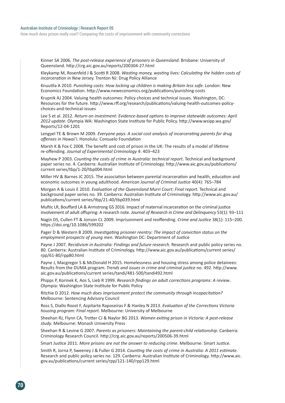#### Australian Institute of Criminology | Research Report 05

How much does prison really cost? Comparing the costs of imprisonment with community corrections

Kinner SA 2006. *The post-release experience of prisoners in Queensland*. Brisbane: University of Queensland. http://crg.aic.gov.au/reports/200304-27.html

Kleykamp M, Rosenfeld J & Scotti R 2008. *Wasting money, wasting lives: Calculating the hidden costs of incarceration in New Jerse*y. Trenton NJ: Drug Policy Alliance

Knuutila A 2010. *Punishing costs: How locking up children is making Britain less safe*. London: New Economics Foundation. http://www.neweconomics.org/publications/punishing-costs

Krupnik AJ 2004. Valuing health outcomes: Policy choices and technical issues. Washington, DC: Resources for the future. http://www.rff.org/research/publications/valuing-health-outcomes-policychoices-and-technical-issues

Lee S et al. 2012. *Return on investment: Evidence-based options to improve statewide outcomes: April 2012 update*. Olympia WA: Washington State Institute for Public Policy. http://www.wsipp.wa.gov/ Reports/12-04-1201

Lengyel TE & Brown M 2009. *Everyone pays: A social cost analysis of incarcerating parents for drug offenses in Hawai'i*. Honolulu: Consuelo Foundation

Marsh K & Fox C 2008. The benefit and cost of prison in the UK: The results of a model of lifetime re-offending. *Journal of Experimental Criminology* 4: 403–423

Mayhew P 2003. *Counting the costs of crime in Australia: technical report*. Technical and background paper series no. 4. Canberra: Australian Institute of Criminology. http://www.aic.gov.au/publications/ current series/tbp/1-20/tbp004.html

Miller HV & Barnes JC 2015. The association between parental incarceration and health, education and economic outcomes in young adulthood. *American Journal of Criminal Justice* 40(4): 765–784

Morgan A & Louis E 2010. *Evaluation of the Queensland Murri Court: Final report.* Technical and background paper series no. 39. Canberra: Australian Institute of Criminology. http://www.aic.gov.au/ publications/current series/tbp/21-40/tbp039.html

Muftic LR, Bouffard LA & Armstrong GS 2016. Impact of maternal incarceration on the criminal justice involvement of adult offspring: A research note. *Journal of Research in Crime and Delinquency* 53(1): 93–111

Nagin DS, Cullen FT & Jonson CL 2009. Imprisonment and reoffending. *Crime and Justice* 38(1): 115–200. https://doi.org/10.1086/599202

Pager D & Western B 2009. *Investigating prisoner reentry: The impact of conviction status on the employment prospects of young men*. Washington DC: Department of Justice

Payne J 2007. *Recidivism in Australia: Findings and future research*. Research and public policy series no. 80. Canberra: Australian Institute of Criminology. http://www.aic.gov.au/publications/current series/ rpp/61-80/rpp80.html

Payne J, Macgregor S & McDonald H 2015. Homelessness and housing stress among police detainees: Results from the DUMA program. *Trends and issues in crime and criminal justice* no. 492. http://www. aic.gov.au/publications/current series/tandi/481-500/tandi492.html

Phipps P, Korinek K, Aos S, Lieb R 1999. *Research findings on adult corrections programs: A review*. Olympia: Washington State Institute for Public Policy

Ritchie D 2012. *How much does imprisonment protect the community through incapacitation?* Melbourne: Sentencing Advisory Council

Ross S, Diallo Roost F, Azpitarte Raposeiras F & Hanley N 2013. *Evaluation of the Corrections Victoria housing program: Final report*. Melbourne: University of Melbourne

Sheehan RJ, Flynn CA, Trotter CJ & Naylor BG 2013. *Women exiting prison in Victoria: A post-release study*. Melbourne: Monash University Press

Sheehan R & Levine G 2007. *Parents as prisoners: Maintaining the parent-child relationship*. Canberra: Criminology Research Council. http://crg.aic.gov.au/reports/200506-39.html

Smart Justice 2011. *More prisons are not the answer to reducing crime*. Melbourne: Smart Justice.

Smith R, Jorna P, Sweeney J & Fuller G 2014. *Counting the costs of crime in Australia: A 2011 estimate*. Research and public policy series no. 129. Canberra: Australian Institute of Criminology. http://www.aic. gov.au/publications/current series/rpp/121-140/rpp129.html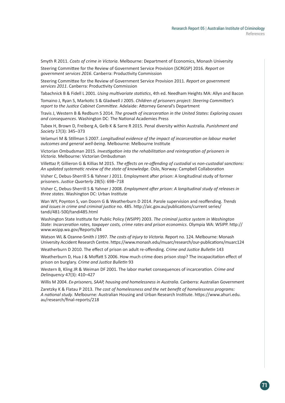Smyth R 2011. *Costs of crime in Victoria*. Melbourne: Department of Economics, Monash University

Steering Committee for the Review of Government Service Provision (SCRGSP) 2016. *Report on government services 2016*. Canberra: Productivity Commission

Steering Committee for the Review of Government Service Provision 2011. *Report on government services 2011*. Canberra: Productivity Commission

Tabachnick B & Fidell L 2001. *Using multivariate statistics*, 4th ed. Needham Heights MA: Allyn and Bacon

Tomaino J, Ryan S, Markotic S & Gladwell J 2005. *Children of prisoners project: Steering Committee's report to the Justice Cabinet Committee*. Adelaide: Attorney General's Department

Travis J, Western B & Redburn S 2014. *The growth of incarceration in the United States: Exploring causes and consequences*. Washington DC: The National Academies Press

Tubex H, Brown D, Freiberg A, Gelb K & Sarre R 2015. Penal diversity within Australia. *Punishment and Society* 17(3): 345–373

Velamuri M & Stillman S 2007. *Longitudinal evidence of the impact of incarceration on labour market outcomes and general well-being*. Melbourne: Melbourne Institute

Victorian Ombudsman 2015. *Investigation into the rehabilitation and reintegration of prisoners in Victoria*. Melbourne: Victorian Ombudsman

Villettaz P, Gillieron G & Killias M 2015. *The effects on re-offending of custodial vs non-custodial sanctions: An updated systematic review of the state of knowledge*. Oslo, Norway: Campbell Collaboration

Visher C, Debus-Sherrill S & Yahner J 2011. Employment after prison: A longitudinal study of former prisoners. *Justice Quarterly* 28(5): 698–718

Visher C, Debus-Sherrill S & Yahner J 2008. *Employment after prison: A longitudinal study of releases in three states*. Washington DC: Urban Institute

Wan WY, Poynton S, van Doorn G & Weatherburn D 2014. Parole supervision and reoffending. *Trends and issues in crime and criminal justice* no. 485. http://aic.gov.au/publications/current series/ tandi/481-500/tandi485.html

Washington State Institute for Public Policy (WSIPP) 2003. *The criminal justice system in Washington State: Incarceration rates, taxpayer costs, crime rates and prison economics*. Olympia WA: WSIPP. http:// www.wsipp.wa.gov/Reports/84

Watson WL & Ozanne-Smith J 1997. *The costs of injury to Victoria*. Report no. 124. Melbourne: Monash University Accident Research Centre. https://www.monash.edu/muarc/research/our-publications/muarc124

Weatherburn D 2010. The effect of prison on adult re-offending. *Crime and Justice Bulletin* 143

Weatherburn D, Hua J & Moffatt S 2006. How much crime does prison stop? The incapacitation effect of prison on burglary. *Crime and Justice Bulletin* 93

Western B, Kling JR & Weiman DF 2001. The labor market consequences of incarceration. *Crime and Delinquency* 47(3): 410–427

Willis M 2004. *Ex-prisoners, SAAP, housing and homelessness in Australia*. Canberra: Australian Government

Zaretzky K & Flatau P 2013. *The cost of homelessness and the net benefit of homelessness programs: A national study*. Melbourne: Australian Housing and Urban Research Institute. https://www.ahuri.edu. au/research/final-reports/218